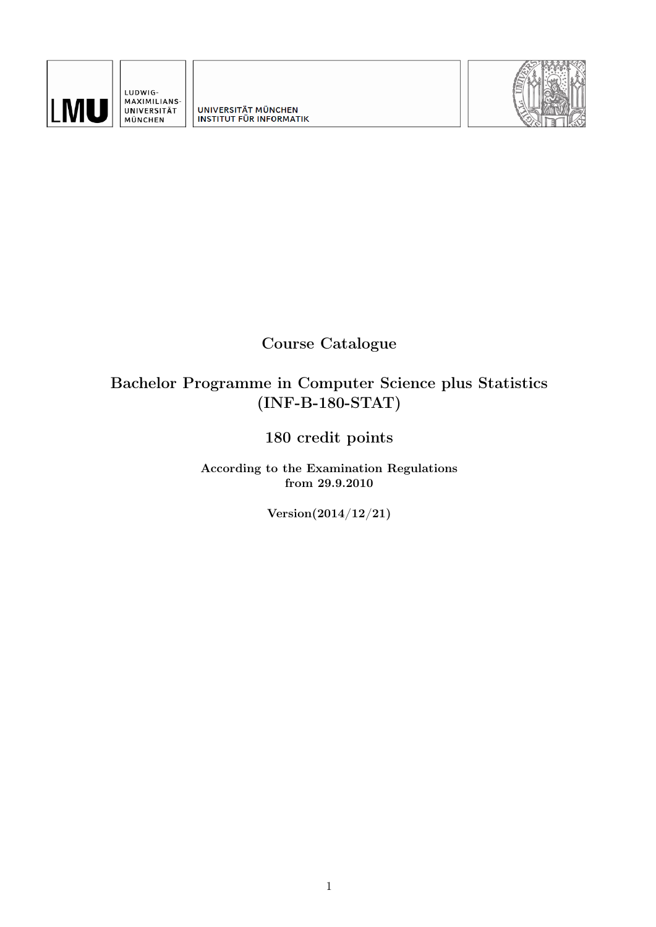

LUDWIG-<br>MAXIMILIANS-UNIVERSITÄT<br>MÜNCHEN

UNIVERSITÄT MÜNCHEN<br>INSTITUT FÜR INFORMATIK



# Course Catalogue

# Bachelor Programme in Computer Science plus Statistics (INF-B-180-STAT)

# 180 credit points

According to the Examination Regulations from 29.9.2010

Version(2014/12/21)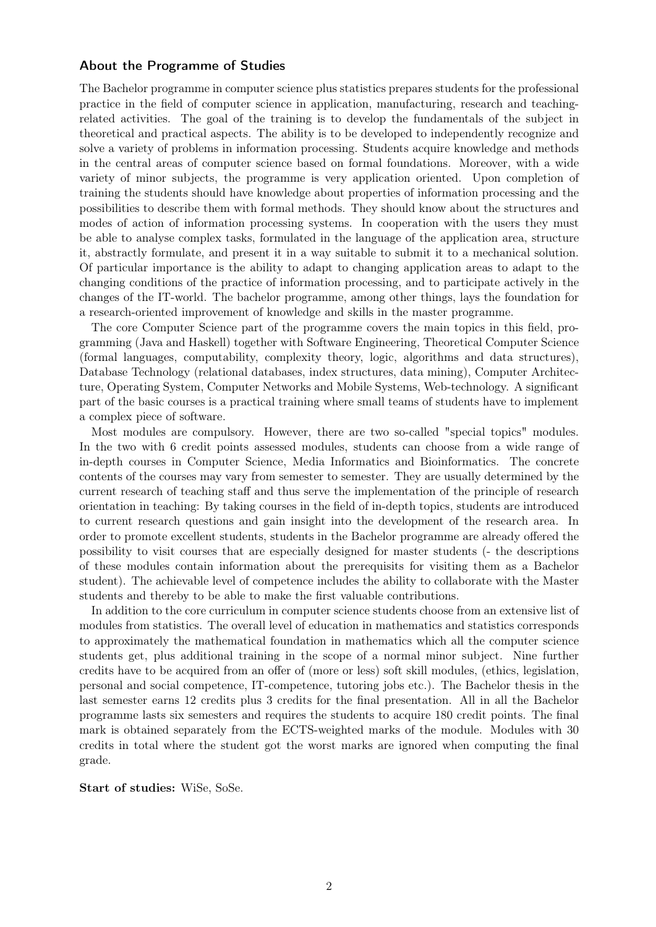#### About the Programme of Studies

The Bachelor programme in computer science plus statistics prepares students for the professional practice in the field of computer science in application, manufacturing, research and teachingrelated activities. The goal of the training is to develop the fundamentals of the subject in theoretical and practical aspects. The ability is to be developed to independently recognize and solve a variety of problems in information processing. Students acquire knowledge and methods in the central areas of computer science based on formal foundations. Moreover, with a wide variety of minor subjects, the programme is very application oriented. Upon completion of training the students should have knowledge about properties of information processing and the possibilities to describe them with formal methods. They should know about the structures and modes of action of information processing systems. In cooperation with the users they must be able to analyse complex tasks, formulated in the language of the application area, structure it, abstractly formulate, and present it in a way suitable to submit it to a mechanical solution. Of particular importance is the ability to adapt to changing application areas to adapt to the changing conditions of the practice of information processing, and to participate actively in the changes of the IT-world. The bachelor programme, among other things, lays the foundation for a research-oriented improvement of knowledge and skills in the master programme.

The core Computer Science part of the programme covers the main topics in this field, programming (Java and Haskell) together with Software Engineering, Theoretical Computer Science (formal languages, computability, complexity theory, logic, algorithms and data structures), Database Technology (relational databases, index structures, data mining), Computer Architecture, Operating System, Computer Networks and Mobile Systems, Web-technology. A significant part of the basic courses is a practical training where small teams of students have to implement a complex piece of software.

Most modules are compulsory. However, there are two so-called "special topics" modules. In the two with 6 credit points assessed modules, students can choose from a wide range of in-depth courses in Computer Science, Media Informatics and Bioinformatics. The concrete contents of the courses may vary from semester to semester. They are usually determined by the current research of teaching staff and thus serve the implementation of the principle of research orientation in teaching: By taking courses in the field of in-depth topics, students are introduced to current research questions and gain insight into the development of the research area. In order to promote excellent students, students in the Bachelor programme are already offered the possibility to visit courses that are especially designed for master students (- the descriptions of these modules contain information about the prerequisits for visiting them as a Bachelor student). The achievable level of competence includes the ability to collaborate with the Master students and thereby to be able to make the first valuable contributions.

In addition to the core curriculum in computer science students choose from an extensive list of modules from statistics. The overall level of education in mathematics and statistics corresponds to approximately the mathematical foundation in mathematics which all the computer science students get, plus additional training in the scope of a normal minor subject. Nine further credits have to be acquired from an offer of (more or less) soft skill modules, (ethics, legislation, personal and social competence, IT-competence, tutoring jobs etc.). The Bachelor thesis in the last semester earns 12 credits plus 3 credits for the final presentation. All in all the Bachelor programme lasts six semesters and requires the students to acquire 180 credit points. The final mark is obtained separately from the ECTS-weighted marks of the module. Modules with 30 credits in total where the student got the worst marks are ignored when computing the final grade.

#### Start of studies: WiSe, SoSe.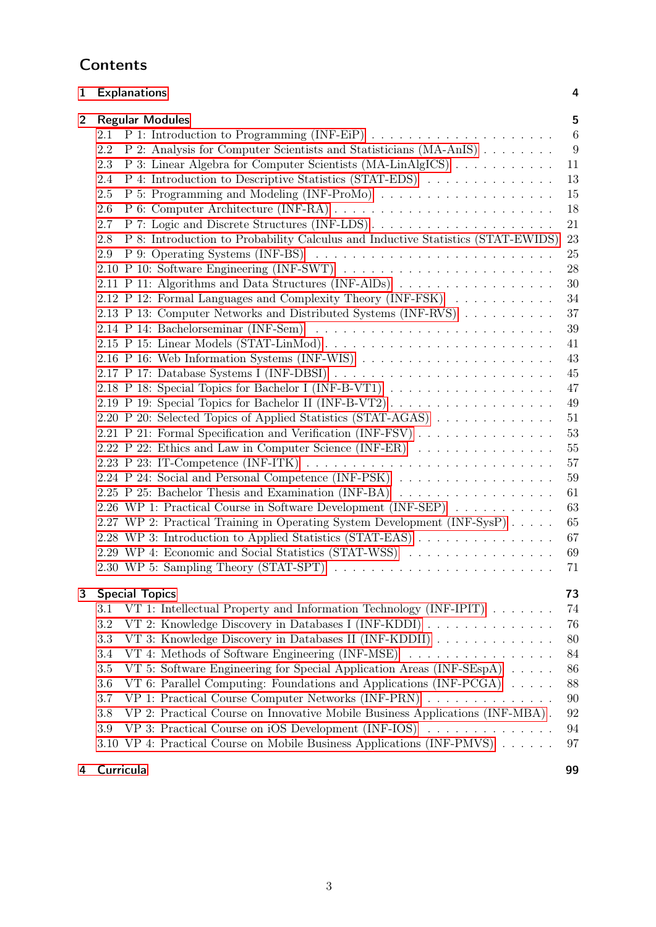## [1 Explanations](#page-3-0) 4

| $\mathbf{2}$ | <b>Regular Modules</b>                                                                                     | 5               |
|--------------|------------------------------------------------------------------------------------------------------------|-----------------|
|              | 2.1                                                                                                        | $6\phantom{.}6$ |
|              | 2.2<br>P 2: Analysis for Computer Scientists and Statisticians (MA-AnIS)                                   | 9               |
|              | P 3: Linear Algebra for Computer Scientists (MA-LinAlgICS)<br>2.3                                          | 11              |
|              | P 4: Introduction to Descriptive Statistics (STAT-EDS)<br>2.4                                              | 13              |
|              | 2.5                                                                                                        | 15              |
|              | 2.6                                                                                                        | 18              |
|              | P 7: Logic and Discrete Structures (INF-LDS)<br>2.7                                                        | 21              |
|              | P 8: Introduction to Probability Calculus and Inductive Statistics (STAT-EWIDS)<br>2.8                     | $23\,$          |
|              | $P$ 9: Operating Systems (INF-BS) $\ldots \ldots \ldots \ldots \ldots \ldots \ldots \ldots$<br>2.9         | 25              |
|              |                                                                                                            | 28              |
|              | 2.11 P 11: Algorithms and Data Structures (INF-AlDs)                                                       | 30              |
|              | 2.12 P 12: Formal Languages and Complexity Theory (INF-FSK)                                                | 34              |
|              | 2.13 P 13: Computer Networks and Distributed Systems (INF-RVS)                                             | 37              |
|              | 2.14 P 14: Bachelorseminar (INF-Sem) $\ldots \ldots \ldots \ldots \ldots \ldots \ldots \ldots \ldots$      | 39              |
|              | 2.15 P 15: Linear Models (STAT-LinMod)                                                                     | 41              |
|              |                                                                                                            | 43              |
|              |                                                                                                            | 45              |
|              |                                                                                                            | 47              |
|              | 2.19 P 19: Special Topics for Bachelor II (INF-B-VT2)                                                      | 49              |
|              | 2.20 P 20: Selected Topics of Applied Statistics (STAT-AGAS)                                               | 51              |
|              | 2.21 P 21: Formal Specification and Verification (INF-FSV)                                                 | 53              |
|              | 2.22 P 22: Ethics and Law in Computer Science (INF-ER)                                                     | $55\,$          |
|              | 2.23 P 23: IT-Competence (INF-ITK) $\ldots \ldots \ldots \ldots \ldots \ldots \ldots \ldots \ldots \ldots$ | 57              |
|              | 2.24 P 24: Social and Personal Competence (INF-PSK)                                                        | $59\,$          |
|              | 2.25 P 25: Bachelor Thesis and Examination (INF-BA)                                                        | 61              |
|              | 2.26 WP 1: Practical Course in Software Development (INF-SEP)                                              | 63              |
|              | 2.27 WP 2: Practical Training in Operating System Development (INF-SysP)                                   | 65              |
|              | 2.28 WP 3: Introduction to Applied Statistics (STAT-EAS)                                                   | 67              |
|              | 2.29 WP 4: Economic and Social Statistics (STAT-WSS)                                                       | 69              |
|              | 2.30 WP 5: Sampling Theory (STAT-SPT)                                                                      | 71              |
| 3            | <b>Special Topics</b>                                                                                      | 73              |
|              | VT 1: Intellectual Property and Information Technology (INF-IPIT)<br>3.1                                   | 74              |
|              | 3.2<br>VT 2: Knowledge Discovery in Databases I (INF-KDDI)                                                 | 76              |
|              | VT 3: Knowledge Discovery in Databases II (INF-KDDII)<br>3.3                                               | 80              |
|              | VT 4: Methods of Software Engineering (INF-MSE)<br>3.4                                                     | 84              |
|              | VT 5: Software Engineering for Special Application Areas $(INF-SEspA) \dots$ .<br>3.5                      | 86              |
|              | VT 6: Parallel Computing: Foundations and Applications (INF-PCGA) $\dots$ .<br>3.6                         | 88              |
|              | VP 1: Practical Course Computer Networks (INF-PRN)<br>3.7                                                  | 90              |
|              |                                                                                                            |                 |
|              | VP 2: Practical Course on Innovative Mobile Business Applications (INF-MBA).<br>3.8                        | $\rm 92$        |
|              | 3.9<br>VP 3: Practical Course on iOS Development $(INF-IOS) \dots \dots \dots \dots \dots$                 | 94              |
|              | VP 4: Practical Course on Mobile Business Applications (INF-PMVS)<br>3.10                                  | 97              |
| 4            | Curricula                                                                                                  | 99              |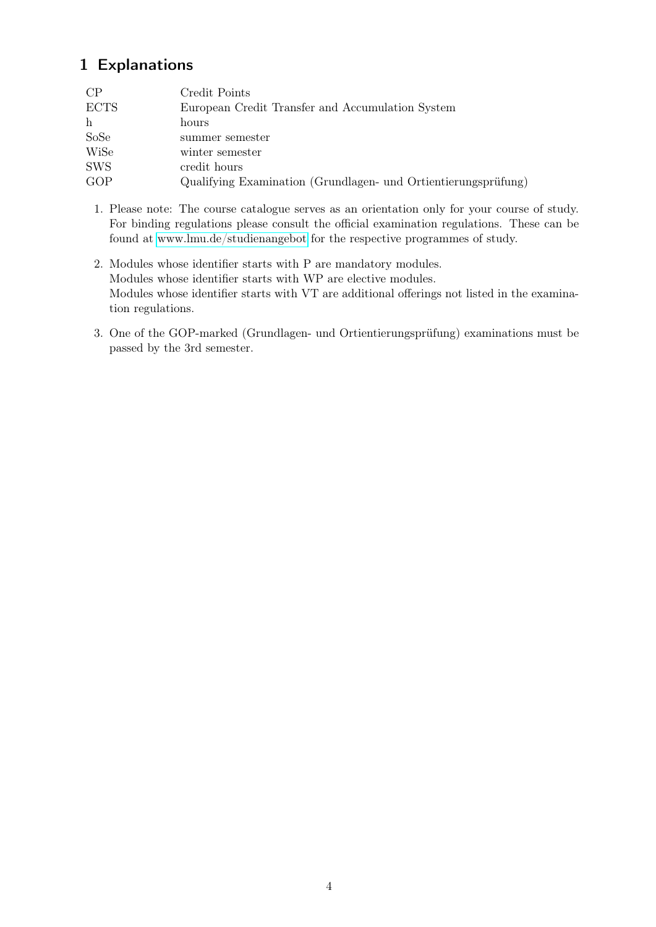# <span id="page-3-0"></span>1 Explanations

| CP          | Credit Points                                                  |
|-------------|----------------------------------------------------------------|
| <b>ECTS</b> | European Credit Transfer and Accumulation System               |
| h           | hours                                                          |
| SoSe        | summer semester                                                |
| WiSe        | winter semester                                                |
| <b>SWS</b>  | credit hours                                                   |
| GOP         | Qualifying Examination (Grundlagen- und Ortientierungsprüfung) |

- 1. Please note: The course catalogue serves as an orientation only for your course of study. For binding regulations please consult the official examination regulations. These can be found at [www.lmu.de/studienangebot](http://www.lmu.de/studienangebot) for the respective programmes of study.
- 2. Modules whose identifier starts with P are mandatory modules. Modules whose identifier starts with WP are elective modules. Modules whose identifier starts with VT are additional offerings not listed in the examination regulations.
- 3. One of the GOP-marked (Grundlagen- und Ortientierungsprüfung) examinations must be passed by the 3rd semester.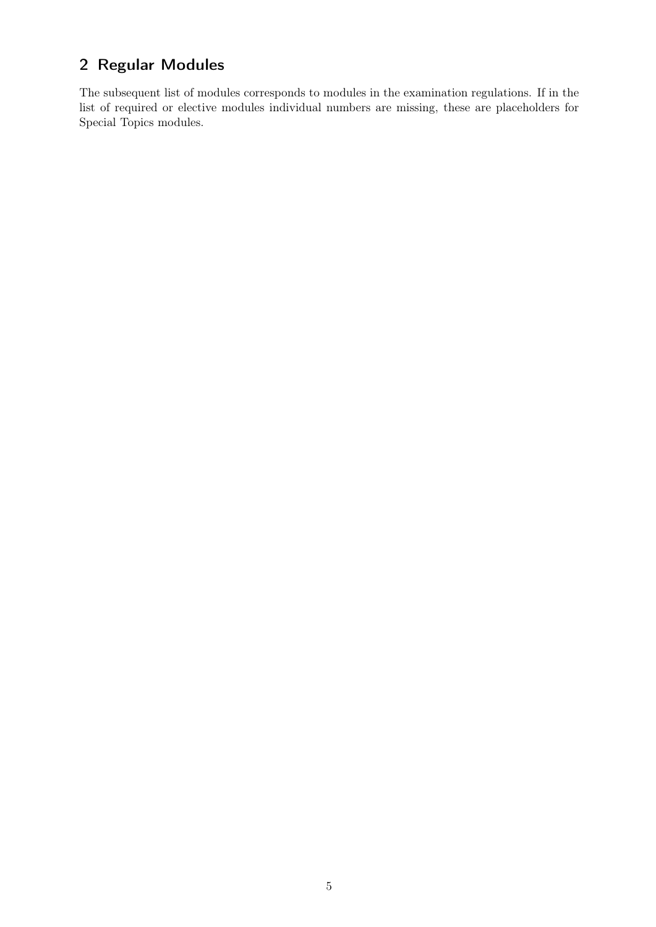# <span id="page-4-0"></span>2 Regular Modules

The subsequent list of modules corresponds to modules in the examination regulations. If in the list of required or elective modules individual numbers are missing, these are placeholders for Special Topics modules.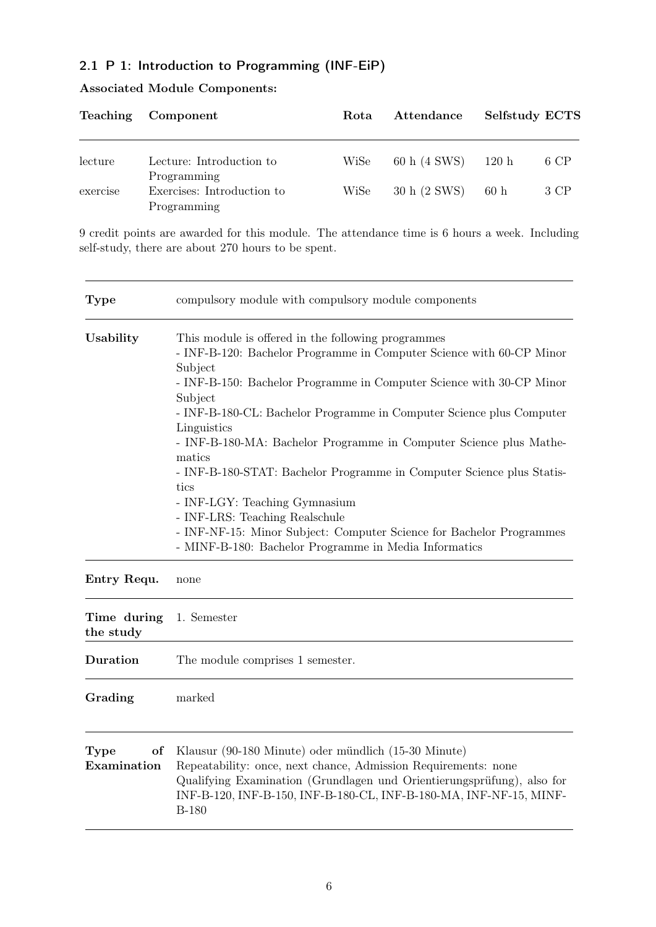### <span id="page-5-0"></span>2.1 P 1: Introduction to Programming (INF-EiP)

|          | Teaching Component                                       | Rota | Attendance   | Selfstudy ECTS |      |
|----------|----------------------------------------------------------|------|--------------|----------------|------|
| lecture  | Lecture: Introduction to                                 | WiSe | 60 h (4 SWS) | 120 h          | 6 CP |
| exercise | Programming<br>Exercises: Introduction to<br>Programming | WiSe | 30 h (2 SWS) | 60h            | 3 CP |

### Associated Module Components:

9 credit points are awarded for this module. The attendance time is 6 hours a week. Including self-study, there are about 270 hours to be spent.

| <b>Type</b>                      | compulsory module with compulsory module components                                                                                                                                                                                                                                                                                                                                                                                                                                                                                                                                                                                                                                  |  |  |  |
|----------------------------------|--------------------------------------------------------------------------------------------------------------------------------------------------------------------------------------------------------------------------------------------------------------------------------------------------------------------------------------------------------------------------------------------------------------------------------------------------------------------------------------------------------------------------------------------------------------------------------------------------------------------------------------------------------------------------------------|--|--|--|
| Usability                        | This module is offered in the following programmes<br>- INF-B-120: Bachelor Programme in Computer Science with 60-CP Minor<br>Subject<br>- INF-B-150: Bachelor Programme in Computer Science with 30-CP Minor<br>Subject<br>- INF-B-180-CL: Bachelor Programme in Computer Science plus Computer<br>Linguistics<br>- INF-B-180-MA: Bachelor Programme in Computer Science plus Mathe-<br>matics<br>- INF-B-180-STAT: Bachelor Programme in Computer Science plus Statis-<br>tics<br>- INF-LGY: Teaching Gymnasium<br>- INF-LRS: Teaching Realschule<br>- INF-NF-15: Minor Subject: Computer Science for Bachelor Programmes<br>- MINF-B-180: Bachelor Programme in Media Informatics |  |  |  |
| Entry Requ.                      | none                                                                                                                                                                                                                                                                                                                                                                                                                                                                                                                                                                                                                                                                                 |  |  |  |
| Time during<br>the study         | 1. Semester                                                                                                                                                                                                                                                                                                                                                                                                                                                                                                                                                                                                                                                                          |  |  |  |
| Duration                         | The module comprises 1 semester.                                                                                                                                                                                                                                                                                                                                                                                                                                                                                                                                                                                                                                                     |  |  |  |
| Grading                          | marked                                                                                                                                                                                                                                                                                                                                                                                                                                                                                                                                                                                                                                                                               |  |  |  |
| <b>Type</b><br>of<br>Examination | Klausur (90-180 Minute) oder mündlich (15-30 Minute)<br>Repeatability: once, next chance, Admission Requirements: none<br>Qualifying Examination (Grundlagen und Orientierungsprüfung) also for                                                                                                                                                                                                                                                                                                                                                                                                                                                                                      |  |  |  |

Qualifying Examination (Grundlagen und Orientierungsprüfung), also for INF-B-120, INF-B-150, INF-B-180-CL, INF-B-180-MA, INF-NF-15, MINF-B-180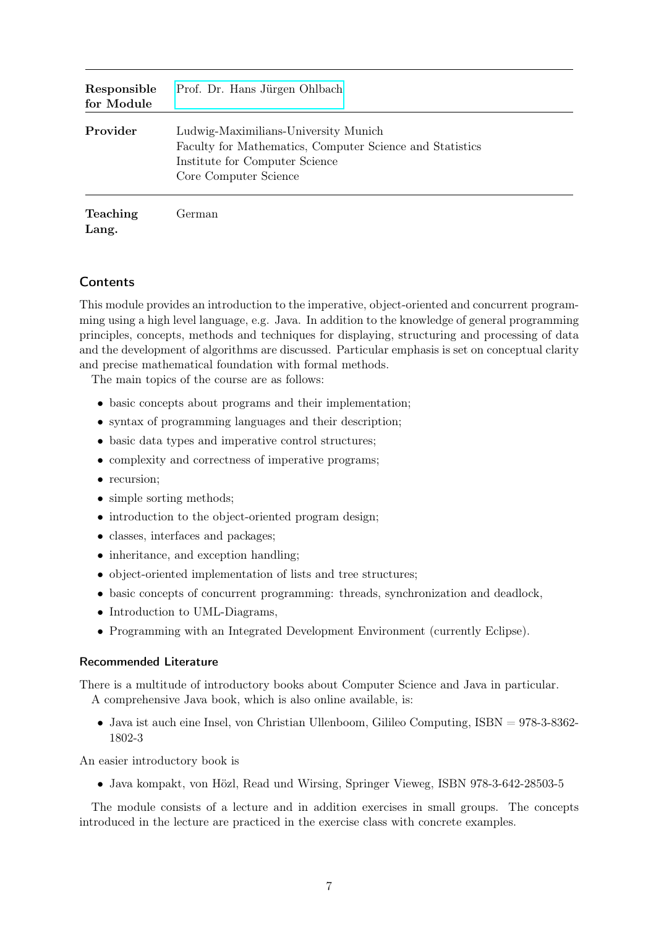| Responsible<br>for Module | Prof. Dr. Hans Jürgen Ohlbach                                                                                                                               |
|---------------------------|-------------------------------------------------------------------------------------------------------------------------------------------------------------|
| Provider                  | Ludwig-Maximilians-University Munich<br>Faculty for Mathematics, Computer Science and Statistics<br>Institute for Computer Science<br>Core Computer Science |
| <b>Teaching</b><br>Lang.  | German                                                                                                                                                      |

This module provides an introduction to the imperative, object-oriented and concurrent programming using a high level language, e.g. Java. In addition to the knowledge of general programming principles, concepts, methods and techniques for displaying, structuring and processing of data and the development of algorithms are discussed. Particular emphasis is set on conceptual clarity and precise mathematical foundation with formal methods.

The main topics of the course are as follows:

- basic concepts about programs and their implementation;
- syntax of programming languages and their description;
- basic data types and imperative control structures;
- complexity and correctness of imperative programs;
- recursion:
- simple sorting methods;
- introduction to the object-oriented program design;
- classes, interfaces and packages;
- inheritance, and exception handling;
- object-oriented implementation of lists and tree structures;
- basic concepts of concurrent programming: threads, synchronization and deadlock,
- Introduction to UML-Diagrams,
- Programming with an Integrated Development Environment (currently Eclipse).

#### Recommended Literature

There is a multitude of introductory books about Computer Science and Java in particular. A comprehensive Java book, which is also online available, is:

• Java ist auch eine Insel, von Christian Ullenboom, Gilileo Computing,  $ISBN = 978-3-8362-$ 1802-3

An easier introductory book is

• Java kompakt, von Hözl, Read und Wirsing, Springer Vieweg, ISBN 978-3-642-28503-5

The module consists of a lecture and in addition exercises in small groups. The concepts introduced in the lecture are practiced in the exercise class with concrete examples.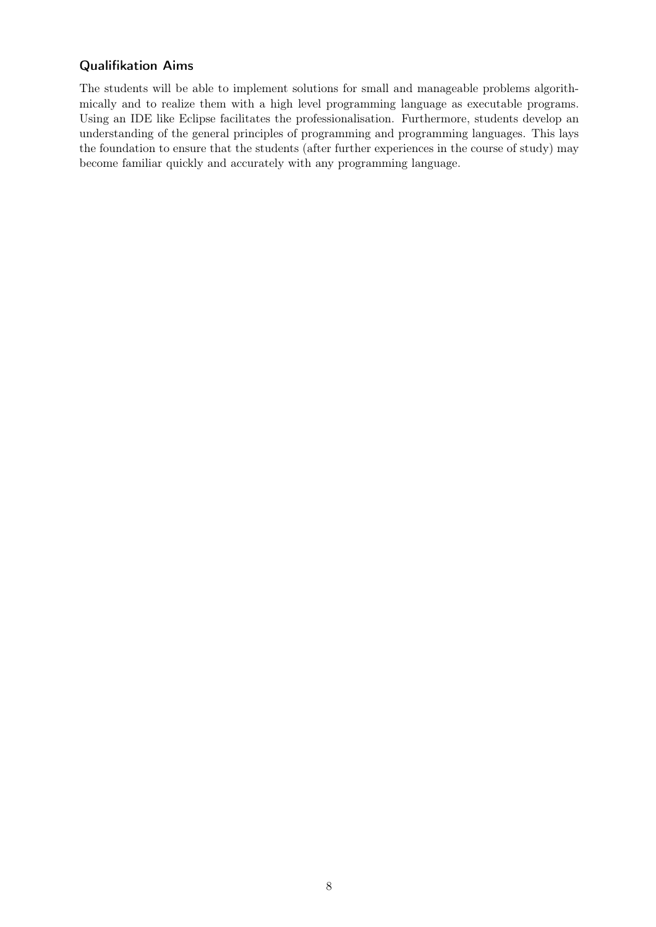### Qualifikation Aims

The students will be able to implement solutions for small and manageable problems algorithmically and to realize them with a high level programming language as executable programs. Using an IDE like Eclipse facilitates the professionalisation. Furthermore, students develop an understanding of the general principles of programming and programming languages. This lays the foundation to ensure that the students (after further experiences in the course of study) may become familiar quickly and accurately with any programming language.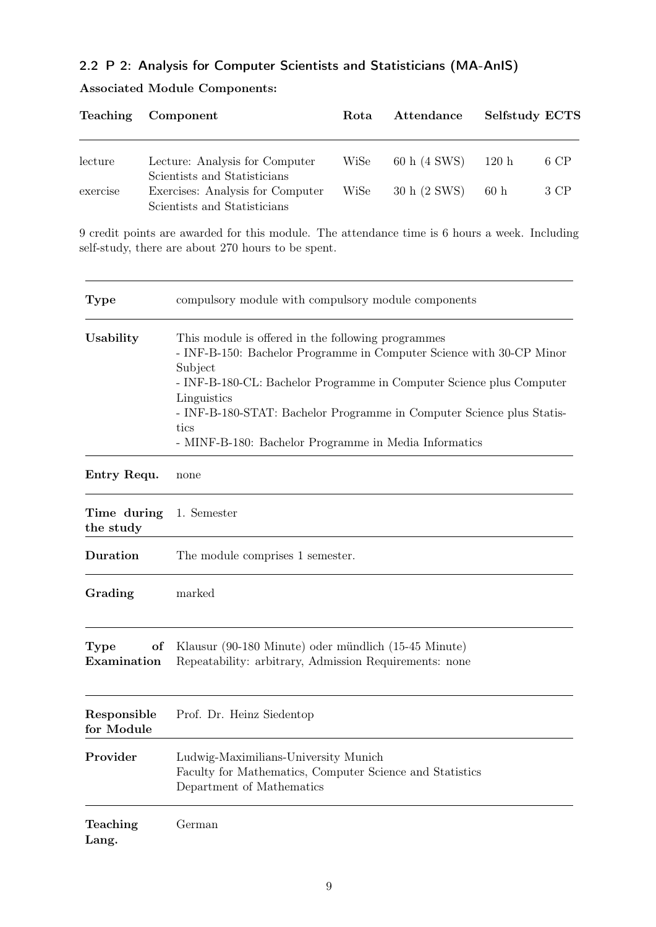### <span id="page-8-0"></span>2.2 P 2: Analysis for Computer Scientists and Statisticians (MA-AnIS)

|          | Teaching Component                                               | Rota | Attendance   | Selfstudy ECTS |      |
|----------|------------------------------------------------------------------|------|--------------|----------------|------|
| lecture  | Lecture: Analysis for Computer                                   | WiSe | 60 h (4 SWS) | 120h           | 6 CP |
| exercise | Scientists and Statisticians<br>Exercises: Analysis for Computer | WiSe | 30 h (2 SWS) | 60h            | 3 CP |
|          | Scientists and Statisticians                                     |      |              |                |      |

### Associated Module Components:

9 credit points are awarded for this module. The attendance time is 6 hours a week. Including self-study, there are about 270 hours to be spent.

| <b>Type</b>               | compulsory module with compulsory module components                                                                                                                                                                                                                                                                                                                    |
|---------------------------|------------------------------------------------------------------------------------------------------------------------------------------------------------------------------------------------------------------------------------------------------------------------------------------------------------------------------------------------------------------------|
| Usability                 | This module is offered in the following programmes<br>- INF-B-150: Bachelor Programme in Computer Science with 30-CP Minor<br>Subject<br>- INF-B-180-CL: Bachelor Programme in Computer Science plus Computer<br>Linguistics<br>- INF-B-180-STAT: Bachelor Programme in Computer Science plus Statis-<br>tics<br>- MINF-B-180: Bachelor Programme in Media Informatics |
| Entry Requ.               | none                                                                                                                                                                                                                                                                                                                                                                   |
| Time during<br>the study  | 1. Semester                                                                                                                                                                                                                                                                                                                                                            |
| <b>Duration</b>           | The module comprises 1 semester.                                                                                                                                                                                                                                                                                                                                       |
| Grading                   | marked                                                                                                                                                                                                                                                                                                                                                                 |
| Type<br>of<br>Examination | Klausur (90-180 Minute) oder mündlich (15-45 Minute)<br>Repeatability: arbitrary, Admission Requirements: none                                                                                                                                                                                                                                                         |
| Responsible<br>for Module | Prof. Dr. Heinz Siedentop                                                                                                                                                                                                                                                                                                                                              |
| Provider                  | Ludwig-Maximilians-University Munich<br>Faculty for Mathematics, Computer Science and Statistics<br>Department of Mathematics                                                                                                                                                                                                                                          |
| Teaching<br>Lang.         | German                                                                                                                                                                                                                                                                                                                                                                 |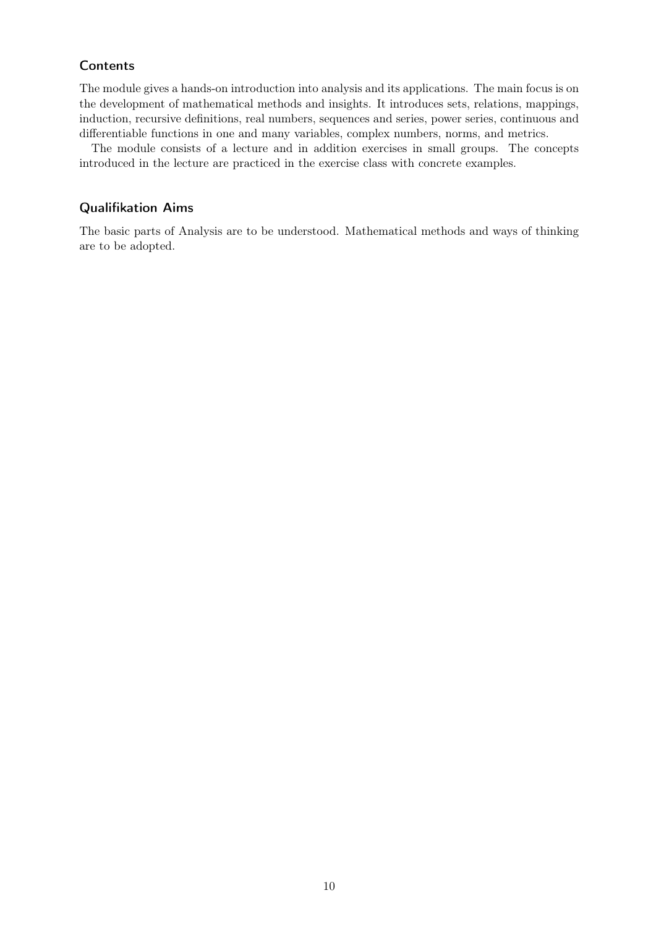The module gives a hands-on introduction into analysis and its applications. The main focus is on the development of mathematical methods and insights. It introduces sets, relations, mappings, induction, recursive definitions, real numbers, sequences and series, power series, continuous and differentiable functions in one and many variables, complex numbers, norms, and metrics.

The module consists of a lecture and in addition exercises in small groups. The concepts introduced in the lecture are practiced in the exercise class with concrete examples.

#### Qualifikation Aims

The basic parts of Analysis are to be understood. Mathematical methods and ways of thinking are to be adopted.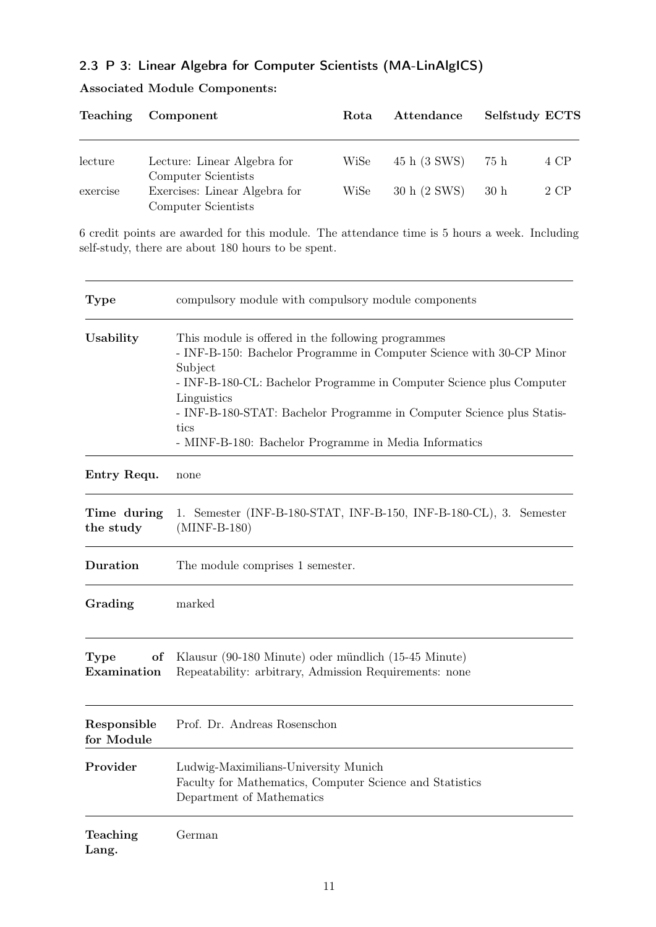## <span id="page-10-0"></span>2.3 P 3: Linear Algebra for Computer Scientists (MA-LinAlgICS)

| Teaching | Component                                            | Rota | Attendance   |      | Selfstudy ECTS |
|----------|------------------------------------------------------|------|--------------|------|----------------|
| lecture  | Lecture: Linear Algebra for                          | WiSe | 45 h (3 SWS) | 75 h | 4 CP           |
|          | Computer Scientists                                  |      |              |      |                |
| exercise | Exercises: Linear Algebra for<br>Computer Scientists | WiSe | 30 h (2 SWS) | 30h  | 2 CP           |

### Associated Module Components:

6 credit points are awarded for this module. The attendance time is 5 hours a week. Including self-study, there are about 180 hours to be spent.

| <b>Type</b>                      | compulsory module with compulsory module components                                                                                                                                                                                                                                                                                                                    |
|----------------------------------|------------------------------------------------------------------------------------------------------------------------------------------------------------------------------------------------------------------------------------------------------------------------------------------------------------------------------------------------------------------------|
| Usability                        | This module is offered in the following programmes<br>- INF-B-150: Bachelor Programme in Computer Science with 30-CP Minor<br>Subject<br>- INF-B-180-CL: Bachelor Programme in Computer Science plus Computer<br>Linguistics<br>- INF-B-180-STAT: Bachelor Programme in Computer Science plus Statis-<br>tics<br>- MINF-B-180: Bachelor Programme in Media Informatics |
| Entry Requ.                      | none                                                                                                                                                                                                                                                                                                                                                                   |
| Time during<br>the study         | 1. Semester (INF-B-180-STAT, INF-B-150, INF-B-180-CL), 3. Semester<br>$(MINF-B-180)$                                                                                                                                                                                                                                                                                   |
| Duration                         | The module comprises 1 semester.                                                                                                                                                                                                                                                                                                                                       |
| Grading                          | marked                                                                                                                                                                                                                                                                                                                                                                 |
| <b>Type</b><br>οf<br>Examination | Klausur (90-180 Minute) oder mündlich (15-45 Minute)<br>Repeatability: arbitrary, Admission Requirements: none                                                                                                                                                                                                                                                         |
| Responsible<br>for Module        | Prof. Dr. Andreas Rosenschon                                                                                                                                                                                                                                                                                                                                           |
| Provider                         | Ludwig-Maximilians-University Munich<br>Faculty for Mathematics, Computer Science and Statistics<br>Department of Mathematics                                                                                                                                                                                                                                          |
| Teaching<br>Lang.                | German                                                                                                                                                                                                                                                                                                                                                                 |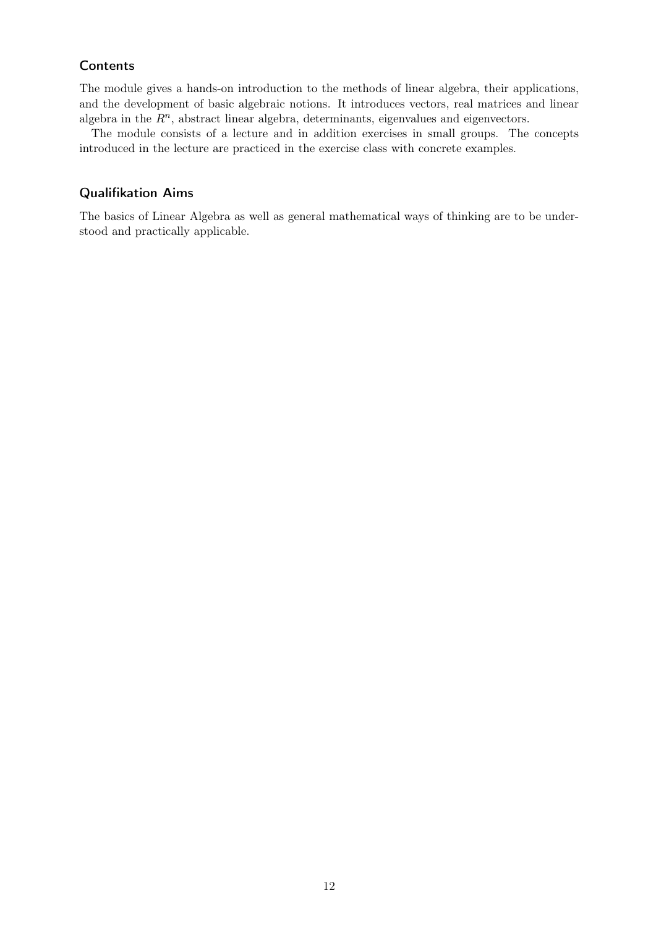The module gives a hands-on introduction to the methods of linear algebra, their applications, and the development of basic algebraic notions. It introduces vectors, real matrices and linear algebra in the  $R<sup>n</sup>$ , abstract linear algebra, determinants, eigenvalues and eigenvectors.

The module consists of a lecture and in addition exercises in small groups. The concepts introduced in the lecture are practiced in the exercise class with concrete examples.

#### Qualifikation Aims

The basics of Linear Algebra as well as general mathematical ways of thinking are to be understood and practically applicable.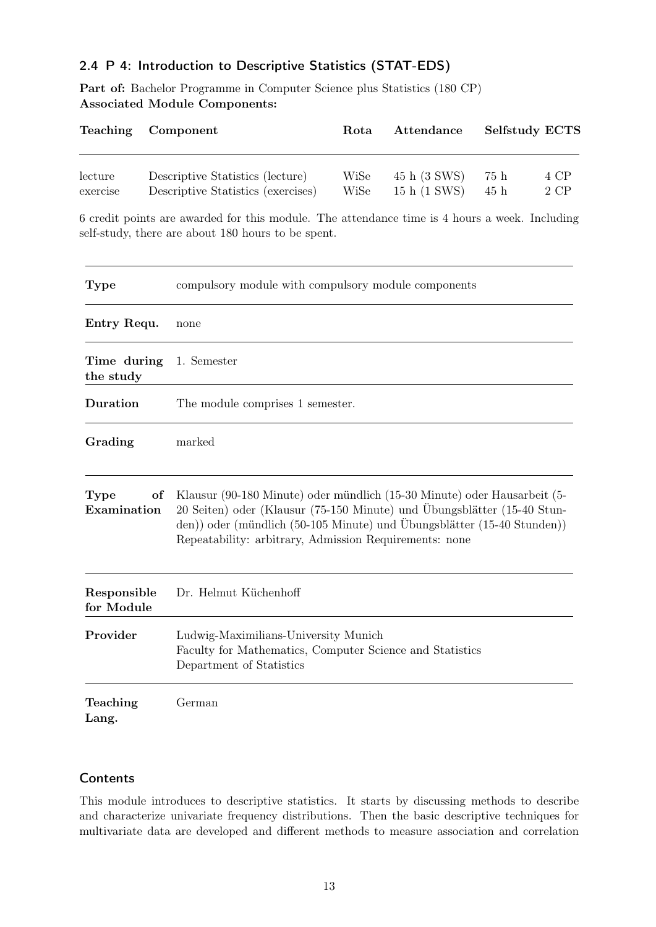### <span id="page-12-0"></span>2.4 P 4: Introduction to Descriptive Statistics (STAT-EDS)

Part of: Bachelor Programme in Computer Science plus Statistics (180 CP) Associated Module Components:

| Teaching                  |  | Component                                                                                                                                                                                                                                                                                | Rota         | Attendance                   | Selfstudy ECTS |                           |
|---------------------------|--|------------------------------------------------------------------------------------------------------------------------------------------------------------------------------------------------------------------------------------------------------------------------------------------|--------------|------------------------------|----------------|---------------------------|
| lecture<br>exercise       |  | Descriptive Statistics (lecture)<br>Descriptive Statistics (exercises)                                                                                                                                                                                                                   | WiSe<br>WiSe | 45 h (3 SWS)<br>15 h (1 SWS) | 75h<br>45h     | 4 CP<br>$2$ $\mathrm{CP}$ |
|                           |  | 6 credit points are awarded for this module. The attendance time is 4 hours a week. Including<br>self-study, there are about 180 hours to be spent.                                                                                                                                      |              |                              |                |                           |
| <b>Type</b>               |  | compulsory module with compulsory module components                                                                                                                                                                                                                                      |              |                              |                |                           |
| Entry Requ.               |  | none                                                                                                                                                                                                                                                                                     |              |                              |                |                           |
| Time during<br>the study  |  | 1. Semester                                                                                                                                                                                                                                                                              |              |                              |                |                           |
| Duration                  |  | The module comprises 1 semester.                                                                                                                                                                                                                                                         |              |                              |                |                           |
| Grading                   |  | marked                                                                                                                                                                                                                                                                                   |              |                              |                |                           |
| Type<br>of<br>Examination |  | Klausur (90-180 Minute) oder mündlich (15-30 Minute) oder Hausarbeit (5-<br>20 Seiten) oder (Klausur (75-150 Minute) und Übungsblätter (15-40 Stun-<br>den)) oder (mündlich (50-105 Minute) und Übungsblätter (15-40 Stunden))<br>Repeatability: arbitrary, Admission Requirements: none |              |                              |                |                           |
| Responsible<br>for Module |  | Dr. Helmut Küchenhoff                                                                                                                                                                                                                                                                    |              |                              |                |                           |
| Provider                  |  | Ludwig-Maximilians-University Munich<br>Faculty for Mathematics, Computer Science and Statistics<br>Department of Statistics                                                                                                                                                             |              |                              |                |                           |
| Teaching<br>Lang.         |  | German                                                                                                                                                                                                                                                                                   |              |                              |                |                           |

### **Contents**

This module introduces to descriptive statistics. It starts by discussing methods to describe and characterize univariate frequency distributions. Then the basic descriptive techniques for multivariate data are developed and different methods to measure association and correlation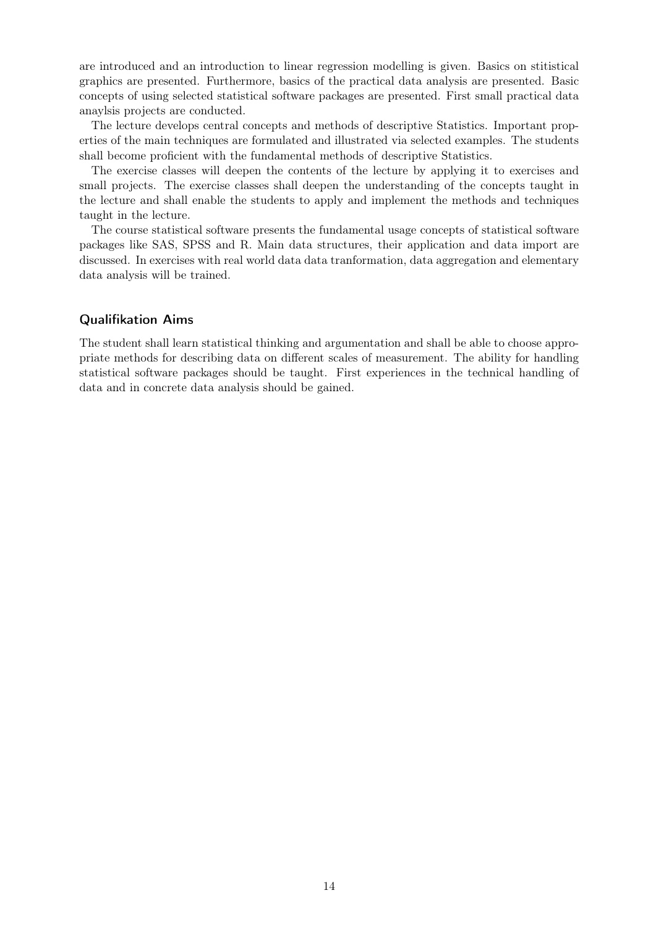are introduced and an introduction to linear regression modelling is given. Basics on stitistical graphics are presented. Furthermore, basics of the practical data analysis are presented. Basic concepts of using selected statistical software packages are presented. First small practical data anaylsis projects are conducted.

The lecture develops central concepts and methods of descriptive Statistics. Important properties of the main techniques are formulated and illustrated via selected examples. The students shall become proficient with the fundamental methods of descriptive Statistics.

The exercise classes will deepen the contents of the lecture by applying it to exercises and small projects. The exercise classes shall deepen the understanding of the concepts taught in the lecture and shall enable the students to apply and implement the methods and techniques taught in the lecture.

The course statistical software presents the fundamental usage concepts of statistical software packages like SAS, SPSS and R. Main data structures, their application and data import are discussed. In exercises with real world data data tranformation, data aggregation and elementary data analysis will be trained.

#### Qualifikation Aims

The student shall learn statistical thinking and argumentation and shall be able to choose appropriate methods for describing data on different scales of measurement. The ability for handling statistical software packages should be taught. First experiences in the technical handling of data and in concrete data analysis should be gained.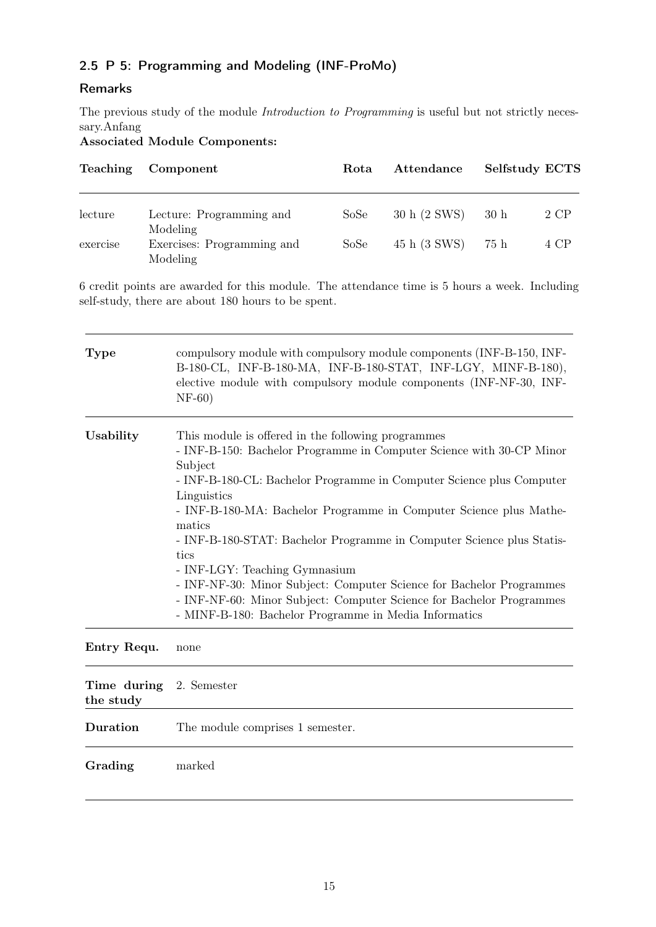### <span id="page-14-0"></span>2.5 P 5: Programming and Modeling (INF-ProMo)

### Remarks

The previous study of the module *Introduction to Programming* is useful but not strictly necessary.Anfang

Associated Module Components:

| <b>Teaching</b> | Component                                          | Rota | Attendance   | <b>Selfstudy ECTS</b> |      |
|-----------------|----------------------------------------------------|------|--------------|-----------------------|------|
| lecture         | Lecture: Programming and                           | SoSe | 30 h (2 SWS) | 30h                   | 2 CP |
| exercise        | Modeling<br>Exercises: Programming and<br>Modeling | SoSe | 45 h (3 SWS) | 75 h                  | 4 CP |

6 credit points are awarded for this module. The attendance time is 5 hours a week. Including self-study, there are about 180 hours to be spent.

| <b>Type</b> | compulsory module with compulsory module components (INF-B-150, INF-<br>B-180-CL, INF-B-180-MA, INF-B-180-STAT, INF-LGY, MINF-B-180),<br>elective module with compulsory module components (INF-NF-30, INF-<br>$NF-60)$                                                                                                                                                                                                                                                                                                                                                                                                                 |
|-------------|-----------------------------------------------------------------------------------------------------------------------------------------------------------------------------------------------------------------------------------------------------------------------------------------------------------------------------------------------------------------------------------------------------------------------------------------------------------------------------------------------------------------------------------------------------------------------------------------------------------------------------------------|
| Usability   | This module is offered in the following programmes<br>- INF-B-150: Bachelor Programme in Computer Science with 30-CP Minor<br>Subject<br>- INF-B-180-CL: Bachelor Programme in Computer Science plus Computer<br>Linguistics<br>- INF-B-180-MA: Bachelor Programme in Computer Science plus Mathe-<br>matics<br>- INF-B-180-STAT: Bachelor Programme in Computer Science plus Statis-<br>tics<br>- INF-LGY: Teaching Gymnasium<br>- INF-NF-30: Minor Subject: Computer Science for Bachelor Programmes<br>- INF-NF-60: Minor Subject: Computer Science for Bachelor Programmes<br>- MINF-B-180: Bachelor Programme in Media Informatics |

Entry Requ. none

| Time during 2. Semester<br>the study |                                  |
|--------------------------------------|----------------------------------|
| Duration                             | The module comprises 1 semester. |
| Grading                              | marked                           |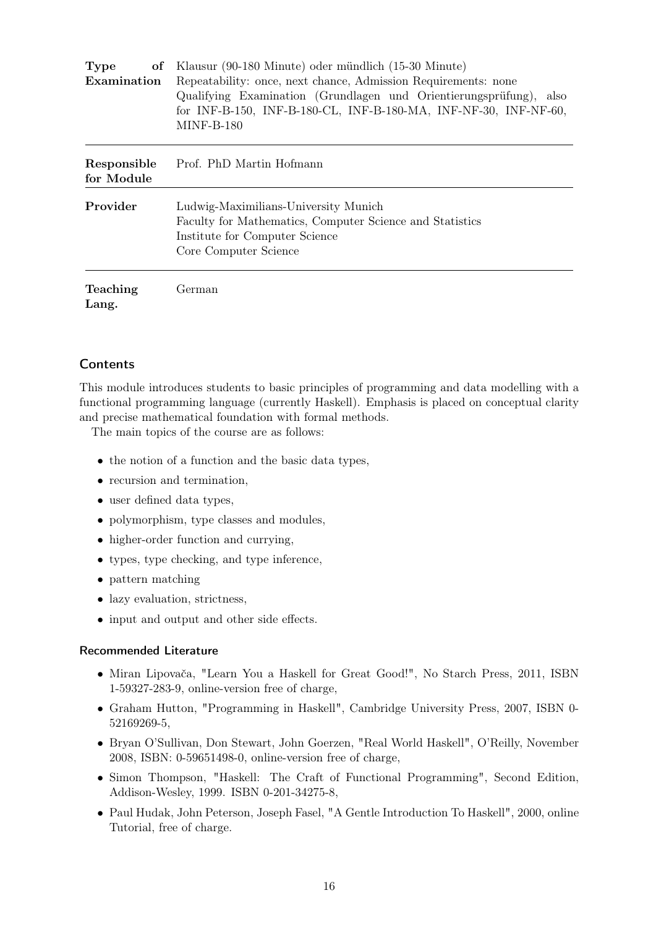| of Klausur (90-180 Minute) oder mündlich (15-30 Minute)<br><b>Type</b> |                                                                                                                                                                |  |  |
|------------------------------------------------------------------------|----------------------------------------------------------------------------------------------------------------------------------------------------------------|--|--|
| Examination                                                            | Repeatability: once, next chance, Admission Requirements: none                                                                                                 |  |  |
|                                                                        | Qualifying Examination (Grundlagen und Orientierungsprüfung),<br>also<br>for INF-B-150, INF-B-180-CL, INF-B-180-MA, INF-NF-30, INF-NF-60,<br><b>MINF-B-180</b> |  |  |
|                                                                        |                                                                                                                                                                |  |  |
| Responsible<br>for Module                                              | Prof. PhD Martin Hofmann                                                                                                                                       |  |  |
| Provider                                                               | Ludwig-Maximilians-University Munich                                                                                                                           |  |  |
|                                                                        | Faculty for Mathematics, Computer Science and Statistics                                                                                                       |  |  |
|                                                                        | Institute for Computer Science                                                                                                                                 |  |  |
|                                                                        | Core Computer Science                                                                                                                                          |  |  |
| <b>Teaching</b><br>Lang.                                               | German                                                                                                                                                         |  |  |
|                                                                        |                                                                                                                                                                |  |  |

This module introduces students to basic principles of programming and data modelling with a functional programming language (currently Haskell). Emphasis is placed on conceptual clarity and precise mathematical foundation with formal methods.

The main topics of the course are as follows:

- the notion of a function and the basic data types,
- recursion and termination.
- user defined data types,
- polymorphism, type classes and modules,
- higher-order function and currying,
- types, type checking, and type inference,
- pattern matching
- lazy evaluation, strictness,
- input and output and other side effects.

#### Recommended Literature

- Miran Lipovača, "Learn You a Haskell for Great Good!", No Starch Press, 2011, ISBN 1-59327-283-9, online-version free of charge,
- Graham Hutton, "Programming in Haskell", Cambridge University Press, 2007, ISBN 0- 52169269-5,
- Bryan O'Sullivan, Don Stewart, John Goerzen, "Real World Haskell", O'Reilly, November 2008, ISBN: 0-59651498-0, online-version free of charge,
- Simon Thompson, "Haskell: The Craft of Functional Programming", Second Edition, Addison-Wesley, 1999. ISBN 0-201-34275-8,
- Paul Hudak, John Peterson, Joseph Fasel, "A Gentle Introduction To Haskell", 2000, online Tutorial, free of charge.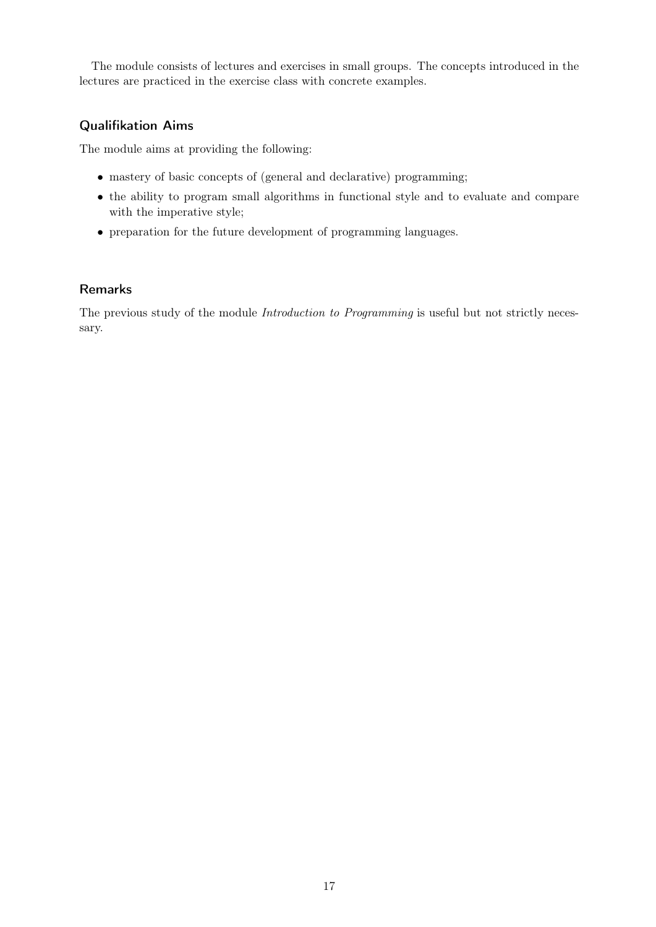The module consists of lectures and exercises in small groups. The concepts introduced in the lectures are practiced in the exercise class with concrete examples.

### Qualifikation Aims

The module aims at providing the following:

- mastery of basic concepts of (general and declarative) programming;
- the ability to program small algorithms in functional style and to evaluate and compare with the imperative style;
- preparation for the future development of programming languages.

#### Remarks

The previous study of the module *Introduction to Programming* is useful but not strictly necessary.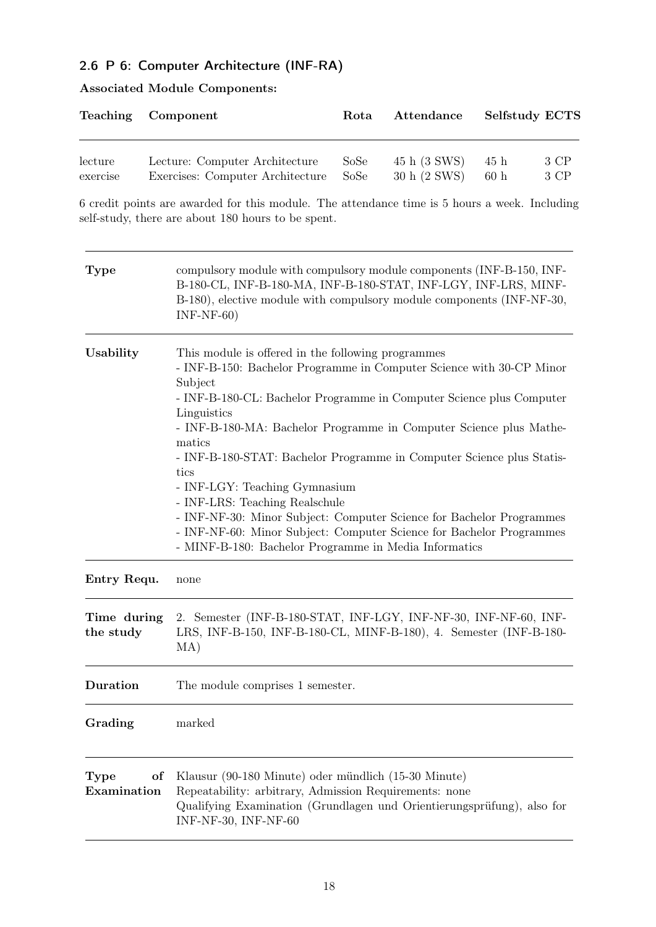### <span id="page-17-0"></span>2.6 P 6: Computer Architecture (INF-RA)

|          | Teaching Component               | Rota | Attendance   |                 | <b>Selfstudy ECTS</b> |
|----------|----------------------------------|------|--------------|-----------------|-----------------------|
| lecture  | Lecture: Computer Architecture   | SoSe | 45 h (3 SWS) | 45 h            | 3 CP                  |
| exercise | Exercises: Computer Architecture | SoSe | 30 h (2 SWS) | 60 <sub>h</sub> | 3 CP                  |

6 credit points are awarded for this module. The attendance time is 5 hours a week. Including self-study, there are about 180 hours to be spent.

| <b>Type</b>               | compulsory module with compulsory module components (INF-B-150, INF-<br>B-180-CL, INF-B-180-MA, INF-B-180-STAT, INF-LGY, INF-LRS, MINF-<br>B-180), elective module with compulsory module components (INF-NF-30,<br>$INF-NF-60)$                                                                                                                                                                                                                                                                                                                                                                                                                                          |
|---------------------------|---------------------------------------------------------------------------------------------------------------------------------------------------------------------------------------------------------------------------------------------------------------------------------------------------------------------------------------------------------------------------------------------------------------------------------------------------------------------------------------------------------------------------------------------------------------------------------------------------------------------------------------------------------------------------|
| Usability                 | This module is offered in the following programmes<br>- INF-B-150: Bachelor Programme in Computer Science with 30-CP Minor<br>Subject<br>- INF-B-180-CL: Bachelor Programme in Computer Science plus Computer<br>Linguistics<br>- INF-B-180-MA: Bachelor Programme in Computer Science plus Mathe-<br>matics<br>- INF-B-180-STAT: Bachelor Programme in Computer Science plus Statis-<br>tics<br>- INF-LGY: Teaching Gymnasium<br>- INF-LRS: Teaching Realschule<br>- INF-NF-30: Minor Subject: Computer Science for Bachelor Programmes<br>- INF-NF-60: Minor Subject: Computer Science for Bachelor Programmes<br>- MINF-B-180: Bachelor Programme in Media Informatics |
| Entry Requ.               | none                                                                                                                                                                                                                                                                                                                                                                                                                                                                                                                                                                                                                                                                      |
| Time during<br>the study  | 2. Semester (INF-B-180-STAT, INF-LGY, INF-NF-30, INF-NF-60, INF-<br>LRS, INF-B-150, INF-B-180-CL, MINF-B-180), 4. Semester (INF-B-180-<br>MA)                                                                                                                                                                                                                                                                                                                                                                                                                                                                                                                             |
| Duration                  | The module comprises 1 semester.                                                                                                                                                                                                                                                                                                                                                                                                                                                                                                                                                                                                                                          |
| Grading                   | marked                                                                                                                                                                                                                                                                                                                                                                                                                                                                                                                                                                                                                                                                    |
| of<br>Type<br>Examination | Klausur (90-180 Minute) oder mündlich (15-30 Minute)<br>Repeatability: arbitrary, Admission Requirements: none<br>Qualifying Examination (Grundlagen und Orientierungsprüfung), also for<br>INF-NF-30, INF-NF-60                                                                                                                                                                                                                                                                                                                                                                                                                                                          |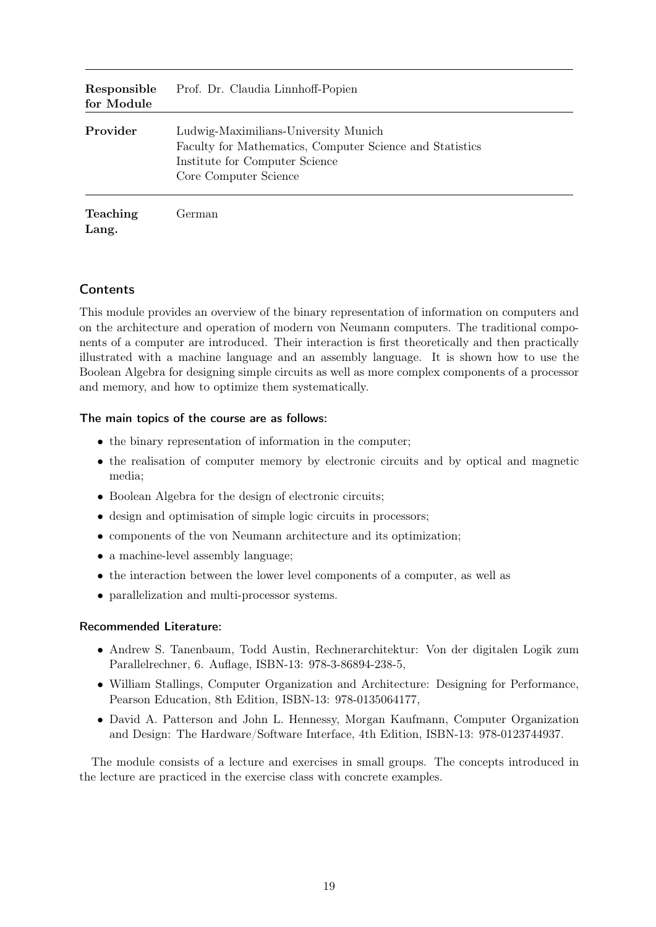| Responsible<br>for Module | Prof. Dr. Claudia Linnhoff-Popien                                                                                                                           |
|---------------------------|-------------------------------------------------------------------------------------------------------------------------------------------------------------|
| Provider                  | Ludwig-Maximilians-University Munich<br>Faculty for Mathematics, Computer Science and Statistics<br>Institute for Computer Science<br>Core Computer Science |
| <b>Teaching</b><br>Lang.  | German                                                                                                                                                      |

This module provides an overview of the binary representation of information on computers and on the architecture and operation of modern von Neumann computers. The traditional components of a computer are introduced. Their interaction is first theoretically and then practically illustrated with a machine language and an assembly language. It is shown how to use the Boolean Algebra for designing simple circuits as well as more complex components of a processor and memory, and how to optimize them systematically.

#### The main topics of the course are as follows:

- the binary representation of information in the computer;
- the realisation of computer memory by electronic circuits and by optical and magnetic media;
- Boolean Algebra for the design of electronic circuits;
- design and optimisation of simple logic circuits in processors;
- components of the von Neumann architecture and its optimization;
- a machine-level assembly language;
- the interaction between the lower level components of a computer, as well as
- parallelization and multi-processor systems.

#### Recommended Literature:

- Andrew S. Tanenbaum, Todd Austin, Rechnerarchitektur: Von der digitalen Logik zum Parallelrechner, 6. Auflage, ISBN-13: 978-3-86894-238-5,
- William Stallings, Computer Organization and Architecture: Designing for Performance, Pearson Education, 8th Edition, ISBN-13: 978-0135064177,
- David A. Patterson and John L. Hennessy, Morgan Kaufmann, Computer Organization and Design: The Hardware/Software Interface, 4th Edition, ISBN-13: 978-0123744937.

The module consists of a lecture and exercises in small groups. The concepts introduced in the lecture are practiced in the exercise class with concrete examples.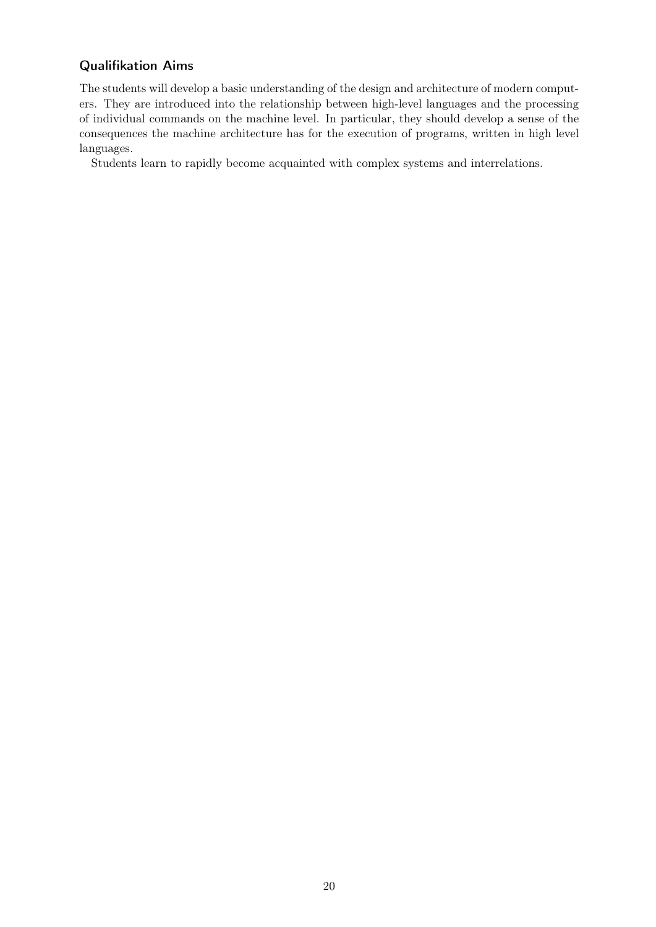### Qualifikation Aims

The students will develop a basic understanding of the design and architecture of modern computers. They are introduced into the relationship between high-level languages and the processing of individual commands on the machine level. In particular, they should develop a sense of the consequences the machine architecture has for the execution of programs, written in high level languages.

Students learn to rapidly become acquainted with complex systems and interrelations.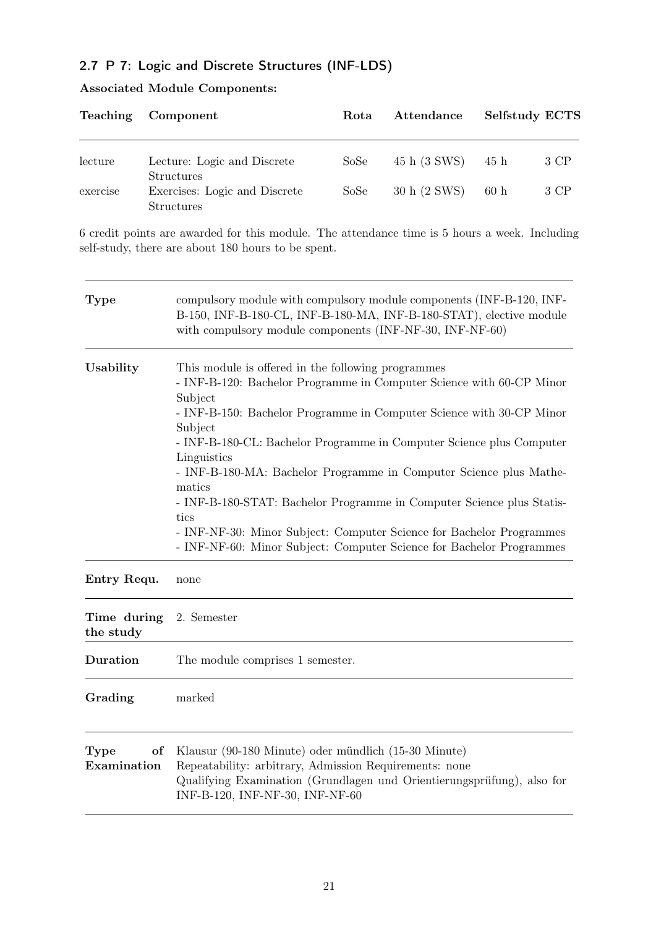### <span id="page-20-0"></span>2.7 P 7: Logic and Discrete Structures (INF-LDS)

|  |  | <b>Associated Module Components:</b> |
|--|--|--------------------------------------|
|--|--|--------------------------------------|

|          | Teaching Component                                 | Rota | Attendance   | Selfstudy ECTS |      |
|----------|----------------------------------------------------|------|--------------|----------------|------|
| lecture  | Lecture: Logic and Discrete<br><b>Structures</b>   | SoSe | 45 h (3 SWS) | 45 h           | 3 CP |
| exercise | Exercises: Logic and Discrete<br><b>Structures</b> | SoSe | 30 h (2 SWS) | 60h            | 3 CP |

6 credit points are awarded for this module. The attendance time is 5 hours a week. Including self-study, there are about 180 hours to be spent.

 $\overline{\phantom{a}}$ 

| <b>Type</b>               | compulsory module with compulsory module components (INF-B-120, INF-<br>B-150, INF-B-180-CL, INF-B-180-MA, INF-B-180-STAT), elective module<br>with compulsory module components (INF-NF-30, INF-NF-60)                                                                                                                                                                                                                                                                                                                                                                                                                          |  |
|---------------------------|----------------------------------------------------------------------------------------------------------------------------------------------------------------------------------------------------------------------------------------------------------------------------------------------------------------------------------------------------------------------------------------------------------------------------------------------------------------------------------------------------------------------------------------------------------------------------------------------------------------------------------|--|
| Usability                 | This module is offered in the following programmes<br>- INF-B-120: Bachelor Programme in Computer Science with 60-CP Minor<br>Subject<br>- INF-B-150: Bachelor Programme in Computer Science with 30-CP Minor<br>Subject<br>- INF-B-180-CL: Bachelor Programme in Computer Science plus Computer<br>Linguistics<br>- INF-B-180-MA: Bachelor Programme in Computer Science plus Mathe-<br>matics<br>- INF-B-180-STAT: Bachelor Programme in Computer Science plus Statis-<br>tics<br>- INF-NF-30: Minor Subject: Computer Science for Bachelor Programmes<br>- INF-NF-60: Minor Subject: Computer Science for Bachelor Programmes |  |
| Entry Requ.               | none                                                                                                                                                                                                                                                                                                                                                                                                                                                                                                                                                                                                                             |  |
| Time during<br>the study  | 2. Semester                                                                                                                                                                                                                                                                                                                                                                                                                                                                                                                                                                                                                      |  |
| Duration                  | The module comprises 1 semester.                                                                                                                                                                                                                                                                                                                                                                                                                                                                                                                                                                                                 |  |
| Grading                   | marked                                                                                                                                                                                                                                                                                                                                                                                                                                                                                                                                                                                                                           |  |
| of<br>Type<br>Examination | Klausur (90-180 Minute) oder mündlich (15-30 Minute)<br>Repeatability: arbitrary, Admission Requirements: none<br>Qualifying Examination (Grundlagen und Orientierungsprüfung), also for<br>INF-B-120, INF-NF-30, INF-NF-60                                                                                                                                                                                                                                                                                                                                                                                                      |  |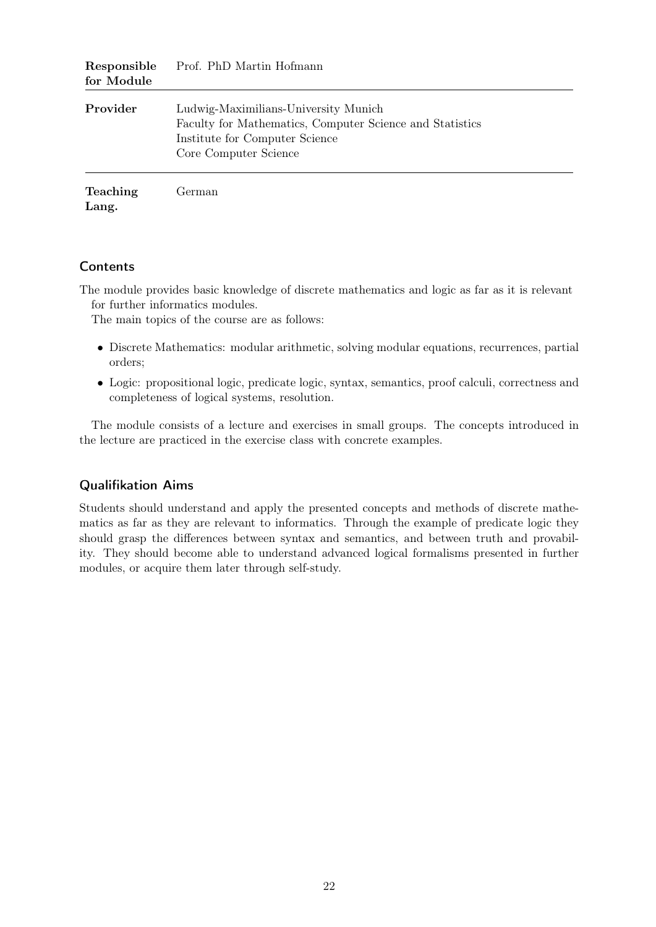| Responsible<br>for Module | Prof. PhD Martin Hofmann                                                                                                                                    |
|---------------------------|-------------------------------------------------------------------------------------------------------------------------------------------------------------|
| Provider                  | Ludwig-Maximilians-University Munich<br>Faculty for Mathematics, Computer Science and Statistics<br>Institute for Computer Science<br>Core Computer Science |
| <b>Teaching</b><br>Lang.  | German                                                                                                                                                      |

The module provides basic knowledge of discrete mathematics and logic as far as it is relevant for further informatics modules.

The main topics of the course are as follows:

- Discrete Mathematics: modular arithmetic, solving modular equations, recurrences, partial orders;
- Logic: propositional logic, predicate logic, syntax, semantics, proof calculi, correctness and completeness of logical systems, resolution.

The module consists of a lecture and exercises in small groups. The concepts introduced in the lecture are practiced in the exercise class with concrete examples.

#### Qualifikation Aims

Students should understand and apply the presented concepts and methods of discrete mathematics as far as they are relevant to informatics. Through the example of predicate logic they should grasp the differences between syntax and semantics, and between truth and provability. They should become able to understand advanced logical formalisms presented in further modules, or acquire them later through self-study.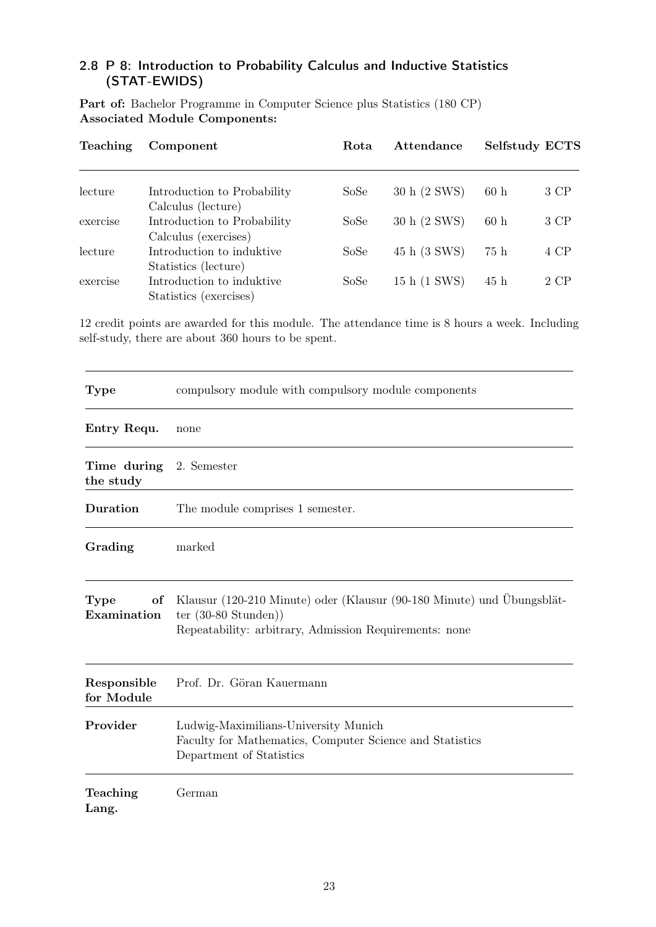### <span id="page-22-0"></span>2.8 P 8: Introduction to Probability Calculus and Inductive Statistics (STAT-EWIDS)

Part of: Bachelor Programme in Computer Science plus Statistics (180 CP) Associated Module Components:

| Teaching | Component                                           | Rota | Attendance   | <b>Selfstudy ECTS</b> |      |
|----------|-----------------------------------------------------|------|--------------|-----------------------|------|
| lecture  | Introduction to Probability                         | SoSe | 30 h (2 SWS) | 60h                   | 3 CP |
|          | Calculus (lecture)                                  |      |              |                       |      |
| exercise | Introduction to Probability<br>Calculus (exercises) | SoSe | 30 h (2 SWS) | 60h                   | 3 CP |
| lecture  | Introduction to induktive<br>Statistics (lecture)   | SoSe | 45 h (3 SWS) | 75 h                  | 4 CP |
| exercise | Introduction to induktive<br>Statistics (exercises) | SoSe | 15 h (1 SWS) | 45h                   | 2 CP |

12 credit points are awarded for this module. The attendance time is 8 hours a week. Including self-study, there are about 360 hours to be spent.

| <b>Type</b>                          | compulsory module with compulsory module components                                                                                                                |
|--------------------------------------|--------------------------------------------------------------------------------------------------------------------------------------------------------------------|
| Entry Requ.                          | none                                                                                                                                                               |
| Time during 2. Semester<br>the study |                                                                                                                                                                    |
| Duration                             | The module comprises 1 semester.                                                                                                                                   |
| Grading                              | marked                                                                                                                                                             |
| <b>Type</b><br>of<br>Examination     | Klausur (120-210 Minute) oder (Klausur (90-180 Minute) und Übungsblät-<br>ter $(30-80 \text{ Stunden}))$<br>Repeatability: arbitrary, Admission Requirements: none |
| Responsible<br>for Module            | Prof. Dr. Göran Kauermann                                                                                                                                          |
| Provider                             | Ludwig-Maximilians-University Munich<br>Faculty for Mathematics, Computer Science and Statistics<br>Department of Statistics                                       |
| Teaching<br>Lang.                    | German                                                                                                                                                             |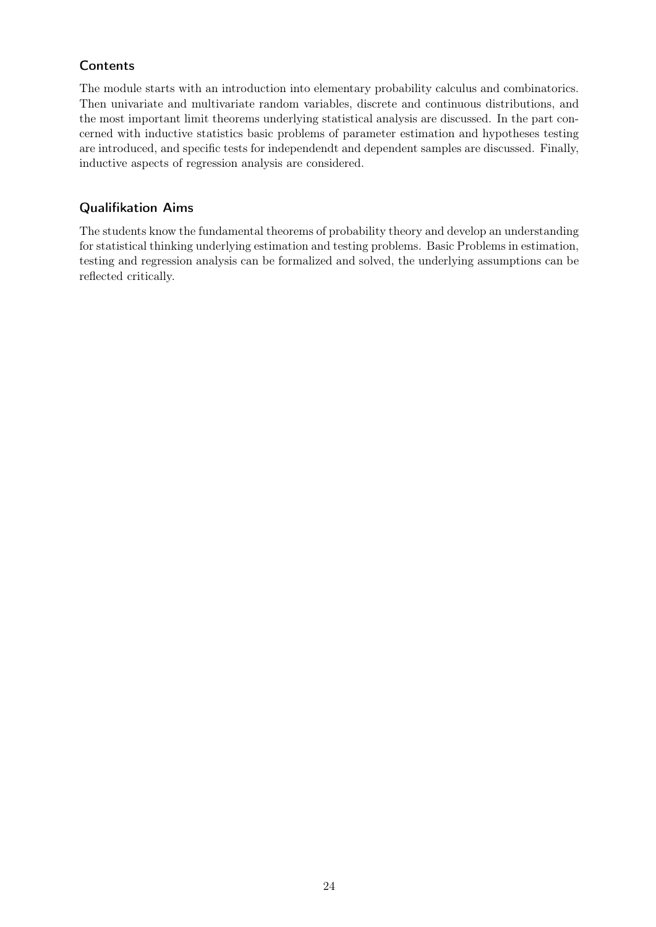The module starts with an introduction into elementary probability calculus and combinatorics. Then univariate and multivariate random variables, discrete and continuous distributions, and the most important limit theorems underlying statistical analysis are discussed. In the part concerned with inductive statistics basic problems of parameter estimation and hypotheses testing are introduced, and specific tests for independendt and dependent samples are discussed. Finally, inductive aspects of regression analysis are considered.

### Qualifikation Aims

The students know the fundamental theorems of probability theory and develop an understanding for statistical thinking underlying estimation and testing problems. Basic Problems in estimation, testing and regression analysis can be formalized and solved, the underlying assumptions can be reflected critically.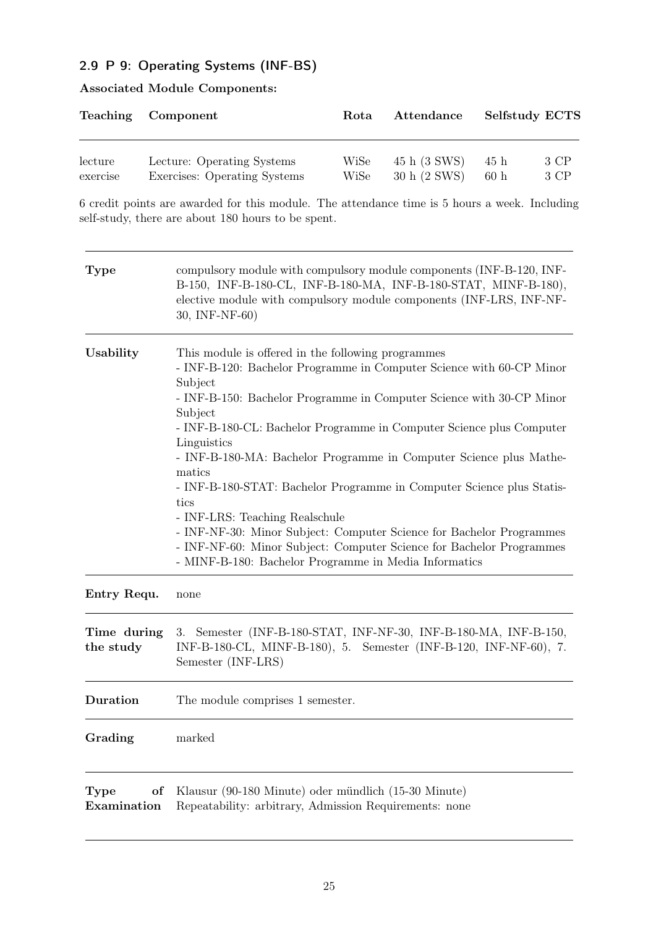### <span id="page-24-0"></span>2.9 P 9: Operating Systems (INF-BS)

|          | Teaching Component           | <b>Rota</b> | Attendance   |      | <b>Selfstudy ECTS</b> |
|----------|------------------------------|-------------|--------------|------|-----------------------|
| lecture  | Lecture: Operating Systems   | WiSe        | 45 h (3 SWS) | 45 h | 3 CP                  |
| exercise | Exercises: Operating Systems | WiSe        | 30 h (2 SWS) | 60h  | 3 CP                  |

### Associated Module Components:

6 credit points are awarded for this module. The attendance time is 5 hours a week. Including self-study, there are about 180 hours to be spent.

| <b>Type</b>                      | compulsory module with compulsory module components (INF-B-120, INF-<br>B-150, INF-B-180-CL, INF-B-180-MA, INF-B-180-STAT, MINF-B-180),<br>elective module with compulsory module components (INF-LRS, INF-NF-<br>30, INF-NF-60)                                                                                                                                                                                                                                                                                                                                                                                                                                                                                            |
|----------------------------------|-----------------------------------------------------------------------------------------------------------------------------------------------------------------------------------------------------------------------------------------------------------------------------------------------------------------------------------------------------------------------------------------------------------------------------------------------------------------------------------------------------------------------------------------------------------------------------------------------------------------------------------------------------------------------------------------------------------------------------|
| Usability                        | This module is offered in the following programmes<br>- INF-B-120: Bachelor Programme in Computer Science with 60-CP Minor<br>Subject<br>- INF-B-150: Bachelor Programme in Computer Science with 30-CP Minor<br>Subject<br>- INF-B-180-CL: Bachelor Programme in Computer Science plus Computer<br>Linguistics<br>- INF-B-180-MA: Bachelor Programme in Computer Science plus Mathe-<br>matics<br>- INF-B-180-STAT: Bachelor Programme in Computer Science plus Statis-<br>tics<br>- INF-LRS: Teaching Realschule<br>- INF-NF-30: Minor Subject: Computer Science for Bachelor Programmes<br>- INF-NF-60: Minor Subject: Computer Science for Bachelor Programmes<br>- MINF-B-180: Bachelor Programme in Media Informatics |
| Entry Requ.                      | none                                                                                                                                                                                                                                                                                                                                                                                                                                                                                                                                                                                                                                                                                                                        |
| Time during<br>the study         | 3. Semester (INF-B-180-STAT, INF-NF-30, INF-B-180-MA, INF-B-150,<br>INF-B-180-CL, MINF-B-180), 5. Semester (INF-B-120, INF-NF-60), 7.<br>Semester (INF-LRS)                                                                                                                                                                                                                                                                                                                                                                                                                                                                                                                                                                 |
| <b>Duration</b>                  | The module comprises 1 semester.                                                                                                                                                                                                                                                                                                                                                                                                                                                                                                                                                                                                                                                                                            |
| Grading                          | marked                                                                                                                                                                                                                                                                                                                                                                                                                                                                                                                                                                                                                                                                                                                      |
| <b>Type</b><br>of<br>Examination | Klausur (90-180 Minute) oder mündlich (15-30 Minute)<br>Repeatability: arbitrary, Admission Requirements: none                                                                                                                                                                                                                                                                                                                                                                                                                                                                                                                                                                                                              |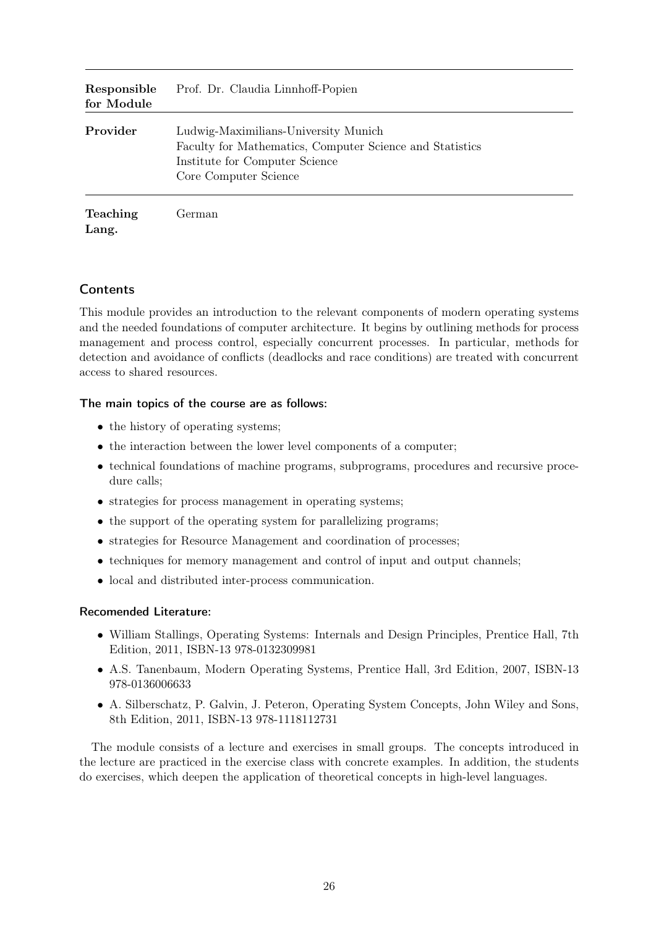| Responsible<br>for Module | Prof. Dr. Claudia Linnhoff-Popien                                                                                                                           |
|---------------------------|-------------------------------------------------------------------------------------------------------------------------------------------------------------|
| Provider                  | Ludwig-Maximilians-University Munich<br>Faculty for Mathematics, Computer Science and Statistics<br>Institute for Computer Science<br>Core Computer Science |
| <b>Teaching</b><br>Lang.  | German                                                                                                                                                      |

This module provides an introduction to the relevant components of modern operating systems and the needed foundations of computer architecture. It begins by outlining methods for process management and process control, especially concurrent processes. In particular, methods for detection and avoidance of conflicts (deadlocks and race conditions) are treated with concurrent access to shared resources.

#### The main topics of the course are as follows:

- the history of operating systems;
- the interaction between the lower level components of a computer;
- technical foundations of machine programs, subprograms, procedures and recursive procedure calls;
- strategies for process management in operating systems;
- the support of the operating system for parallelizing programs;
- strategies for Resource Management and coordination of processes;
- techniques for memory management and control of input and output channels;
- local and distributed inter-process communication.

#### Recomended Literature:

- William Stallings, Operating Systems: Internals and Design Principles, Prentice Hall, 7th Edition, 2011, ISBN-13 978-0132309981
- A.S. Tanenbaum, Modern Operating Systems, Prentice Hall, 3rd Edition, 2007, ISBN-13 978-0136006633
- A. Silberschatz, P. Galvin, J. Peteron, Operating System Concepts, John Wiley and Sons, 8th Edition, 2011, ISBN-13 978-1118112731

The module consists of a lecture and exercises in small groups. The concepts introduced in the lecture are practiced in the exercise class with concrete examples. In addition, the students do exercises, which deepen the application of theoretical concepts in high-level languages.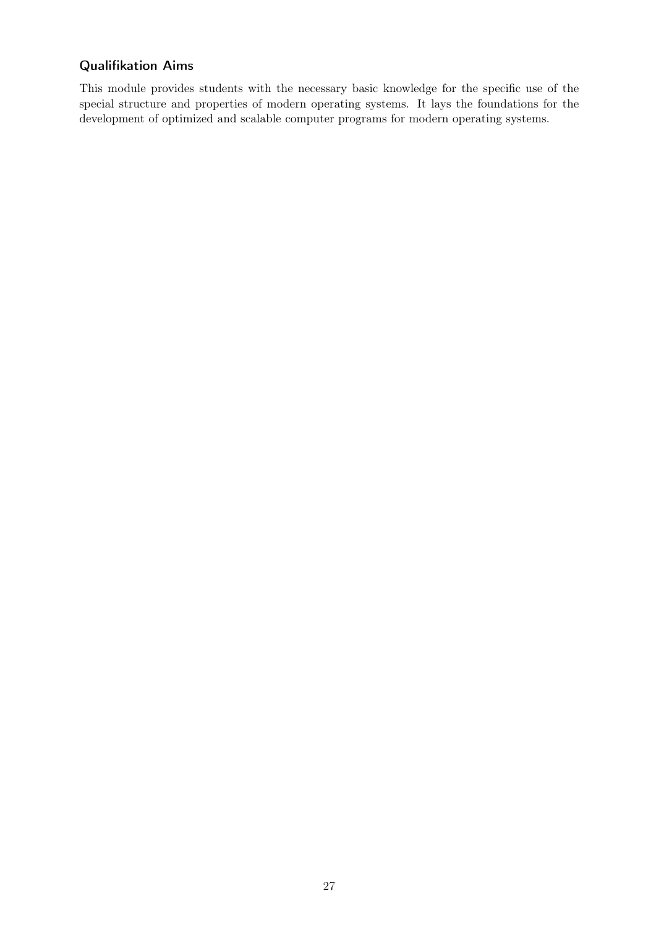### Qualifikation Aims

This module provides students with the necessary basic knowledge for the specific use of the special structure and properties of modern operating systems. It lays the foundations for the development of optimized and scalable computer programs for modern operating systems.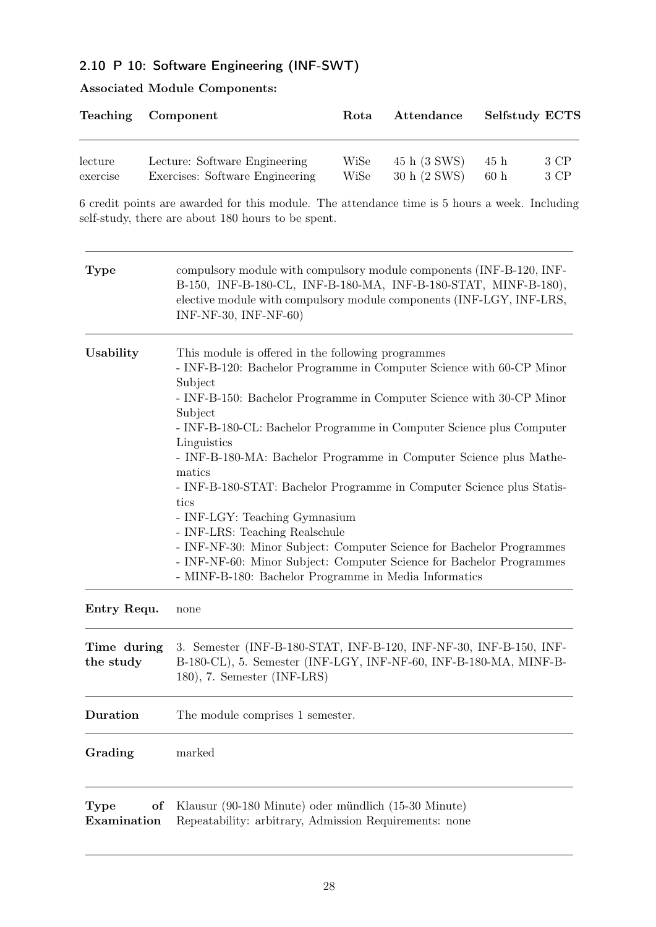### <span id="page-27-0"></span>2.10 P 10: Software Engineering (INF-SWT)

| <b>Associated Module Components:</b> |  |
|--------------------------------------|--|
|--------------------------------------|--|

|          | Teaching Component              | Rota | Attendance   |                 | <b>Selfstudy ECTS</b> |
|----------|---------------------------------|------|--------------|-----------------|-----------------------|
| lecture  | Lecture: Software Engineering   | WiSe | 45 h (3 SWS) | 45 h            | 3 CP                  |
| exercise | Exercises: Software Engineering | WiSe | 30 h (2 SWS) | 60 <sub>h</sub> | 3 CP                  |

6 credit points are awarded for this module. The attendance time is 5 hours a week. Including self-study, there are about 180 hours to be spent.

| <b>Type</b>               | compulsory module with compulsory module components (INF-B-120, INF-<br>B-150, INF-B-180-CL, INF-B-180-MA, INF-B-180-STAT, MINF-B-180),<br>elective module with compulsory module components (INF-LGY, INF-LRS,<br>INF-NF-30, INF-NF-60)                                                                                                                                                                                                                                                                                                                                                                                                                                                                                                                     |
|---------------------------|--------------------------------------------------------------------------------------------------------------------------------------------------------------------------------------------------------------------------------------------------------------------------------------------------------------------------------------------------------------------------------------------------------------------------------------------------------------------------------------------------------------------------------------------------------------------------------------------------------------------------------------------------------------------------------------------------------------------------------------------------------------|
| Usability                 | This module is offered in the following programmes<br>- INF-B-120: Bachelor Programme in Computer Science with 60-CP Minor<br>Subject<br>- INF-B-150: Bachelor Programme in Computer Science with 30-CP Minor<br>Subject<br>- INF-B-180-CL: Bachelor Programme in Computer Science plus Computer<br>Linguistics<br>- INF-B-180-MA: Bachelor Programme in Computer Science plus Mathe-<br>matics<br>- INF-B-180-STAT: Bachelor Programme in Computer Science plus Statis-<br>tics<br>- INF-LGY: Teaching Gymnasium<br>- INF-LRS: Teaching Realschule<br>- INF-NF-30: Minor Subject: Computer Science for Bachelor Programmes<br>- INF-NF-60: Minor Subject: Computer Science for Bachelor Programmes<br>- MINF-B-180: Bachelor Programme in Media Informatics |
| Entry Requ.               | none                                                                                                                                                                                                                                                                                                                                                                                                                                                                                                                                                                                                                                                                                                                                                         |
| Time during<br>the study  | 3. Semester (INF-B-180-STAT, INF-B-120, INF-NF-30, INF-B-150, INF-<br>B-180-CL), 5. Semester (INF-LGY, INF-NF-60, INF-B-180-MA, MINF-B-<br>180), 7. Semester (INF-LRS)                                                                                                                                                                                                                                                                                                                                                                                                                                                                                                                                                                                       |
| Duration                  | The module comprises 1 semester.                                                                                                                                                                                                                                                                                                                                                                                                                                                                                                                                                                                                                                                                                                                             |
| Grading                   | marked                                                                                                                                                                                                                                                                                                                                                                                                                                                                                                                                                                                                                                                                                                                                                       |
| Type<br>of<br>Examination | Klausur (90-180 Minute) oder mündlich (15-30 Minute)<br>Repeatability: arbitrary, Admission Requirements: none                                                                                                                                                                                                                                                                                                                                                                                                                                                                                                                                                                                                                                               |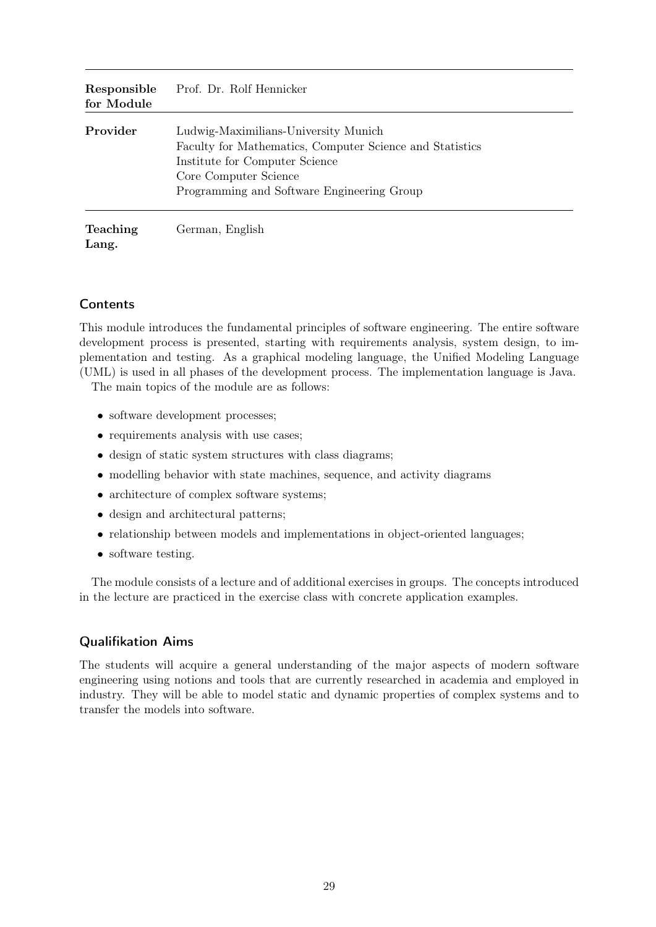| Responsible<br>for Module | Prof. Dr. Rolf Hennicker                                                                                                                                                                                  |
|---------------------------|-----------------------------------------------------------------------------------------------------------------------------------------------------------------------------------------------------------|
| Provider                  | Ludwig-Maximilians-University Munich<br>Faculty for Mathematics, Computer Science and Statistics<br>Institute for Computer Science<br>Core Computer Science<br>Programming and Software Engineering Group |
| <b>Teaching</b><br>Lang.  | German, English                                                                                                                                                                                           |

This module introduces the fundamental principles of software engineering. The entire software development process is presented, starting with requirements analysis, system design, to implementation and testing. As a graphical modeling language, the Unified Modeling Language (UML) is used in all phases of the development process. The implementation language is Java.

The main topics of the module are as follows:

- software development processes;
- requirements analysis with use cases;
- design of static system structures with class diagrams;
- modelling behavior with state machines, sequence, and activity diagrams
- architecture of complex software systems;
- design and architectural patterns;
- relationship between models and implementations in object-oriented languages;
- software testing.

The module consists of a lecture and of additional exercises in groups. The concepts introduced in the lecture are practiced in the exercise class with concrete application examples.

#### Qualifikation Aims

The students will acquire a general understanding of the major aspects of modern software engineering using notions and tools that are currently researched in academia and employed in industry. They will be able to model static and dynamic properties of complex systems and to transfer the models into software.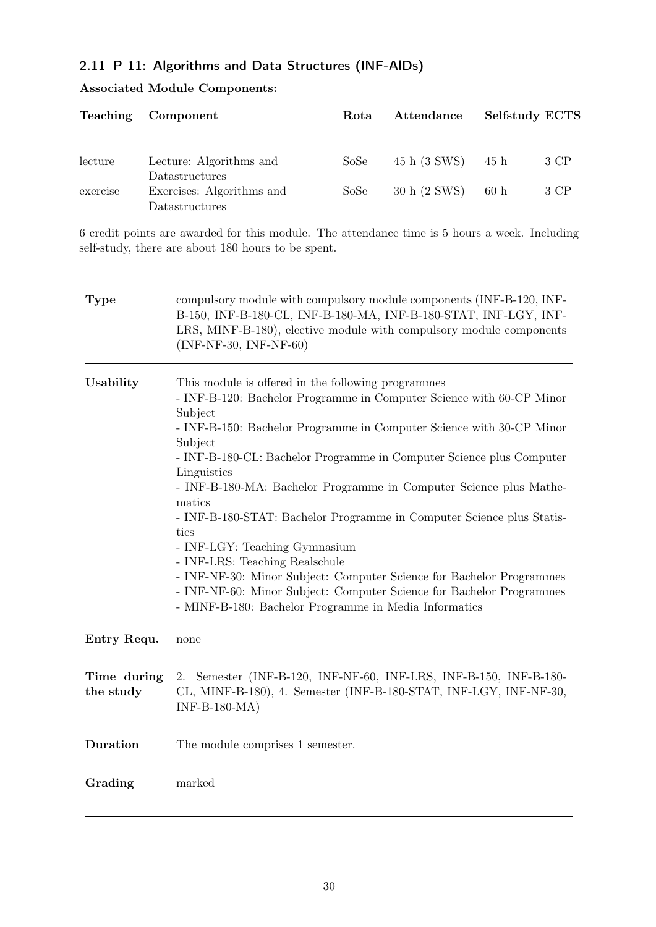### <span id="page-29-0"></span>2.11 P 11: Algorithms and Data Structures (INF-AlDs)

|  |  | <b>Associated Module Components:</b> |
|--|--|--------------------------------------|
|--|--|--------------------------------------|

| <b>Teaching</b> | Component                                                     | Rota | Attendance   | <b>Selfstudy ECTS</b> |      |
|-----------------|---------------------------------------------------------------|------|--------------|-----------------------|------|
| lecture         | Lecture: Algorithms and                                       | SoSe | 45 h (3 SWS) | 45 h                  | 3 CP |
| exercise        | Datastructures<br>Exercises: Algorithms and<br>Datastructures | SoSe | 30 h (2 SWS) | 60h                   | 3 CP |

6 credit points are awarded for this module. The attendance time is 5 hours a week. Including self-study, there are about 180 hours to be spent.

| <b>Type</b>              | compulsory module with compulsory module components (INF-B-120, INF-<br>B-150, INF-B-180-CL, INF-B-180-MA, INF-B-180-STAT, INF-LGY, INF-<br>LRS, MINF-B-180), elective module with compulsory module components<br>$(INF-NF-30, INF-NF-60)$                                                                                                                                                                                                                                                                                                                                                                                                                                                                                                                  |
|--------------------------|--------------------------------------------------------------------------------------------------------------------------------------------------------------------------------------------------------------------------------------------------------------------------------------------------------------------------------------------------------------------------------------------------------------------------------------------------------------------------------------------------------------------------------------------------------------------------------------------------------------------------------------------------------------------------------------------------------------------------------------------------------------|
| Usability                | This module is offered in the following programmes<br>- INF-B-120: Bachelor Programme in Computer Science with 60-CP Minor<br>Subject<br>- INF-B-150: Bachelor Programme in Computer Science with 30-CP Minor<br>Subject<br>- INF-B-180-CL: Bachelor Programme in Computer Science plus Computer<br>Linguistics<br>- INF-B-180-MA: Bachelor Programme in Computer Science plus Mathe-<br>matics<br>- INF-B-180-STAT: Bachelor Programme in Computer Science plus Statis-<br>tics<br>- INF-LGY: Teaching Gymnasium<br>- INF-LRS: Teaching Realschule<br>- INF-NF-30: Minor Subject: Computer Science for Bachelor Programmes<br>- INF-NF-60: Minor Subject: Computer Science for Bachelor Programmes<br>- MINF-B-180: Bachelor Programme in Media Informatics |
| Entry Requ.              | none                                                                                                                                                                                                                                                                                                                                                                                                                                                                                                                                                                                                                                                                                                                                                         |
| Time during<br>the study | Semester (INF-B-120, INF-NF-60, INF-LRS, INF-B-150, INF-B-180-<br>2.<br>CL, MINF-B-180), 4. Semester (INF-B-180-STAT, INF-LGY, INF-NF-30,<br>$INF-B-180-MA)$                                                                                                                                                                                                                                                                                                                                                                                                                                                                                                                                                                                                 |
| Duration                 | The module comprises 1 semester.                                                                                                                                                                                                                                                                                                                                                                                                                                                                                                                                                                                                                                                                                                                             |
| Grading                  | marked                                                                                                                                                                                                                                                                                                                                                                                                                                                                                                                                                                                                                                                                                                                                                       |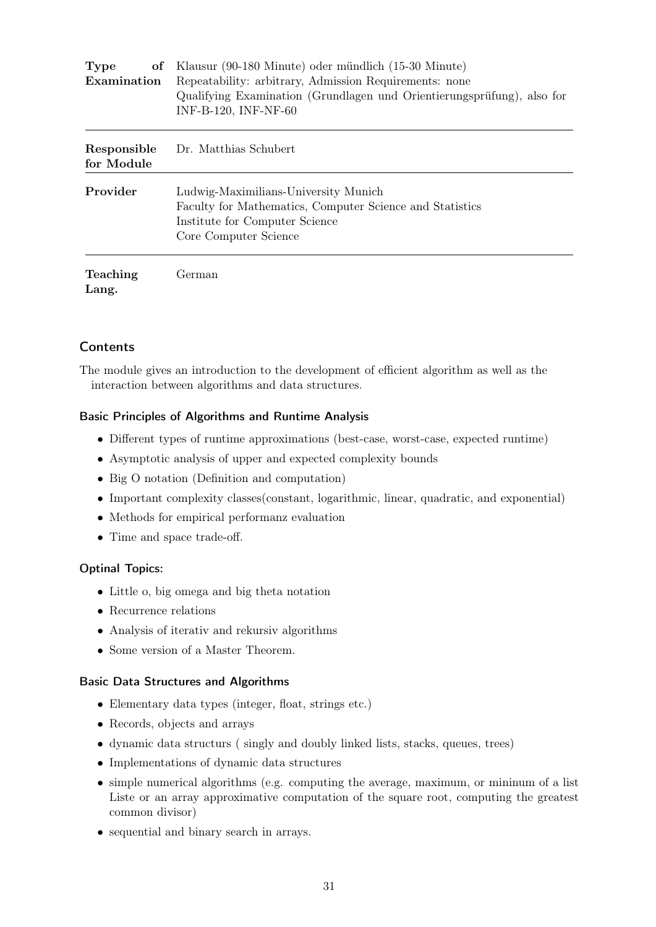| of Klausur (90-180 Minute) oder mündlich (15-30 Minute)<br><b>Type</b> |                                                                                                                                                             |  |  |
|------------------------------------------------------------------------|-------------------------------------------------------------------------------------------------------------------------------------------------------------|--|--|
| Examination                                                            | Repeatability: arbitrary, Admission Requirements: none                                                                                                      |  |  |
|                                                                        | Qualifying Examination (Grundlagen und Orientierungsprüfung), also for<br>INF-B-120, INF-NF-60                                                              |  |  |
| Responsible<br>for Module                                              | Dr. Matthias Schubert                                                                                                                                       |  |  |
| Provider                                                               | Ludwig-Maximilians-University Munich<br>Faculty for Mathematics, Computer Science and Statistics<br>Institute for Computer Science<br>Core Computer Science |  |  |
| <b>Teaching</b><br>Lang.                                               | German                                                                                                                                                      |  |  |

The module gives an introduction to the development of efficient algorithm as well as the interaction between algorithms and data structures.

#### Basic Principles of Algorithms and Runtime Analysis

- Different types of runtime approximations (best-case, worst-case, expected runtime)
- Asymptotic analysis of upper and expected complexity bounds
- Big O notation (Definition and computation)
- Important complexity classes(constant, logarithmic, linear, quadratic, and exponential)
- Methods for empirical performanz evaluation
- Time and space trade-off.

#### Optinal Topics:

- Little o, big omega and big theta notation
- Recurrence relations
- Analysis of iterativ and rekursiv algorithms
- Some version of a Master Theorem.

#### Basic Data Structures and Algorithms

- Elementary data types (integer, float, strings etc.)
- Records, objects and arrays
- dynamic data structurs ( singly and doubly linked lists, stacks, queues, trees)
- Implementations of dynamic data structures
- simple numerical algorithms (e.g. computing the average, maximum, or mininum of a list Liste or an array approximative computation of the square root, computing the greatest common divisor)
- sequential and binary search in arrays.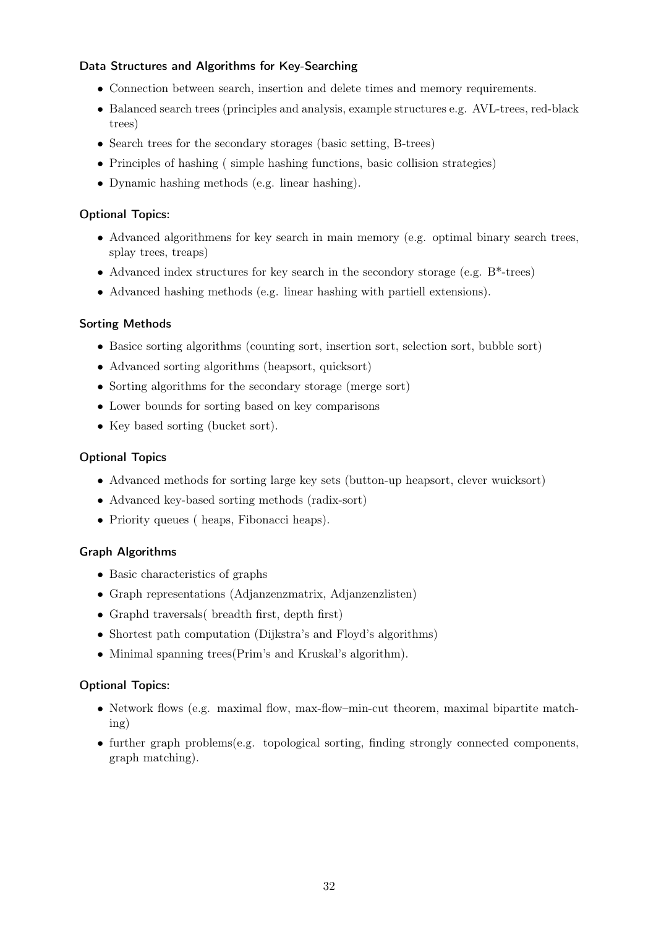#### Data Structures and Algorithms for Key-Searching

- Connection between search, insertion and delete times and memory requirements.
- Balanced search trees (principles and analysis, example structures e.g. AVL-trees, red-black trees)
- Search trees for the secondary storages (basic setting, B-trees)
- Principles of hashing ( simple hashing functions, basic collision strategies)
- Dynamic hashing methods (e.g. linear hashing).

#### Optional Topics:

- Advanced algorithmens for key search in main memory (e.g. optimal binary search trees, splay trees, treaps)
- Advanced index structures for key search in the secondory storage (e.g. B\*-trees)
- Advanced hashing methods (e.g. linear hashing with partiell extensions).

#### Sorting Methods

- Basice sorting algorithms (counting sort, insertion sort, selection sort, bubble sort)
- Advanced sorting algorithms (heapsort, quicksort)
- Sorting algorithms for the secondary storage (merge sort)
- Lower bounds for sorting based on key comparisons
- Key based sorting (bucket sort).

#### Optional Topics

- Advanced methods for sorting large key sets (button-up heapsort, clever wuicksort)
- Advanced key-based sorting methods (radix-sort)
- Priority queues ( heaps, Fibonacci heaps).

#### Graph Algorithms

- Basic characteristics of graphs
- Graph representations (Adjanzenzmatrix, Adjanzenzlisten)
- Graphd traversals( breadth first, depth first)
- Shortest path computation (Dijkstra's and Floyd's algorithms)
- Minimal spanning trees(Prim's and Kruskal's algorithm).

#### Optional Topics:

- Network flows (e.g. maximal flow, max-flow–min-cut theorem, maximal bipartite matching)
- further graph problems(e.g. topological sorting, finding strongly connected components, graph matching).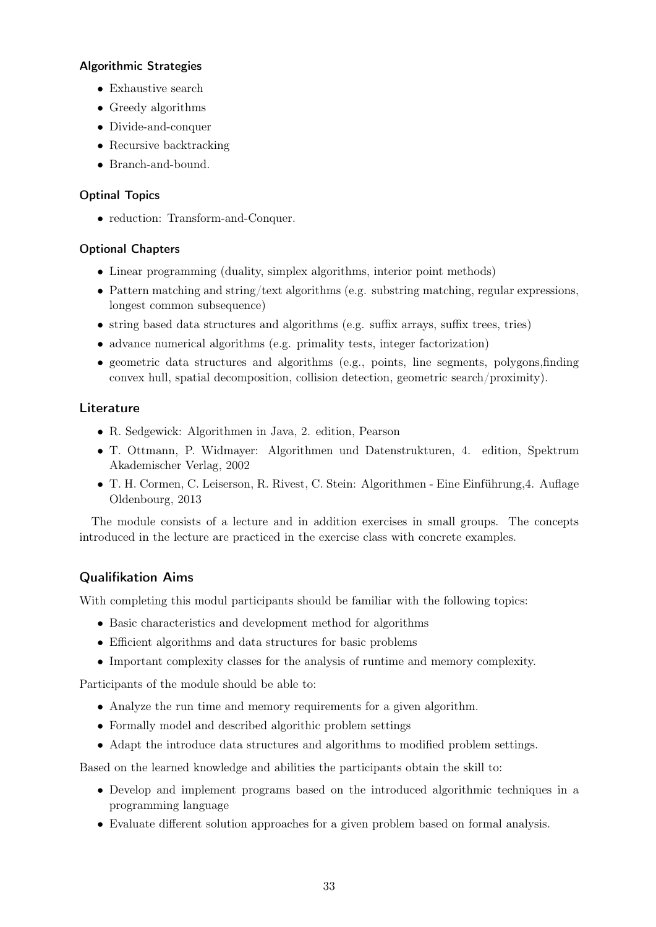### Algorithmic Strategies

- Exhaustive search
- Greedy algorithms
- Divide-and-conquer
- Recursive backtracking
- Branch-and-bound.

### Optinal Topics

• reduction: Transform-and-Conquer.

### Optional Chapters

- Linear programming (duality, simplex algorithms, interior point methods)
- Pattern matching and string/text algorithms (e.g. substring matching, regular expressions, longest common subsequence)
- string based data structures and algorithms (e.g. suffix arrays, suffix trees, tries)
- advance numerical algorithms (e.g. primality tests, integer factorization)
- geometric data structures and algorithms (e.g., points, line segments, polygons,finding convex hull, spatial decomposition, collision detection, geometric search/proximity).

### Literature

- R. Sedgewick: Algorithmen in Java, 2. edition, Pearson
- T. Ottmann, P. Widmayer: Algorithmen und Datenstrukturen, 4. edition, Spektrum Akademischer Verlag, 2002
- T. H. Cormen, C. Leiserson, R. Rivest, C. Stein: Algorithmen Eine Einführung,4. Auflage Oldenbourg, 2013

The module consists of a lecture and in addition exercises in small groups. The concepts introduced in the lecture are practiced in the exercise class with concrete examples.

### Qualifikation Aims

With completing this modul participants should be familiar with the following topics:

- Basic characteristics and development method for algorithms
- Efficient algorithms and data structures for basic problems
- Important complexity classes for the analysis of runtime and memory complexity.

Participants of the module should be able to:

- Analyze the run time and memory requirements for a given algorithm.
- Formally model and described algorithic problem settings
- Adapt the introduce data structures and algorithms to modified problem settings.

Based on the learned knowledge and abilities the participants obtain the skill to:

- Develop and implement programs based on the introduced algorithmic techniques in a programming language
- Evaluate different solution approaches for a given problem based on formal analysis.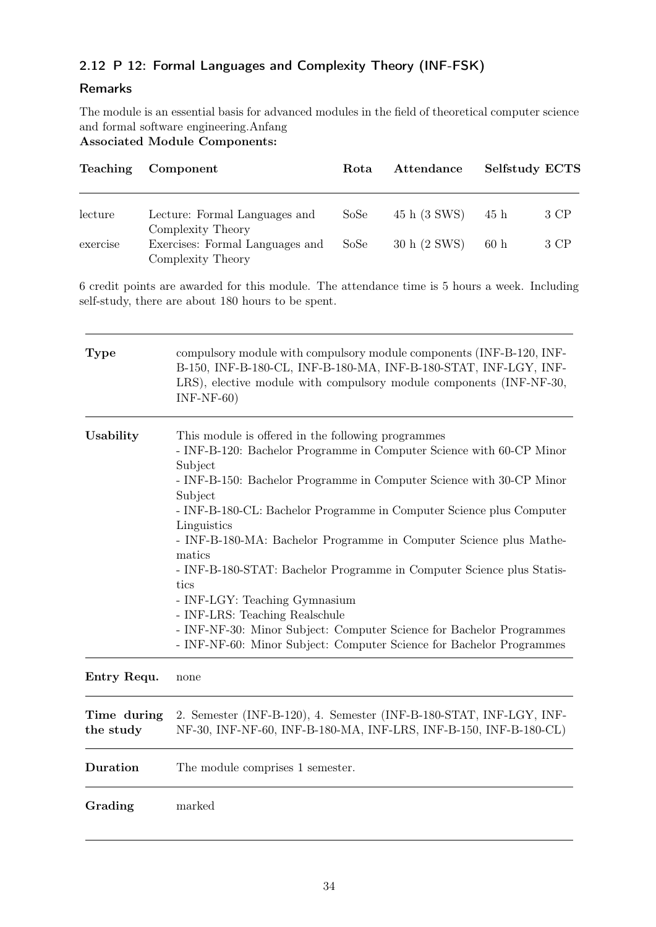### <span id="page-33-0"></span>2.12 P 12: Formal Languages and Complexity Theory (INF-FSK)

### Remarks

The module is an essential basis for advanced modules in the field of theoretical computer science and formal software engineering.Anfang

Associated Module Components:

| Teaching | Component                                            | Rota | Attendance   | Selfstudy ECTS |      |
|----------|------------------------------------------------------|------|--------------|----------------|------|
|          |                                                      |      |              |                |      |
| lecture  | Lecture: Formal Languages and<br>Complexity Theory   | SoSe | 45 h (3 SWS) | 45 h           | 3 CP |
| exercise | Exercises: Formal Languages and<br>Complexity Theory | SoSe | 30 h (2 SWS) | 60h            | 3 CP |

6 credit points are awarded for this module. The attendance time is 5 hours a week. Including self-study, there are about 180 hours to be spent.

| <b>Type</b>              | compulsory module with compulsory module components (INF-B-120, INF-<br>B-150, INF-B-180-CL, INF-B-180-MA, INF-B-180-STAT, INF-LGY, INF-<br>LRS), elective module with compulsory module components (INF-NF-30,<br>$INF-NF-60)$                                                                                                                                                                                                                                                                                                                                                                                                                                                                     |
|--------------------------|-----------------------------------------------------------------------------------------------------------------------------------------------------------------------------------------------------------------------------------------------------------------------------------------------------------------------------------------------------------------------------------------------------------------------------------------------------------------------------------------------------------------------------------------------------------------------------------------------------------------------------------------------------------------------------------------------------|
| Usability                | This module is offered in the following programmes<br>- INF-B-120: Bachelor Programme in Computer Science with 60-CP Minor<br>Subject<br>- INF-B-150: Bachelor Programme in Computer Science with 30-CP Minor<br>Subject<br>- INF-B-180-CL: Bachelor Programme in Computer Science plus Computer<br>Linguistics<br>- INF-B-180-MA: Bachelor Programme in Computer Science plus Mathe-<br>matics<br>- INF-B-180-STAT: Bachelor Programme in Computer Science plus Statis-<br>tics<br>- INF-LGY: Teaching Gymnasium<br>- INF-LRS: Teaching Realschule<br>- INF-NF-30: Minor Subject: Computer Science for Bachelor Programmes<br>- INF-NF-60: Minor Subject: Computer Science for Bachelor Programmes |
| Entry Requ.              | none                                                                                                                                                                                                                                                                                                                                                                                                                                                                                                                                                                                                                                                                                                |
| Time during<br>the study | 2. Semester (INF-B-120), 4. Semester (INF-B-180-STAT, INF-LGY, INF-<br>NF-30, INF-NF-60, INF-B-180-MA, INF-LRS, INF-B-150, INF-B-180-CL)                                                                                                                                                                                                                                                                                                                                                                                                                                                                                                                                                            |
| Duration                 | The module comprises 1 semester.                                                                                                                                                                                                                                                                                                                                                                                                                                                                                                                                                                                                                                                                    |
| Grading                  | marked                                                                                                                                                                                                                                                                                                                                                                                                                                                                                                                                                                                                                                                                                              |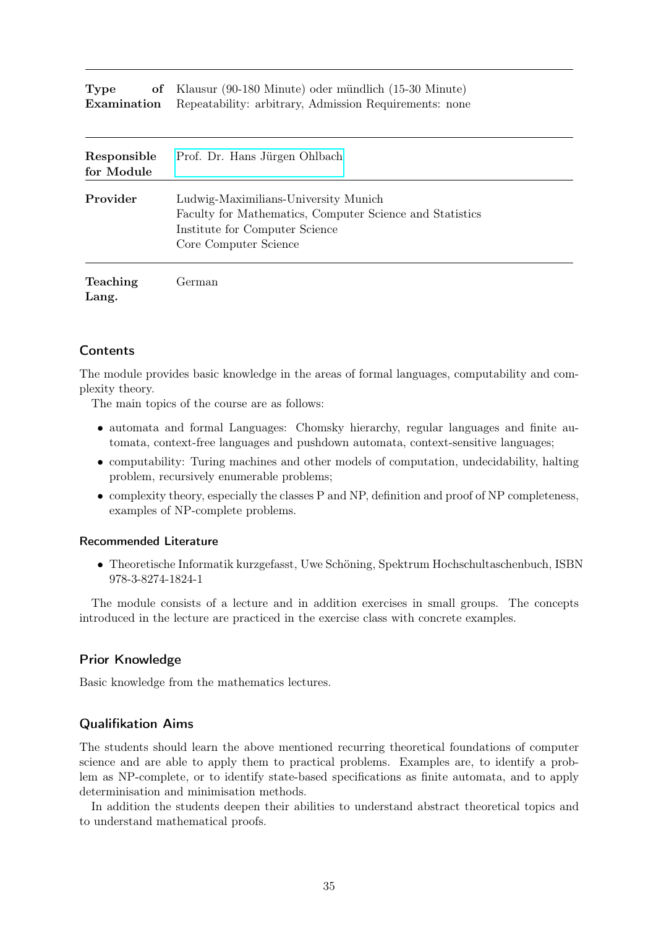| <b>Type</b> | of Klausur (90-180 Minute) oder mündlich (15-30 Minute)                   |
|-------------|---------------------------------------------------------------------------|
|             | <b>Examination</b> Repeatability: arbitrary, Admission Requirements: none |

| Responsible<br>for Module | Prof. Dr. Hans Jürgen Ohlbach                                                                                                                               |
|---------------------------|-------------------------------------------------------------------------------------------------------------------------------------------------------------|
| Provider                  | Ludwig-Maximilians-University Munich<br>Faculty for Mathematics, Computer Science and Statistics<br>Institute for Computer Science<br>Core Computer Science |
| <b>Teaching</b>           | Ferman                                                                                                                                                      |

Lang.

The module provides basic knowledge in the areas of formal languages, computability and complexity theory.

The main topics of the course are as follows:

- automata and formal Languages: Chomsky hierarchy, regular languages and finite automata, context-free languages and pushdown automata, context-sensitive languages;
- computability: Turing machines and other models of computation, undecidability, halting problem, recursively enumerable problems;
- $\bullet$  complexity theory, especially the classes P and NP, definition and proof of NP completeness, examples of NP-complete problems.

#### Recommended Literature

• Theoretische Informatik kurzgefasst, Uwe Schöning, Spektrum Hochschultaschenbuch, ISBN 978-3-8274-1824-1

The module consists of a lecture and in addition exercises in small groups. The concepts introduced in the lecture are practiced in the exercise class with concrete examples.

#### Prior Knowledge

Basic knowledge from the mathematics lectures.

#### Qualifikation Aims

The students should learn the above mentioned recurring theoretical foundations of computer science and are able to apply them to practical problems. Examples are, to identify a problem as NP-complete, or to identify state-based specifications as finite automata, and to apply determinisation and minimisation methods.

In addition the students deepen their abilities to understand abstract theoretical topics and to understand mathematical proofs.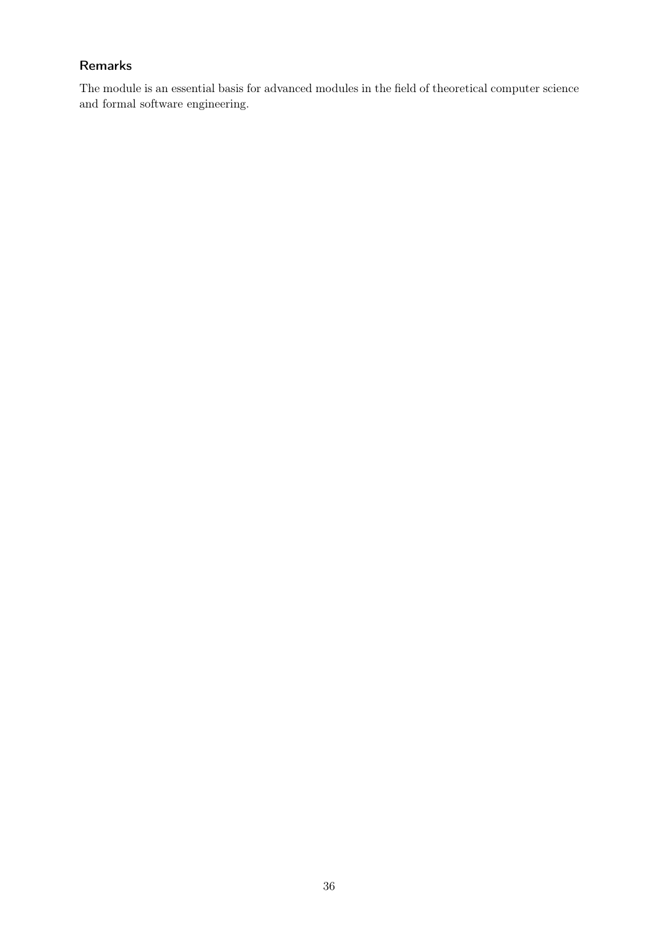### Remarks

The module is an essential basis for advanced modules in the field of theoretical computer science and formal software engineering.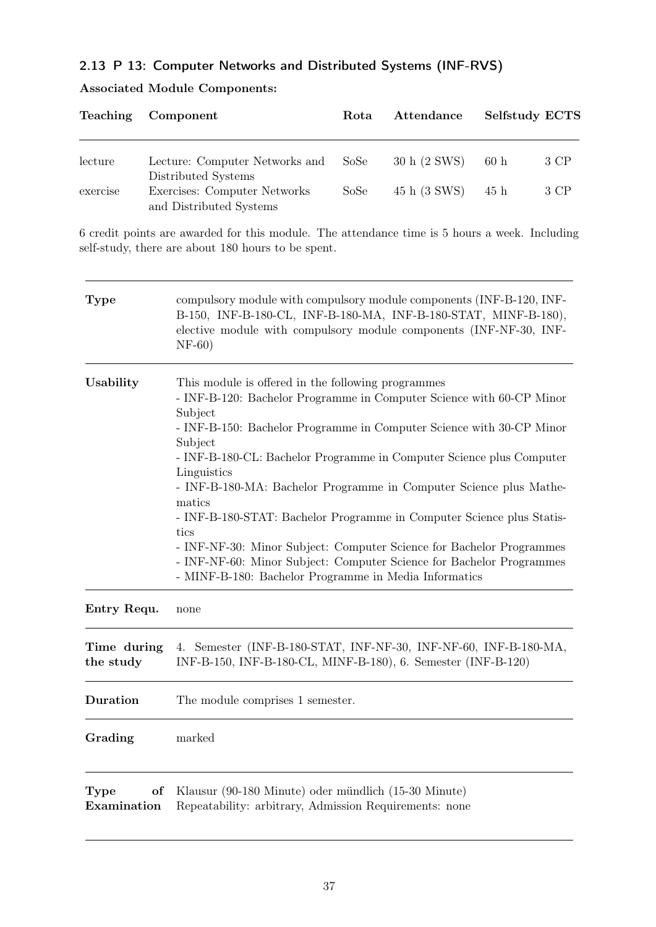# 2.13 P 13: Computer Networks and Distributed Systems (INF-RVS)

|  |  | <b>Associated Module Components:</b> |
|--|--|--------------------------------------|
|--|--|--------------------------------------|

| <b>Teaching</b> | Component                                               | Rota | Attendance   | Selfstudy ECTS |      |
|-----------------|---------------------------------------------------------|------|--------------|----------------|------|
| lecture         | Lecture: Computer Networks and<br>Distributed Systems   | SoSe | 30 h (2 SWS) | 60h            | 3 CP |
| exercise        | Exercises: Computer Networks<br>and Distributed Systems | SoSe | 45 h (3 SWS) | 45 h           | 3 CP |

6 credit points are awarded for this module. The attendance time is 5 hours a week. Including self-study, there are about 180 hours to be spent.

| <b>Type</b>                      | compulsory module with compulsory module components (INF-B-120, INF-<br>B-150, INF-B-180-CL, INF-B-180-MA, INF-B-180-STAT, MINF-B-180),<br>elective module with compulsory module components (INF-NF-30, INF-<br>$NF-60)$                                                                                                                                                                                                                                                                                                                                                                                                                                                                 |
|----------------------------------|-------------------------------------------------------------------------------------------------------------------------------------------------------------------------------------------------------------------------------------------------------------------------------------------------------------------------------------------------------------------------------------------------------------------------------------------------------------------------------------------------------------------------------------------------------------------------------------------------------------------------------------------------------------------------------------------|
| Usability                        | This module is offered in the following programmes<br>- INF-B-120: Bachelor Programme in Computer Science with 60-CP Minor<br>Subject<br>- INF-B-150: Bachelor Programme in Computer Science with 30-CP Minor<br>Subject<br>- INF-B-180-CL: Bachelor Programme in Computer Science plus Computer<br>Linguistics<br>- INF-B-180-MA: Bachelor Programme in Computer Science plus Mathe-<br>matics<br>- INF-B-180-STAT: Bachelor Programme in Computer Science plus Statis-<br>tics<br>- INF-NF-30: Minor Subject: Computer Science for Bachelor Programmes<br>- INF-NF-60: Minor Subject: Computer Science for Bachelor Programmes<br>- MINF-B-180: Bachelor Programme in Media Informatics |
| Entry Requ.                      | none                                                                                                                                                                                                                                                                                                                                                                                                                                                                                                                                                                                                                                                                                      |
| Time during<br>the study         | 4. Semester (INF-B-180-STAT, INF-NF-30, INF-NF-60, INF-B-180-MA,<br>INF-B-150, INF-B-180-CL, MINF-B-180), 6. Semester (INF-B-120)                                                                                                                                                                                                                                                                                                                                                                                                                                                                                                                                                         |
| Duration                         | The module comprises 1 semester.                                                                                                                                                                                                                                                                                                                                                                                                                                                                                                                                                                                                                                                          |
| Grading                          | marked                                                                                                                                                                                                                                                                                                                                                                                                                                                                                                                                                                                                                                                                                    |
| of<br><b>Type</b><br>Examination | Klausur (90-180 Minute) oder mündlich (15-30 Minute)<br>Repeatability: arbitrary, Admission Requirements: none                                                                                                                                                                                                                                                                                                                                                                                                                                                                                                                                                                            |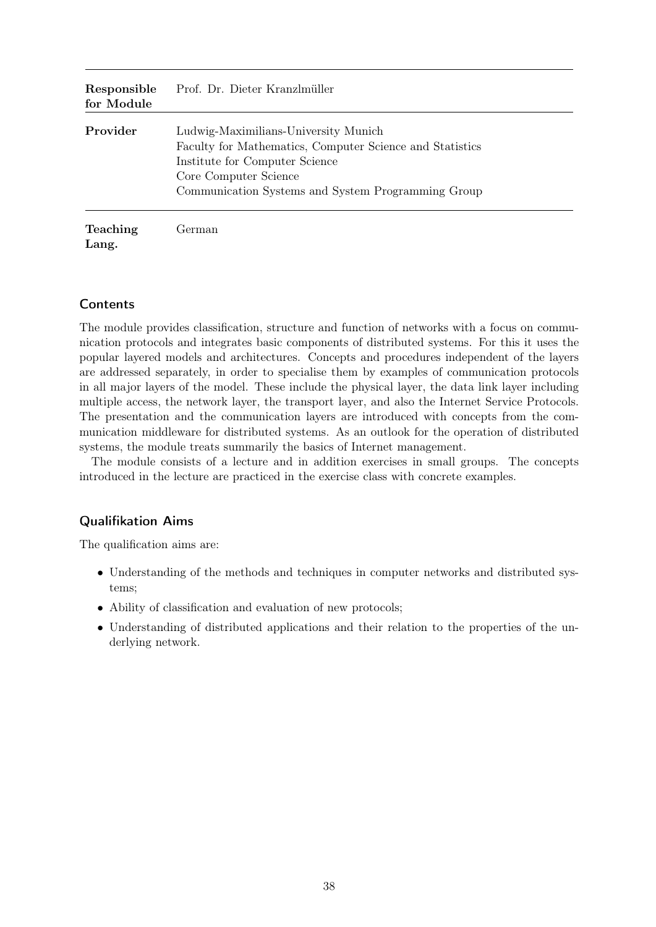| Responsible<br>for Module | Prof. Dr. Dieter Kranzlmüller                                                                                                                                                                                     |
|---------------------------|-------------------------------------------------------------------------------------------------------------------------------------------------------------------------------------------------------------------|
| Provider                  | Ludwig-Maximilians-University Munich<br>Faculty for Mathematics, Computer Science and Statistics<br>Institute for Computer Science<br>Core Computer Science<br>Communication Systems and System Programming Group |
| <b>Teaching</b><br>Lang.  | German                                                                                                                                                                                                            |

The module provides classification, structure and function of networks with a focus on communication protocols and integrates basic components of distributed systems. For this it uses the popular layered models and architectures. Concepts and procedures independent of the layers are addressed separately, in order to specialise them by examples of communication protocols in all major layers of the model. These include the physical layer, the data link layer including multiple access, the network layer, the transport layer, and also the Internet Service Protocols. The presentation and the communication layers are introduced with concepts from the communication middleware for distributed systems. As an outlook for the operation of distributed systems, the module treats summarily the basics of Internet management.

The module consists of a lecture and in addition exercises in small groups. The concepts introduced in the lecture are practiced in the exercise class with concrete examples.

### Qualifikation Aims

The qualification aims are:

- Understanding of the methods and techniques in computer networks and distributed systems;
- Ability of classification and evaluation of new protocols;
- Understanding of distributed applications and their relation to the properties of the underlying network.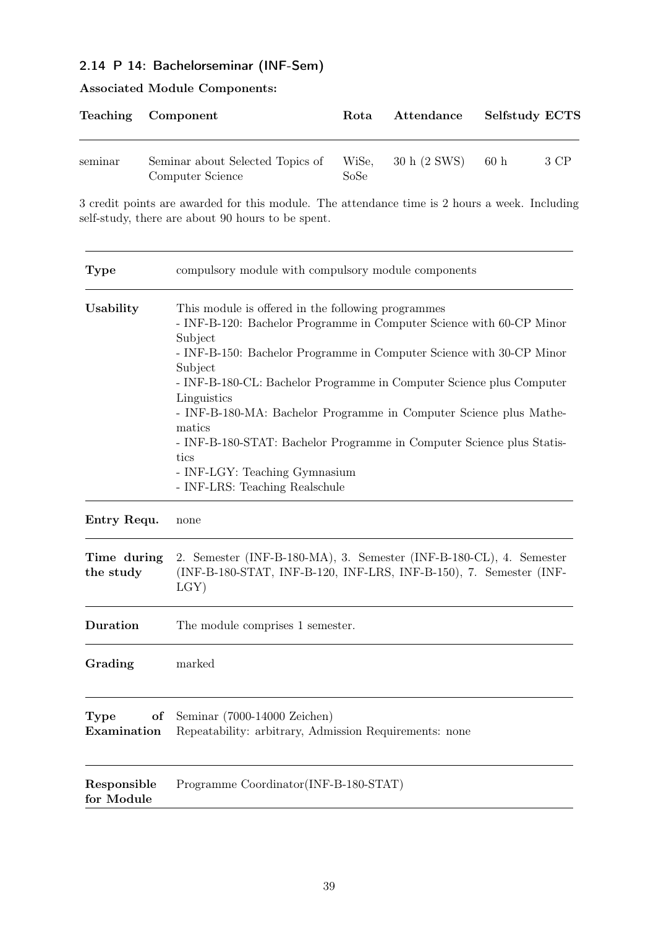# 2.14 P 14: Bachelorseminar (INF-Sem)

|         | Teaching Component                                   | Rota          | Attendance   | Selfstudy ECTS |      |
|---------|------------------------------------------------------|---------------|--------------|----------------|------|
| seminar | Seminar about Selected Topics of<br>Computer Science | WiSe,<br>SoSe | 30 h (2 SWS) | 60h            | 3 CP |

# Associated Module Components:

3 credit points are awarded for this module. The attendance time is 2 hours a week. Including self-study, there are about 90 hours to be spent.

| <b>Type</b>               | compulsory module with compulsory module components                                                                                                                                                                                                                                                                                                                                                                                                                                                                                                 |
|---------------------------|-----------------------------------------------------------------------------------------------------------------------------------------------------------------------------------------------------------------------------------------------------------------------------------------------------------------------------------------------------------------------------------------------------------------------------------------------------------------------------------------------------------------------------------------------------|
| Usability                 | This module is offered in the following programmes<br>- INF-B-120: Bachelor Programme in Computer Science with 60-CP Minor<br>Subject<br>- INF-B-150: Bachelor Programme in Computer Science with 30-CP Minor<br>Subject<br>- INF-B-180-CL: Bachelor Programme in Computer Science plus Computer<br>Linguistics<br>- INF-B-180-MA: Bachelor Programme in Computer Science plus Mathe-<br>matics<br>- INF-B-180-STAT: Bachelor Programme in Computer Science plus Statis-<br>tics<br>- INF-LGY: Teaching Gymnasium<br>- INF-LRS: Teaching Realschule |
| Entry Requ.               | none                                                                                                                                                                                                                                                                                                                                                                                                                                                                                                                                                |
| Time during<br>the study  | 2. Semester (INF-B-180-MA), 3. Semester (INF-B-180-CL), 4. Semester<br>(INF-B-180-STAT, INF-B-120, INF-LRS, INF-B-150), 7. Semester (INF-<br>$LGY$ )                                                                                                                                                                                                                                                                                                                                                                                                |
| Duration                  | The module comprises 1 semester.                                                                                                                                                                                                                                                                                                                                                                                                                                                                                                                    |
| Grading                   | marked                                                                                                                                                                                                                                                                                                                                                                                                                                                                                                                                              |
| Type<br>of<br>Examination | Seminar (7000-14000 Zeichen)<br>Repeatability: arbitrary, Admission Requirements: none                                                                                                                                                                                                                                                                                                                                                                                                                                                              |
| Responsible<br>for Module | Programme Coordinator(INF-B-180-STAT)                                                                                                                                                                                                                                                                                                                                                                                                                                                                                                               |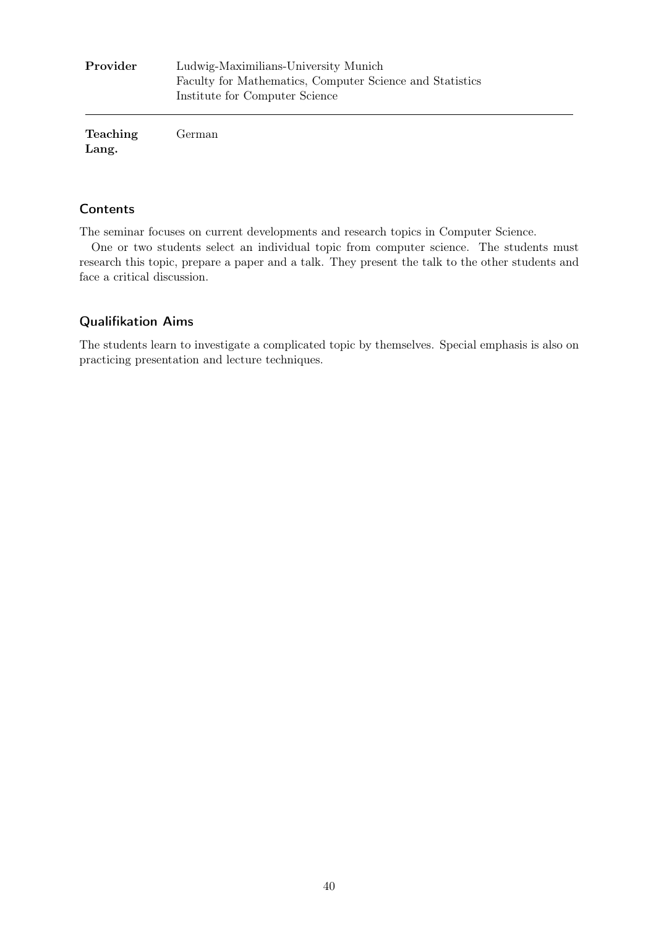| Provider          | Ludwig-Maximilians-University Munich<br>Faculty for Mathematics, Computer Science and Statistics<br>Institute for Computer Science |
|-------------------|------------------------------------------------------------------------------------------------------------------------------------|
| Teaching<br>Lang. | German                                                                                                                             |

The seminar focuses on current developments and research topics in Computer Science.

One or two students select an individual topic from computer science. The students must research this topic, prepare a paper and a talk. They present the talk to the other students and face a critical discussion.

#### Qualifikation Aims

The students learn to investigate a complicated topic by themselves. Special emphasis is also on practicing presentation and lecture techniques.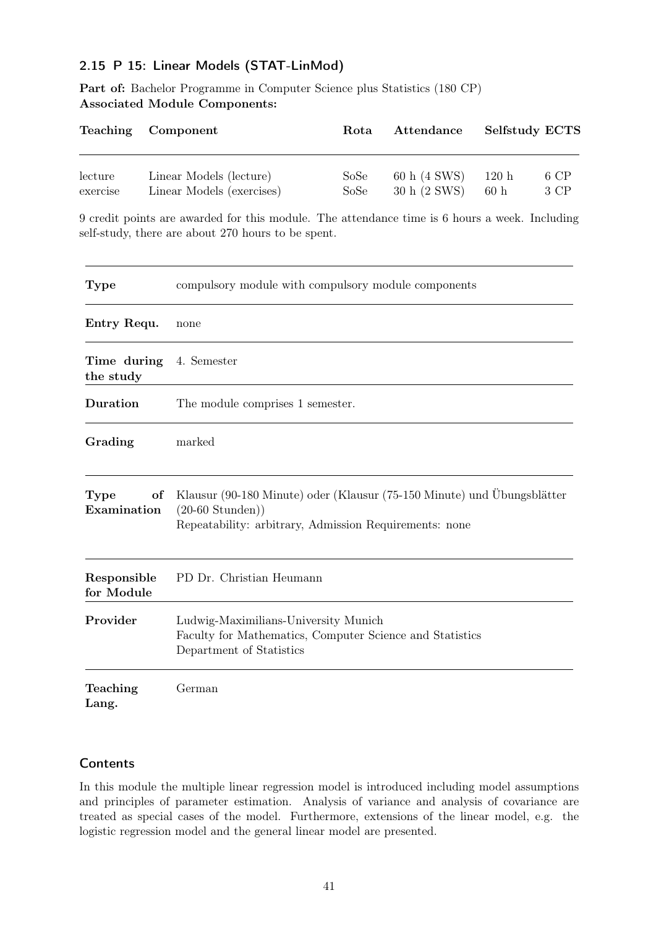# 2.15 P 15: Linear Models (STAT-LinMod)

Part of: Bachelor Programme in Computer Science plus Statistics (180 CP) Associated Module Components:

| Teaching                     |    | Component                                                                                                                                                       | Rota         | Attendance                   | Selfstudy ECTS |              |
|------------------------------|----|-----------------------------------------------------------------------------------------------------------------------------------------------------------------|--------------|------------------------------|----------------|--------------|
| $_{\rm lecture}$<br>exercise |    | Linear Models (lecture)<br>Linear Models (exercises)                                                                                                            | SoSe<br>SoSe | 60 h (4 SWS)<br>30 h (2 SWS) | 120h<br>60h    | 6 CP<br>3 CP |
|                              |    | 9 credit points are awarded for this module. The attendance time is 6 hours a week. Including<br>self-study, there are about 270 hours to be spent.             |              |                              |                |              |
| <b>Type</b>                  |    | compulsory module with compulsory module components                                                                                                             |              |                              |                |              |
| Entry Requ.                  |    | none                                                                                                                                                            |              |                              |                |              |
| Time during<br>the study     |    | 4. Semester                                                                                                                                                     |              |                              |                |              |
| Duration                     |    | The module comprises 1 semester.                                                                                                                                |              |                              |                |              |
| Grading                      |    | marked                                                                                                                                                          |              |                              |                |              |
| <b>Type</b><br>Examination   | of | Klausur (90-180 Minute) oder (Klausur (75-150 Minute) und Übungsblätter<br>$(20-60 \text{ Stunden}))$<br>Repeatability: arbitrary, Admission Requirements: none |              |                              |                |              |
| Responsible<br>for Module    |    | PD Dr. Christian Heumann                                                                                                                                        |              |                              |                |              |
| Provider                     |    | Ludwig-Maximilians-University Munich<br>Faculty for Mathematics, Computer Science and Statistics<br>Department of Statistics                                    |              |                              |                |              |
| Teaching<br>Lang.            |    | German                                                                                                                                                          |              |                              |                |              |

### **Contents**

In this module the multiple linear regression model is introduced including model assumptions and principles of parameter estimation. Analysis of variance and analysis of covariance are treated as special cases of the model. Furthermore, extensions of the linear model, e.g. the logistic regression model and the general linear model are presented.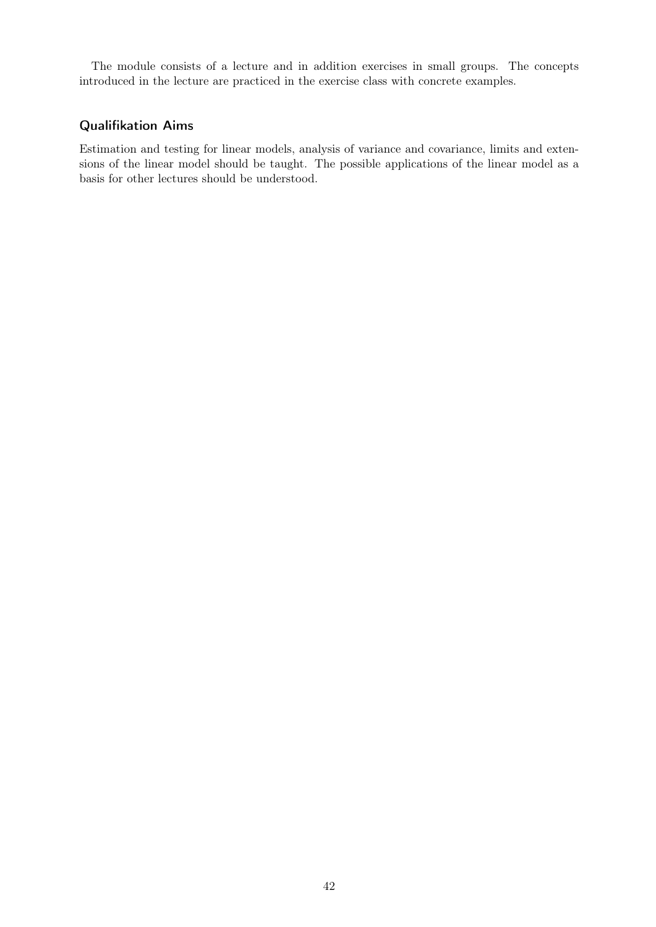The module consists of a lecture and in addition exercises in small groups. The concepts introduced in the lecture are practiced in the exercise class with concrete examples.

#### Qualifikation Aims

Estimation and testing for linear models, analysis of variance and covariance, limits and extensions of the linear model should be taught. The possible applications of the linear model as a basis for other lectures should be understood.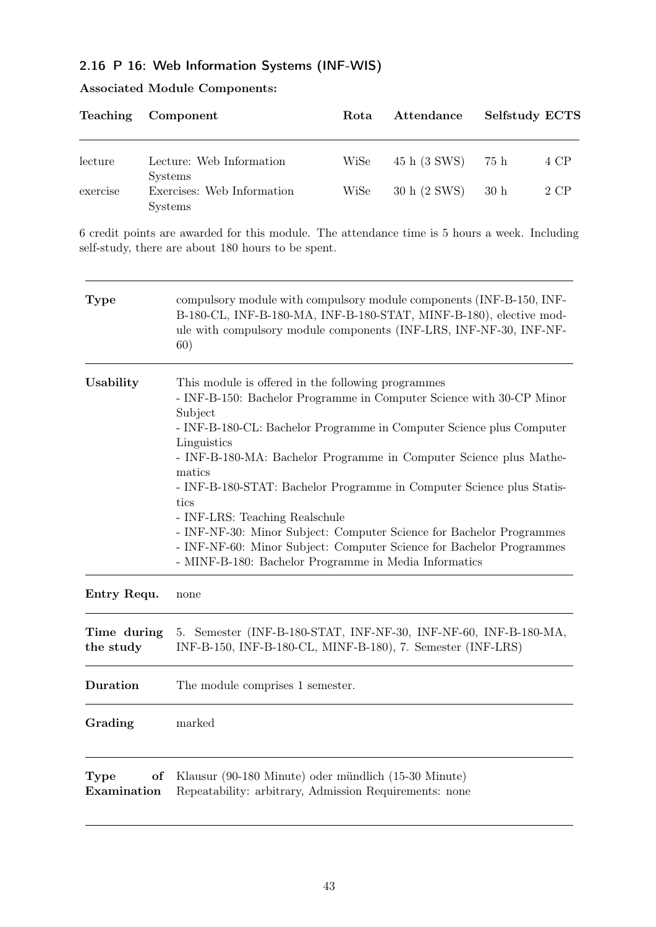# 2.16 P 16: Web Information Systems (INF-WIS)

# Associated Module Components:

|          | Teaching Component                                             | Rota | Attendance        | Selfstudy ECTS |      |
|----------|----------------------------------------------------------------|------|-------------------|----------------|------|
| lecture  | Lecture: Web Information                                       | WiSe | 45 h (3 SWS) 75 h |                | 4 CP |
| exercise | <b>Systems</b><br>Exercises: Web Information<br><b>Systems</b> | WiSe | 30 h (2 SWS)      | 30 h           | 2 CP |

6 credit points are awarded for this module. The attendance time is 5 hours a week. Including self-study, there are about 180 hours to be spent.

| <b>Type</b>                      | compulsory module with compulsory module components (INF-B-150, INF-<br>B-180-CL, INF-B-180-MA, INF-B-180-STAT, MINF-B-180), elective mod-<br>ule with compulsory module components (INF-LRS, INF-NF-30, INF-NF-<br>60)                                                                                                                                                                                                                                                                                                                                                                                                                  |
|----------------------------------|------------------------------------------------------------------------------------------------------------------------------------------------------------------------------------------------------------------------------------------------------------------------------------------------------------------------------------------------------------------------------------------------------------------------------------------------------------------------------------------------------------------------------------------------------------------------------------------------------------------------------------------|
| Usability                        | This module is offered in the following programmes<br>- INF-B-150: Bachelor Programme in Computer Science with 30-CP Minor<br>Subject<br>- INF-B-180-CL: Bachelor Programme in Computer Science plus Computer<br>Linguistics<br>- INF-B-180-MA: Bachelor Programme in Computer Science plus Mathe-<br>matics<br>- INF-B-180-STAT: Bachelor Programme in Computer Science plus Statis-<br>tics<br>- INF-LRS: Teaching Realschule<br>- INF-NF-30: Minor Subject: Computer Science for Bachelor Programmes<br>- INF-NF-60: Minor Subject: Computer Science for Bachelor Programmes<br>- MINF-B-180: Bachelor Programme in Media Informatics |
| Entry Requ.                      | none                                                                                                                                                                                                                                                                                                                                                                                                                                                                                                                                                                                                                                     |
| Time during<br>the study         | 5. Semester (INF-B-180-STAT, INF-NF-30, INF-NF-60, INF-B-180-MA,<br>INF-B-150, INF-B-180-CL, MINF-B-180), 7. Semester (INF-LRS)                                                                                                                                                                                                                                                                                                                                                                                                                                                                                                          |
| Duration                         | The module comprises 1 semester.                                                                                                                                                                                                                                                                                                                                                                                                                                                                                                                                                                                                         |
| Grading                          | marked                                                                                                                                                                                                                                                                                                                                                                                                                                                                                                                                                                                                                                   |
| <b>Type</b><br>of<br>Examination | Klausur (90-180 Minute) oder mündlich (15-30 Minute)<br>Repeatability: arbitrary, Admission Requirements: none                                                                                                                                                                                                                                                                                                                                                                                                                                                                                                                           |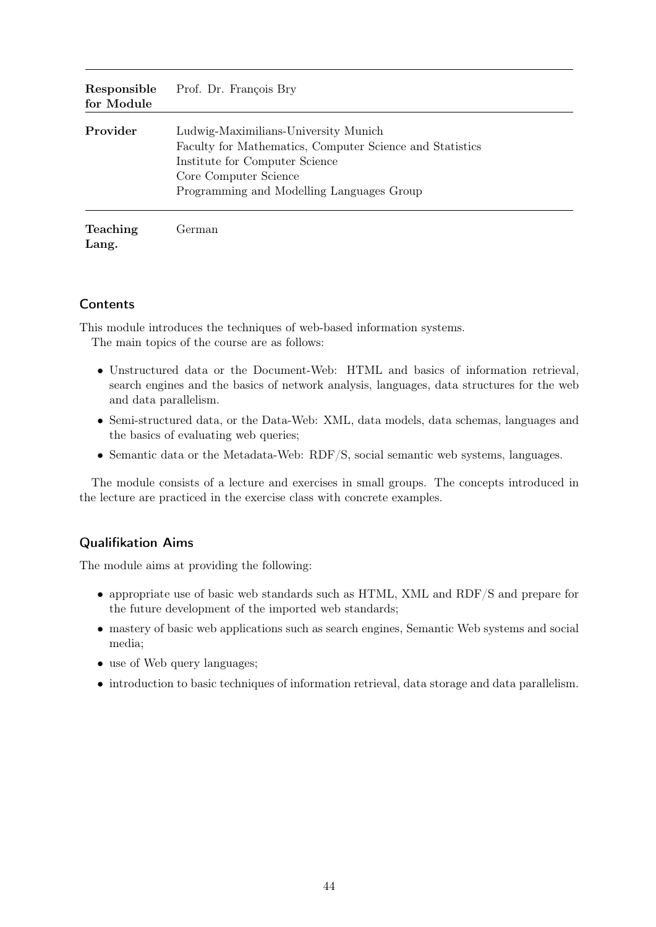| Responsible<br>for Module | Prof. Dr. François Bry                                                                                                                                                                                   |
|---------------------------|----------------------------------------------------------------------------------------------------------------------------------------------------------------------------------------------------------|
| Provider                  | Ludwig-Maximilians-University Munich<br>Faculty for Mathematics, Computer Science and Statistics<br>Institute for Computer Science<br>Core Computer Science<br>Programming and Modelling Languages Group |
| <b>Teaching</b><br>Lang.  | German                                                                                                                                                                                                   |

This module introduces the techniques of web-based information systems.

The main topics of the course are as follows:

- Unstructured data or the Document-Web: HTML and basics of information retrieval, search engines and the basics of network analysis, languages, data structures for the web and data parallelism.
- Semi-structured data, or the Data-Web: XML, data models, data schemas, languages and the basics of evaluating web queries;
- Semantic data or the Metadata-Web: RDF/S, social semantic web systems, languages.

The module consists of a lecture and exercises in small groups. The concepts introduced in the lecture are practiced in the exercise class with concrete examples.

### Qualifikation Aims

The module aims at providing the following:

- appropriate use of basic web standards such as HTML, XML and RDF/S and prepare for the future development of the imported web standards;
- mastery of basic web applications such as search engines, Semantic Web systems and social media;
- use of Web query languages;
- introduction to basic techniques of information retrieval, data storage and data parallelism.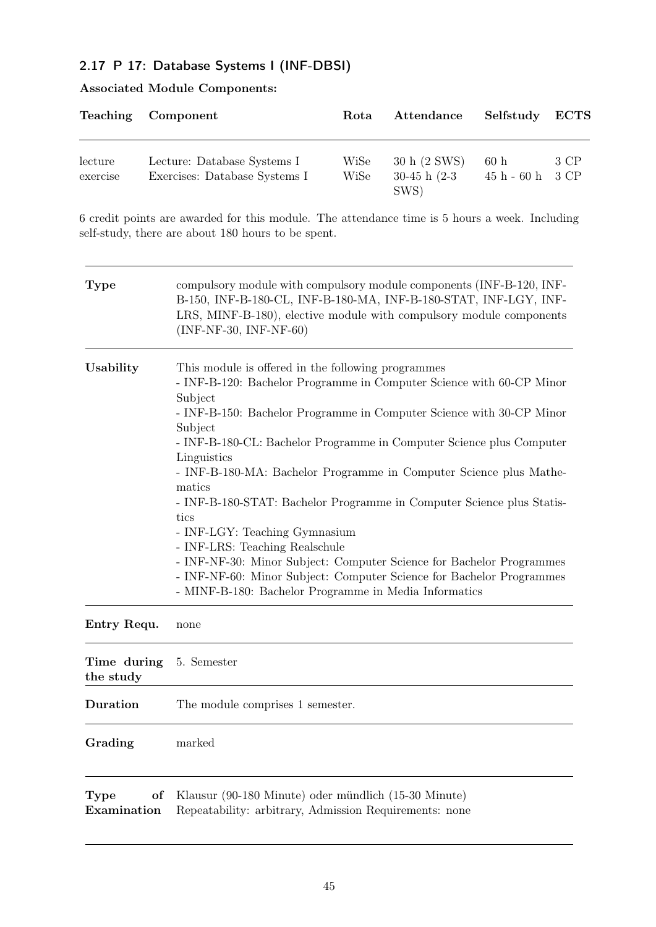# 2.17 P 17: Database Systems I (INF-DBSI)

| <b>Associated Module Components:</b> |  |
|--------------------------------------|--|
|--------------------------------------|--|

|                     | Teaching Component                                           | Rota         | Attendance                                | Selfstudy ECTS            |      |
|---------------------|--------------------------------------------------------------|--------------|-------------------------------------------|---------------------------|------|
| lecture<br>exercise | Lecture: Database Systems I<br>Exercises: Database Systems I | WiSe<br>WiSe | 30 h (2 SWS)<br>$30-45$ h $(2-3)$<br>SWS) | 60h<br>$45 h - 60 h$ 3 CP | 3 CP |

6 credit points are awarded for this module. The attendance time is 5 hours a week. Including self-study, there are about 180 hours to be spent.

| <b>Type</b>                      | compulsory module with compulsory module components (INF-B-120, INF-<br>B-150, INF-B-180-CL, INF-B-180-MA, INF-B-180-STAT, INF-LGY, INF-<br>LRS, MINF-B-180), elective module with compulsory module components<br>$(INF-NF-30, INF-NF-60)$                                                                                                                                                                                                                                                                                                                                                                                                                                                                                                                  |
|----------------------------------|--------------------------------------------------------------------------------------------------------------------------------------------------------------------------------------------------------------------------------------------------------------------------------------------------------------------------------------------------------------------------------------------------------------------------------------------------------------------------------------------------------------------------------------------------------------------------------------------------------------------------------------------------------------------------------------------------------------------------------------------------------------|
| Usability                        | This module is offered in the following programmes<br>- INF-B-120: Bachelor Programme in Computer Science with 60-CP Minor<br>Subject<br>- INF-B-150: Bachelor Programme in Computer Science with 30-CP Minor<br>Subject<br>- INF-B-180-CL: Bachelor Programme in Computer Science plus Computer<br>Linguistics<br>- INF-B-180-MA: Bachelor Programme in Computer Science plus Mathe-<br>matics<br>- INF-B-180-STAT: Bachelor Programme in Computer Science plus Statis-<br>tics<br>- INF-LGY: Teaching Gymnasium<br>- INF-LRS: Teaching Realschule<br>- INF-NF-30: Minor Subject: Computer Science for Bachelor Programmes<br>- INF-NF-60: Minor Subject: Computer Science for Bachelor Programmes<br>- MINF-B-180: Bachelor Programme in Media Informatics |
| Entry Requ.                      | none                                                                                                                                                                                                                                                                                                                                                                                                                                                                                                                                                                                                                                                                                                                                                         |
| Time during<br>the study         | 5. Semester                                                                                                                                                                                                                                                                                                                                                                                                                                                                                                                                                                                                                                                                                                                                                  |
| Duration                         | The module comprises 1 semester.                                                                                                                                                                                                                                                                                                                                                                                                                                                                                                                                                                                                                                                                                                                             |
| Grading                          | marked                                                                                                                                                                                                                                                                                                                                                                                                                                                                                                                                                                                                                                                                                                                                                       |
| <b>Type</b><br>of<br>Examination | Klausur (90-180 Minute) oder mündlich (15-30 Minute)<br>Repeatability: arbitrary, Admission Requirements: none                                                                                                                                                                                                                                                                                                                                                                                                                                                                                                                                                                                                                                               |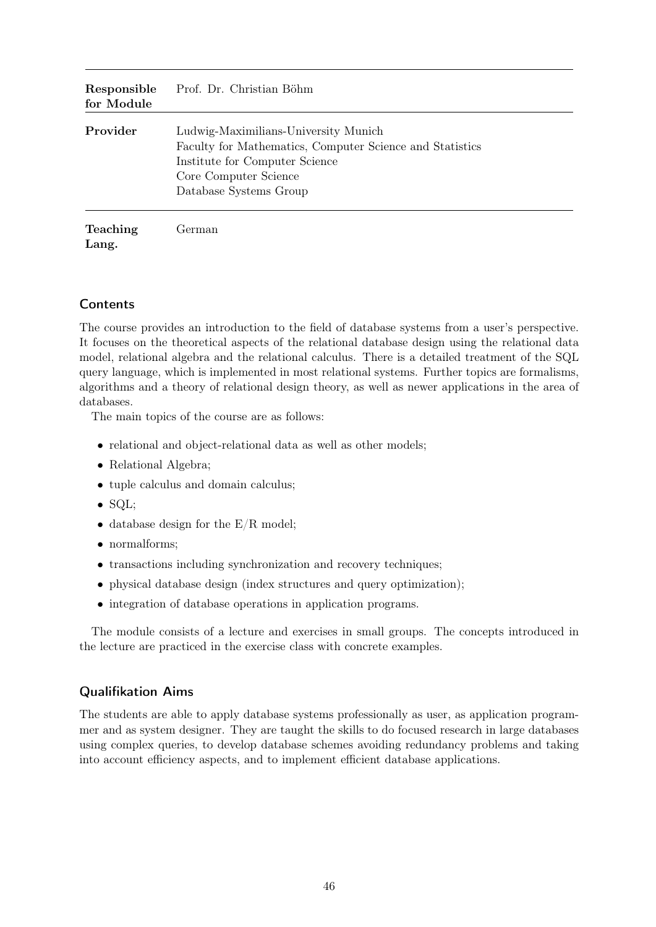| Responsible<br>for Module | Prof. Dr. Christian Böhm                                                                                                                                                              |
|---------------------------|---------------------------------------------------------------------------------------------------------------------------------------------------------------------------------------|
| Provider                  | Ludwig-Maximilians-University Munich<br>Faculty for Mathematics, Computer Science and Statistics<br>Institute for Computer Science<br>Core Computer Science<br>Database Systems Group |
| <b>Teaching</b><br>Lang.  | German                                                                                                                                                                                |

The course provides an introduction to the field of database systems from a user's perspective. It focuses on the theoretical aspects of the relational database design using the relational data model, relational algebra and the relational calculus. There is a detailed treatment of the SQL query language, which is implemented in most relational systems. Further topics are formalisms, algorithms and a theory of relational design theory, as well as newer applications in the area of databases.

The main topics of the course are as follows:

- relational and object-relational data as well as other models;
- Relational Algebra;
- tuple calculus and domain calculus;
- SQL;
- database design for the  $E/R$  model;
- normalforms;
- transactions including synchronization and recovery techniques;
- physical database design (index structures and query optimization);
- integration of database operations in application programs.

The module consists of a lecture and exercises in small groups. The concepts introduced in the lecture are practiced in the exercise class with concrete examples.

#### Qualifikation Aims

The students are able to apply database systems professionally as user, as application programmer and as system designer. They are taught the skills to do focused research in large databases using complex queries, to develop database schemes avoiding redundancy problems and taking into account efficiency aspects, and to implement efficient database applications.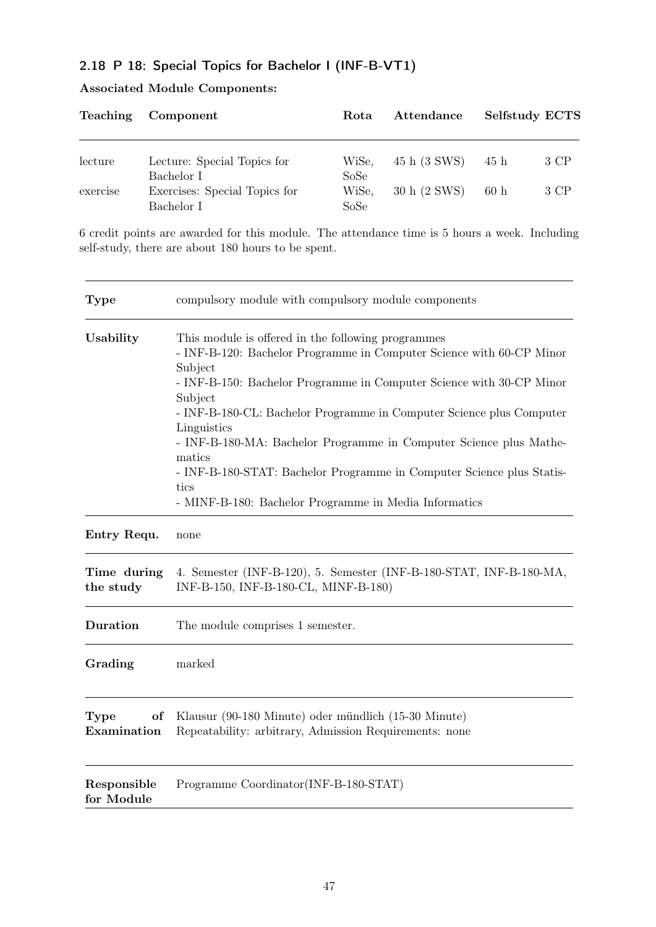# 2.18 P 18: Special Topics for Bachelor I (INF-B-VT1)

| Teaching | Component                     | Rota  | Attendance   | Selfstudy ECTS |      |
|----------|-------------------------------|-------|--------------|----------------|------|
| lecture  | Lecture: Special Topics for   | WiSe, | 45 h (3 SWS) | 45 h           | 3 CP |
|          | Bachelor I                    | SoSe  |              |                |      |
| exercise | Exercises: Special Topics for | WiSe, | 30 h (2 SWS) | 60h            | 3 CP |
|          | Bachelor I                    | SoSe  |              |                |      |

# Associated Module Components:

6 credit points are awarded for this module. The attendance time is 5 hours a week. Including self-study, there are about 180 hours to be spent.

| <b>Type</b>               | compulsory module with compulsory module components                                                                                                                                                                                                                                                                                                                                                                                                                                                                                       |  |  |
|---------------------------|-------------------------------------------------------------------------------------------------------------------------------------------------------------------------------------------------------------------------------------------------------------------------------------------------------------------------------------------------------------------------------------------------------------------------------------------------------------------------------------------------------------------------------------------|--|--|
| Usability                 | This module is offered in the following programmes<br>- INF-B-120: Bachelor Programme in Computer Science with 60-CP Minor<br>Subject<br>- INF-B-150: Bachelor Programme in Computer Science with 30-CP Minor<br>Subject<br>- INF-B-180-CL: Bachelor Programme in Computer Science plus Computer<br>Linguistics<br>- INF-B-180-MA: Bachelor Programme in Computer Science plus Mathe-<br>matics<br>- INF-B-180-STAT: Bachelor Programme in Computer Science plus Statis-<br>tics<br>- MINF-B-180: Bachelor Programme in Media Informatics |  |  |
| Entry Requ.               | none                                                                                                                                                                                                                                                                                                                                                                                                                                                                                                                                      |  |  |
| Time during<br>the study  | 4. Semester (INF-B-120), 5. Semester (INF-B-180-STAT, INF-B-180-MA,<br>INF-B-150, INF-B-180-CL, MINF-B-180)                                                                                                                                                                                                                                                                                                                                                                                                                               |  |  |
| Duration                  | The module comprises 1 semester.                                                                                                                                                                                                                                                                                                                                                                                                                                                                                                          |  |  |
| Grading                   | marked                                                                                                                                                                                                                                                                                                                                                                                                                                                                                                                                    |  |  |
| Type<br>of<br>Examination | Klausur (90-180 Minute) oder mündlich (15-30 Minute)<br>Repeatability: arbitrary, Admission Requirements: none                                                                                                                                                                                                                                                                                                                                                                                                                            |  |  |
| Responsible<br>for Module | Programme Coordinator(INF-B-180-STAT)                                                                                                                                                                                                                                                                                                                                                                                                                                                                                                     |  |  |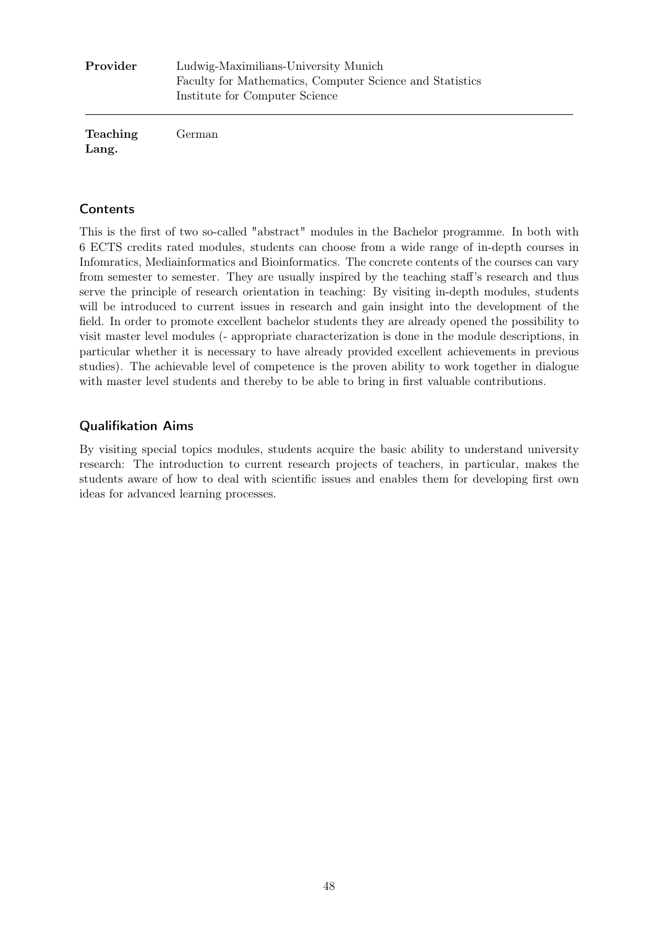| Provider        | Ludwig-Maximilians-University Munich<br>Faculty for Mathematics, Computer Science and Statistics<br>Institute for Computer Science |  |
|-----------------|------------------------------------------------------------------------------------------------------------------------------------|--|
| <b>Teaching</b> | German                                                                                                                             |  |

Lang.

This is the first of two so-called "abstract" modules in the Bachelor programme. In both with 6 ECTS credits rated modules, students can choose from a wide range of in-depth courses in Infomratics, Mediainformatics and Bioinformatics. The concrete contents of the courses can vary from semester to semester. They are usually inspired by the teaching staff's research and thus serve the principle of research orientation in teaching: By visiting in-depth modules, students will be introduced to current issues in research and gain insight into the development of the field. In order to promote excellent bachelor students they are already opened the possibility to visit master level modules (- appropriate characterization is done in the module descriptions, in particular whether it is necessary to have already provided excellent achievements in previous studies). The achievable level of competence is the proven ability to work together in dialogue with master level students and thereby to be able to bring in first valuable contributions.

### Qualifikation Aims

By visiting special topics modules, students acquire the basic ability to understand university research: The introduction to current research projects of teachers, in particular, makes the students aware of how to deal with scientific issues and enables them for developing first own ideas for advanced learning processes.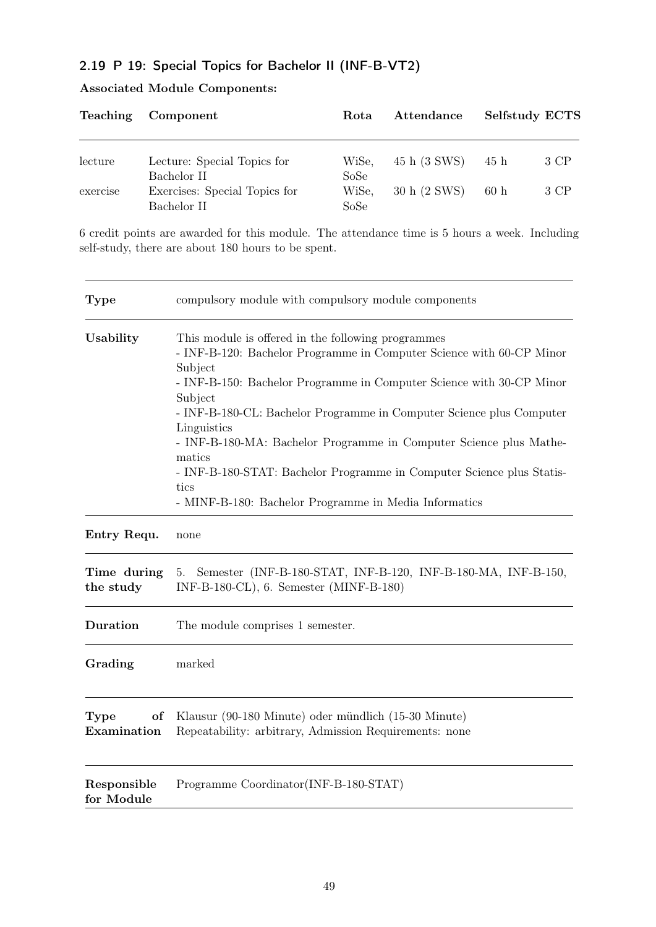# 2.19 P 19: Special Topics for Bachelor II (INF-B-VT2)

| <b>Teaching</b> | Component                     | Rota  | Attendance   | Selfstudy ECTS |      |
|-----------------|-------------------------------|-------|--------------|----------------|------|
| lecture         | Lecture: Special Topics for   | WiSe, | 45 h (3 SWS) | 45 h           | 3 CP |
|                 | Bachelor II                   | SoSe  |              |                |      |
| exercise        | Exercises: Special Topics for | WiSe, | 30 h (2 SWS) | 60h            | 3 CP |
|                 | Bachelor II                   | SoSe  |              |                |      |

# Associated Module Components:

6 credit points are awarded for this module. The attendance time is 5 hours a week. Including self-study, there are about 180 hours to be spent.

| <b>Type</b>               | compulsory module with compulsory module components                                                                                                                                                                                                                                                                                                                                                                                                                                                                                       |
|---------------------------|-------------------------------------------------------------------------------------------------------------------------------------------------------------------------------------------------------------------------------------------------------------------------------------------------------------------------------------------------------------------------------------------------------------------------------------------------------------------------------------------------------------------------------------------|
| Usability                 | This module is offered in the following programmes<br>- INF-B-120: Bachelor Programme in Computer Science with 60-CP Minor<br>Subject<br>- INF-B-150: Bachelor Programme in Computer Science with 30-CP Minor<br>Subject<br>- INF-B-180-CL: Bachelor Programme in Computer Science plus Computer<br>Linguistics<br>- INF-B-180-MA: Bachelor Programme in Computer Science plus Mathe-<br>matics<br>- INF-B-180-STAT: Bachelor Programme in Computer Science plus Statis-<br>tics<br>- MINF-B-180: Bachelor Programme in Media Informatics |
| Entry Requ.               | none                                                                                                                                                                                                                                                                                                                                                                                                                                                                                                                                      |
| Time during<br>the study  | Semester (INF-B-180-STAT, INF-B-120, INF-B-180-MA, INF-B-150,<br>5.<br>INF-B-180-CL), 6. Semester (MINF-B-180)                                                                                                                                                                                                                                                                                                                                                                                                                            |
| Duration                  | The module comprises 1 semester.                                                                                                                                                                                                                                                                                                                                                                                                                                                                                                          |
| Grading                   | marked                                                                                                                                                                                                                                                                                                                                                                                                                                                                                                                                    |
| Type<br>of<br>Examination | Klausur (90-180 Minute) oder mündlich (15-30 Minute)<br>Repeatability: arbitrary, Admission Requirements: none                                                                                                                                                                                                                                                                                                                                                                                                                            |
| Responsible<br>for Module | Programme Coordinator(INF-B-180-STAT)                                                                                                                                                                                                                                                                                                                                                                                                                                                                                                     |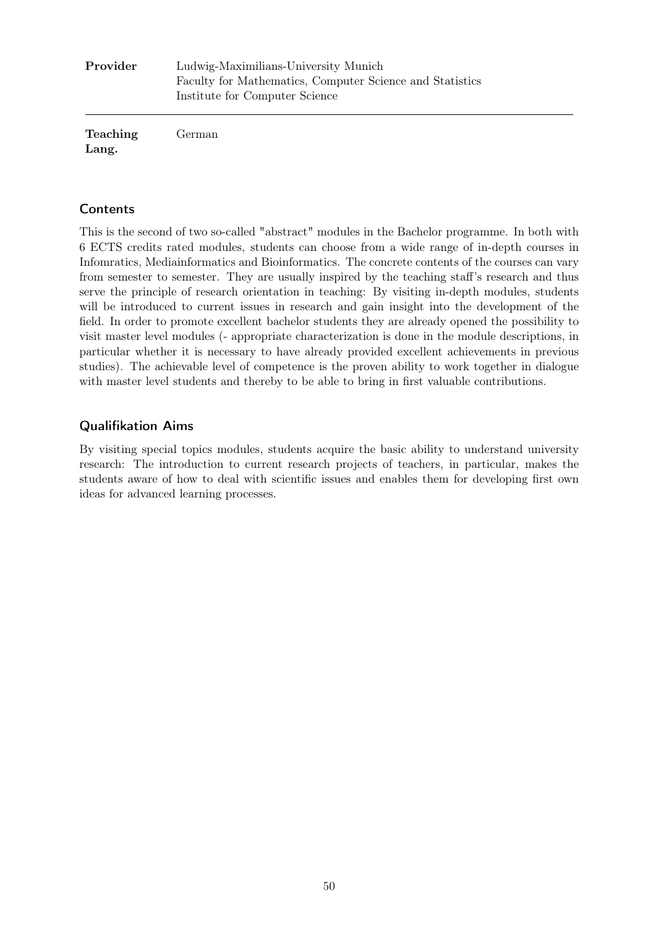| Provider          | Ludwig-Maximilians-University Munich<br>Faculty for Mathematics, Computer Science and Statistics<br>Institute for Computer Science |  |
|-------------------|------------------------------------------------------------------------------------------------------------------------------------|--|
| Teaching<br>Lang. | German                                                                                                                             |  |

This is the second of two so-called "abstract" modules in the Bachelor programme. In both with 6 ECTS credits rated modules, students can choose from a wide range of in-depth courses in Infomratics, Mediainformatics and Bioinformatics. The concrete contents of the courses can vary from semester to semester. They are usually inspired by the teaching staff's research and thus serve the principle of research orientation in teaching: By visiting in-depth modules, students will be introduced to current issues in research and gain insight into the development of the field. In order to promote excellent bachelor students they are already opened the possibility to visit master level modules (- appropriate characterization is done in the module descriptions, in particular whether it is necessary to have already provided excellent achievements in previous studies). The achievable level of competence is the proven ability to work together in dialogue with master level students and thereby to be able to bring in first valuable contributions.

### Qualifikation Aims

By visiting special topics modules, students acquire the basic ability to understand university research: The introduction to current research projects of teachers, in particular, makes the students aware of how to deal with scientific issues and enables them for developing first own ideas for advanced learning processes.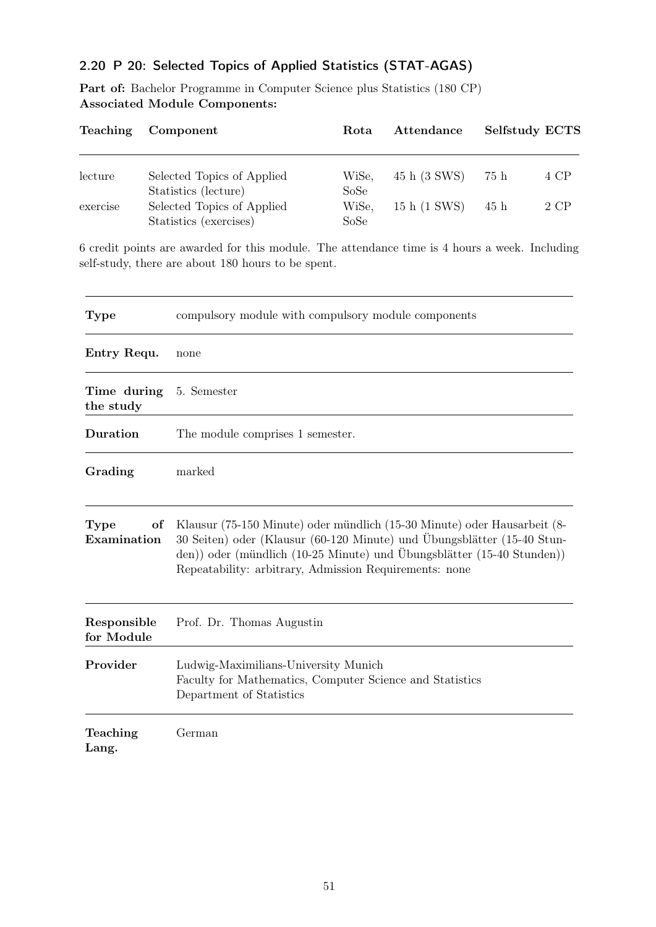# 2.20 P 20: Selected Topics of Applied Statistics (STAT-AGAS)

Part of: Bachelor Programme in Computer Science plus Statistics (180 CP) Associated Module Components:

| <b>Teaching</b> | Component                                                                    | Rota                  | Attendance   | <b>Selfstudy ECTS</b> |      |
|-----------------|------------------------------------------------------------------------------|-----------------------|--------------|-----------------------|------|
| lecture         | Selected Topics of Applied                                                   | WiSe,                 | 45 h (3 SWS) | 75 h                  | 4 CP |
| exercise        | Statistics (lecture)<br>Selected Topics of Applied<br>Statistics (exercises) | SoSe<br>WiSe,<br>SoSe | 15 h (1 SWS) | 45 h                  | 2 CP |

6 credit points are awarded for this module. The attendance time is 4 hours a week. Including self-study, there are about 180 hours to be spent.

| <b>Type</b>               | compulsory module with compulsory module components                                                                                                                                                                                                                                     |
|---------------------------|-----------------------------------------------------------------------------------------------------------------------------------------------------------------------------------------------------------------------------------------------------------------------------------------|
| Entry Requ.               | none                                                                                                                                                                                                                                                                                    |
| Time during<br>the study  | 5. Semester                                                                                                                                                                                                                                                                             |
| Duration                  | The module comprises 1 semester.                                                                                                                                                                                                                                                        |
| Grading                   | marked                                                                                                                                                                                                                                                                                  |
| of<br>Type<br>Examination | Klausur (75-150 Minute) oder mündlich (15-30 Minute) oder Hausarbeit (8-<br>30 Seiten) oder (Klausur (60-120 Minute) und Übungsblätter (15-40 Stun-<br>den)) oder (mündlich (10-25 Minute) und Übungsblätter (15-40 Stunden))<br>Repeatability: arbitrary, Admission Requirements: none |
| Responsible<br>for Module | Prof. Dr. Thomas Augustin                                                                                                                                                                                                                                                               |
| Provider                  | Ludwig-Maximilians-University Munich<br>Faculty for Mathematics, Computer Science and Statistics<br>Department of Statistics                                                                                                                                                            |
| Teaching<br>Lang.         | German                                                                                                                                                                                                                                                                                  |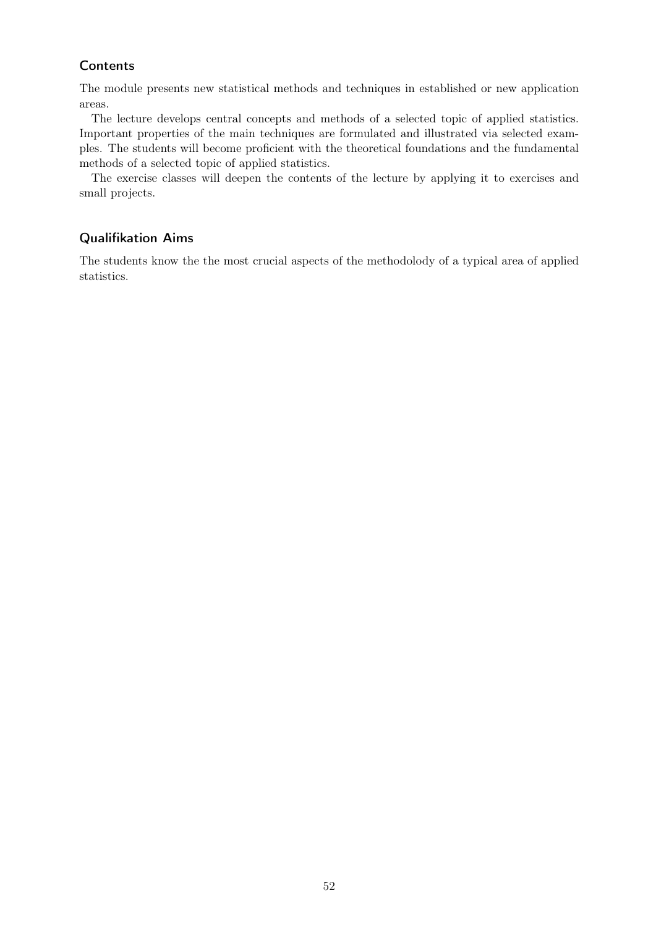The module presents new statistical methods and techniques in established or new application areas.

The lecture develops central concepts and methods of a selected topic of applied statistics. Important properties of the main techniques are formulated and illustrated via selected examples. The students will become proficient with the theoretical foundations and the fundamental methods of a selected topic of applied statistics.

The exercise classes will deepen the contents of the lecture by applying it to exercises and small projects.

### Qualifikation Aims

The students know the the most crucial aspects of the methodolody of a typical area of applied statistics.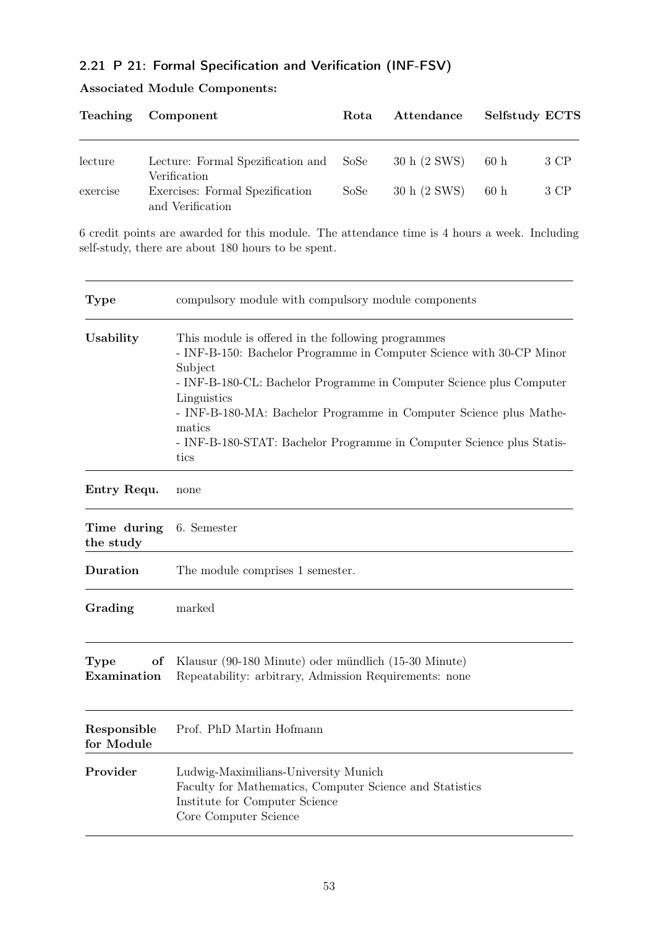# 2.21 P 21: Formal Specification and Verification (INF-FSV)

Associated Module Components:

|          | Teaching Component                                     | Rota | Attendance   | Selfstudy ECTS |      |
|----------|--------------------------------------------------------|------|--------------|----------------|------|
| lecture  | Lecture: Formal Spezification and SoSe<br>Verification |      | 30 h (2 SWS) | 60h            | 3 CP |
| exercise | Exercises: Formal Spezification<br>and Verification    | SoSe | 30 h (2 SWS) | 60h            | 3 CP |

6 credit points are awarded for this module. The attendance time is 4 hours a week. Including self-study, there are about 180 hours to be spent.

| <b>Type</b>               | compulsory module with compulsory module components                                                                                                                                                                                                                                                                                                                                           |
|---------------------------|-----------------------------------------------------------------------------------------------------------------------------------------------------------------------------------------------------------------------------------------------------------------------------------------------------------------------------------------------------------------------------------------------|
| Usability                 | This module is offered in the following programmes<br>- INF-B-150: Bachelor Programme in Computer Science with 30-CP Minor<br>Subject<br>- INF-B-180-CL: Bachelor Programme in Computer Science plus Computer<br>Linguistics<br>- INF-B-180-MA: Bachelor Programme in Computer Science plus Mathe-<br>matics<br>- INF-B-180-STAT: Bachelor Programme in Computer Science plus Statis-<br>tics |
| Entry Requ.               | none                                                                                                                                                                                                                                                                                                                                                                                          |
| Time during<br>the study  | 6. Semester                                                                                                                                                                                                                                                                                                                                                                                   |
| Duration                  | The module comprises 1 semester.                                                                                                                                                                                                                                                                                                                                                              |
| Grading                   | marked                                                                                                                                                                                                                                                                                                                                                                                        |
| Type<br>οf<br>Examination | Klausur (90-180 Minute) oder mündlich (15-30 Minute)<br>Repeatability: arbitrary, Admission Requirements: none                                                                                                                                                                                                                                                                                |
| Responsible<br>for Module | Prof. PhD Martin Hofmann                                                                                                                                                                                                                                                                                                                                                                      |
| Provider                  | Ludwig-Maximilians-University Munich<br>Faculty for Mathematics, Computer Science and Statistics<br>Institute for Computer Science<br>Core Computer Science                                                                                                                                                                                                                                   |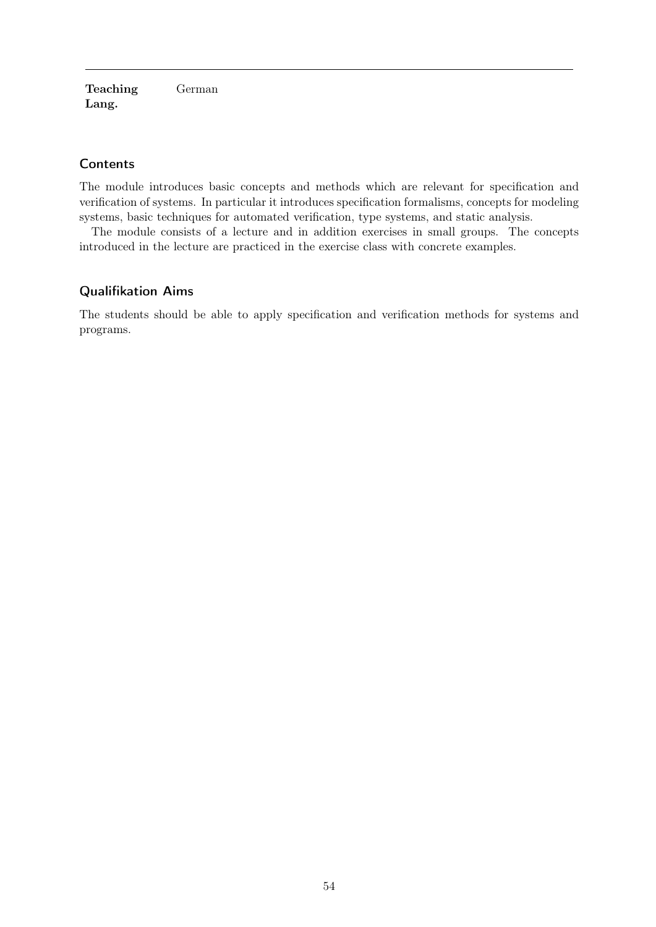Teaching Lang. German

### **Contents**

The module introduces basic concepts and methods which are relevant for specification and verification of systems. In particular it introduces specification formalisms, concepts for modeling systems, basic techniques for automated verification, type systems, and static analysis.

The module consists of a lecture and in addition exercises in small groups. The concepts introduced in the lecture are practiced in the exercise class with concrete examples.

### Qualifikation Aims

The students should be able to apply specification and verification methods for systems and programs.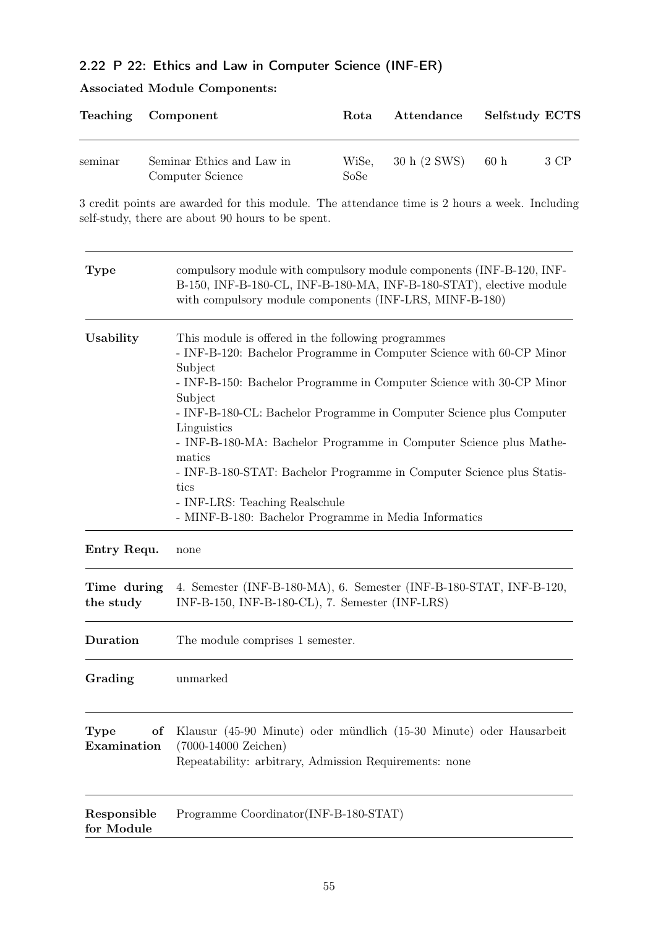# 2.22 P 22: Ethics and Law in Computer Science (INF-ER)

# Associated Module Components:

| Teaching                  | Component                                                                                                                                                                                              | Rota                                                                                                                                                                                                                                                                                                                                                                                                                                                                                                                 | Attendance   | Selfstudy ECTS |
|---------------------------|--------------------------------------------------------------------------------------------------------------------------------------------------------------------------------------------------------|----------------------------------------------------------------------------------------------------------------------------------------------------------------------------------------------------------------------------------------------------------------------------------------------------------------------------------------------------------------------------------------------------------------------------------------------------------------------------------------------------------------------|--------------|----------------|
| seminar                   | Seminar Ethics and Law in<br>Computer Science                                                                                                                                                          | WiSe,<br>SoSe                                                                                                                                                                                                                                                                                                                                                                                                                                                                                                        | 30 h (2 SWS) | 60h<br>3 CP    |
|                           | 3 credit points are awarded for this module. The attendance time is 2 hours a week. Including<br>self-study, there are about 90 hours to be spent.                                                     |                                                                                                                                                                                                                                                                                                                                                                                                                                                                                                                      |              |                |
| <b>Type</b>               | compulsory module with compulsory module components (INF-B-120, INF-<br>B-150, INF-B-180-CL, INF-B-180-MA, INF-B-180-STAT), elective module<br>with compulsory module components (INF-LRS, MINF-B-180) |                                                                                                                                                                                                                                                                                                                                                                                                                                                                                                                      |              |                |
| Usability                 | Subject<br>Subject<br>Linguistics<br>matics<br>tics                                                                                                                                                    | This module is offered in the following programmes<br>- INF-B-120: Bachelor Programme in Computer Science with 60-CP Minor<br>- INF-B-150: Bachelor Programme in Computer Science with 30-CP Minor<br>- INF-B-180-CL: Bachelor Programme in Computer Science plus Computer<br>- INF-B-180-MA: Bachelor Programme in Computer Science plus Mathe-<br>- INF-B-180-STAT: Bachelor Programme in Computer Science plus Statis-<br>- INF-LRS: Teaching Realschule<br>- MINF-B-180: Bachelor Programme in Media Informatics |              |                |
| Entry Requ.               | none                                                                                                                                                                                                   |                                                                                                                                                                                                                                                                                                                                                                                                                                                                                                                      |              |                |
| Time during<br>the study  | 4. Semester (INF-B-180-MA), 6. Semester (INF-B-180-STAT, INF-B-120,<br>INF-B-150, INF-B-180-CL), 7. Semester (INF-LRS)                                                                                 |                                                                                                                                                                                                                                                                                                                                                                                                                                                                                                                      |              |                |
| Duration                  | The module comprises 1 semester.                                                                                                                                                                       |                                                                                                                                                                                                                                                                                                                                                                                                                                                                                                                      |              |                |
| Grading                   | unmarked                                                                                                                                                                                               |                                                                                                                                                                                                                                                                                                                                                                                                                                                                                                                      |              |                |
| Type<br>Examination       | Klausur (45-90 Minute) oder mündlich (15-30 Minute) oder Hausarbeit<br>of<br>$(7000-14000$ Zeichen)<br>Repeatability: arbitrary, Admission Requirements: none                                          |                                                                                                                                                                                                                                                                                                                                                                                                                                                                                                                      |              |                |
| Responsible<br>for Module | Programme Coordinator(INF-B-180-STAT)                                                                                                                                                                  |                                                                                                                                                                                                                                                                                                                                                                                                                                                                                                                      |              |                |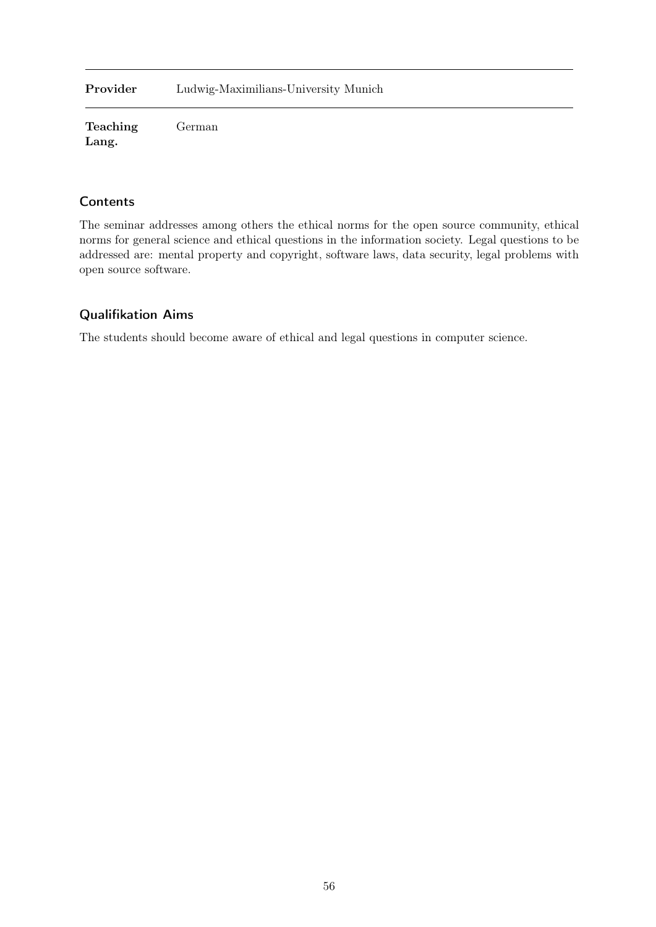Provider Ludwig-Maximilians-University Munich

Teaching Lang. German

### **Contents**

The seminar addresses among others the ethical norms for the open source community, ethical norms for general science and ethical questions in the information society. Legal questions to be addressed are: mental property and copyright, software laws, data security, legal problems with open source software.

### Qualifikation Aims

The students should become aware of ethical and legal questions in computer science.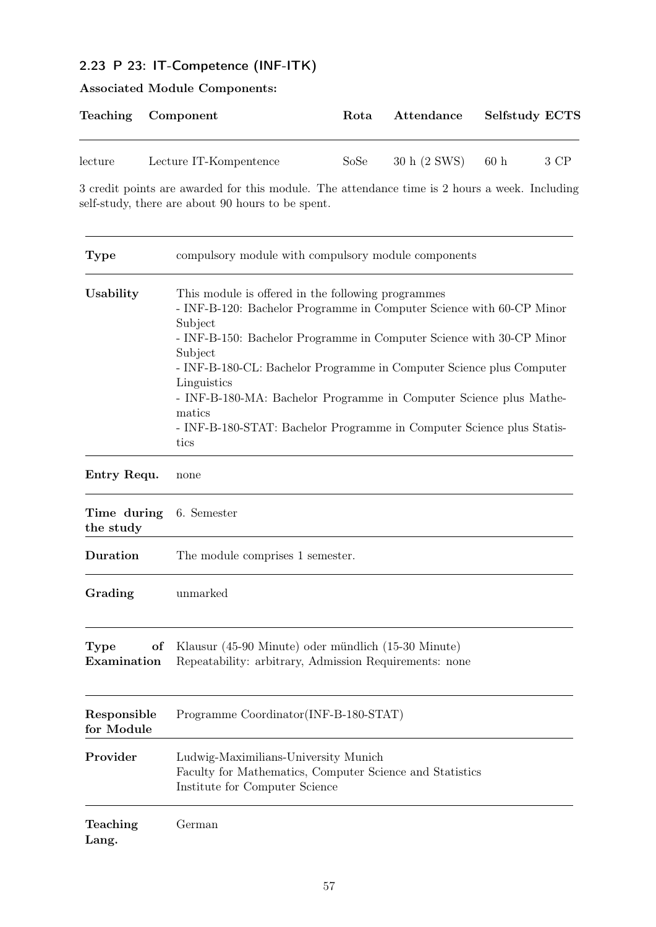# 2.23 P 23: IT-Competence (INF-ITK)

# Associated Module Components:

|         | Teaching Component     | Rota | Attendance                  | <b>Selfstudy ECTS</b> |
|---------|------------------------|------|-----------------------------|-----------------------|
| lecture | Lecture IT-Kompentence | SoSe | $30 h (2 \text{ SWS})$ 60 h | 3 CP                  |

3 credit points are awarded for this module. The attendance time is 2 hours a week. Including self-study, there are about 90 hours to be spent.

| <b>Type</b>                      | compulsory module with compulsory module components                                                                                                                                                                                                                                                                                                                                                                                                                              |
|----------------------------------|----------------------------------------------------------------------------------------------------------------------------------------------------------------------------------------------------------------------------------------------------------------------------------------------------------------------------------------------------------------------------------------------------------------------------------------------------------------------------------|
| Usability                        | This module is offered in the following programmes<br>- INF-B-120: Bachelor Programme in Computer Science with 60-CP Minor<br>Subject<br>- INF-B-150: Bachelor Programme in Computer Science with 30-CP Minor<br>Subject<br>- INF-B-180-CL: Bachelor Programme in Computer Science plus Computer<br>Linguistics<br>- INF-B-180-MA: Bachelor Programme in Computer Science plus Mathe-<br>matics<br>- INF-B-180-STAT: Bachelor Programme in Computer Science plus Statis-<br>tics |
| Entry Requ.                      | none                                                                                                                                                                                                                                                                                                                                                                                                                                                                             |
| Time during<br>the study         | 6. Semester                                                                                                                                                                                                                                                                                                                                                                                                                                                                      |
| Duration                         | The module comprises 1 semester.                                                                                                                                                                                                                                                                                                                                                                                                                                                 |
| Grading                          | unmarked                                                                                                                                                                                                                                                                                                                                                                                                                                                                         |
| <b>Type</b><br>of<br>Examination | Klausur (45-90 Minute) oder mündlich (15-30 Minute)<br>Repeatability: arbitrary, Admission Requirements: none                                                                                                                                                                                                                                                                                                                                                                    |
| Responsible<br>for Module        | Programme Coordinator(INF-B-180-STAT)                                                                                                                                                                                                                                                                                                                                                                                                                                            |
| Provider                         | Ludwig-Maximilians-University Munich<br>Faculty for Mathematics, Computer Science and Statistics<br>Institute for Computer Science                                                                                                                                                                                                                                                                                                                                               |
| Teaching<br>Lang.                | German                                                                                                                                                                                                                                                                                                                                                                                                                                                                           |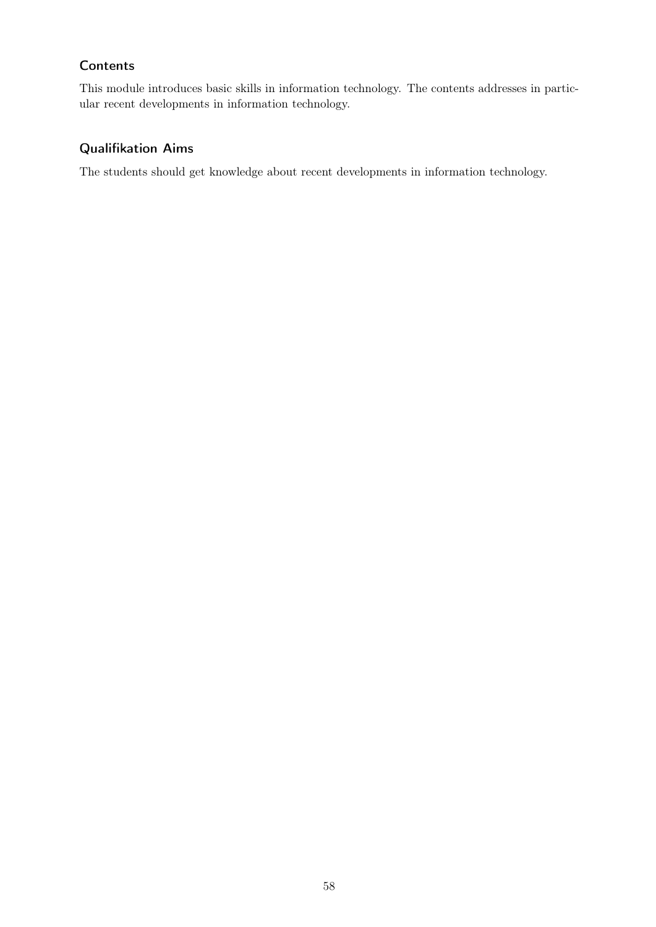This module introduces basic skills in information technology. The contents addresses in particular recent developments in information technology.

# Qualifikation Aims

The students should get knowledge about recent developments in information technology.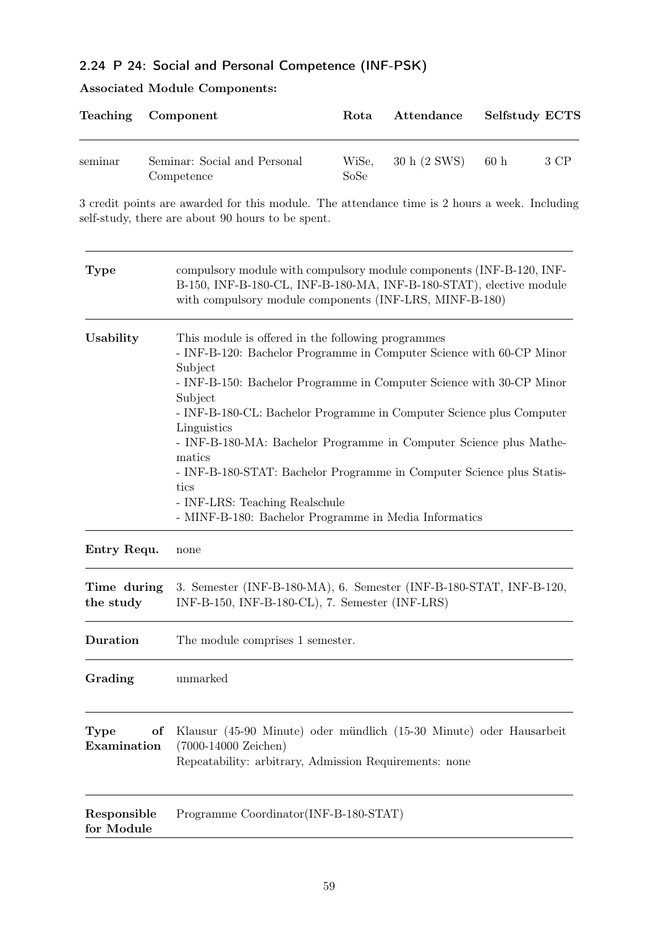# 2.24 P 24: Social and Personal Competence (INF-PSK)

# Associated Module Components:

| Teaching                  | Component                                                                                                                                                                                              | Rota                                                                                                                                                                                                                                                                                                                                                                                                                                                                                                                 | Attendance   | Selfstudy ECTS           |
|---------------------------|--------------------------------------------------------------------------------------------------------------------------------------------------------------------------------------------------------|----------------------------------------------------------------------------------------------------------------------------------------------------------------------------------------------------------------------------------------------------------------------------------------------------------------------------------------------------------------------------------------------------------------------------------------------------------------------------------------------------------------------|--------------|--------------------------|
| seminar                   | Seminar: Social and Personal<br>Competence                                                                                                                                                             | WiSe,<br>SoSe                                                                                                                                                                                                                                                                                                                                                                                                                                                                                                        | 30 h (2 SWS) | $60\ \mathrm{h}$<br>3 CP |
|                           | 3 credit points are awarded for this module. The attendance time is 2 hours a week. Including<br>self-study, there are about 90 hours to be spent.                                                     |                                                                                                                                                                                                                                                                                                                                                                                                                                                                                                                      |              |                          |
| <b>Type</b>               | compulsory module with compulsory module components (INF-B-120, INF-<br>B-150, INF-B-180-CL, INF-B-180-MA, INF-B-180-STAT), elective module<br>with compulsory module components (INF-LRS, MINF-B-180) |                                                                                                                                                                                                                                                                                                                                                                                                                                                                                                                      |              |                          |
| Usability                 | Subject<br>Subject<br>Linguistics<br>matics<br>tics                                                                                                                                                    | This module is offered in the following programmes<br>- INF-B-120: Bachelor Programme in Computer Science with 60-CP Minor<br>- INF-B-150: Bachelor Programme in Computer Science with 30-CP Minor<br>- INF-B-180-CL: Bachelor Programme in Computer Science plus Computer<br>- INF-B-180-MA: Bachelor Programme in Computer Science plus Mathe-<br>- INF-B-180-STAT: Bachelor Programme in Computer Science plus Statis-<br>- INF-LRS: Teaching Realschule<br>- MINF-B-180: Bachelor Programme in Media Informatics |              |                          |
| Entry Requ.               | none                                                                                                                                                                                                   |                                                                                                                                                                                                                                                                                                                                                                                                                                                                                                                      |              |                          |
| Time during<br>the study  | 3. Semester (INF-B-180-MA), 6. Semester (INF-B-180-STAT, INF-B-120,<br>INF-B-150, INF-B-180-CL), 7. Semester (INF-LRS)                                                                                 |                                                                                                                                                                                                                                                                                                                                                                                                                                                                                                                      |              |                          |
| Duration                  | The module comprises 1 semester.                                                                                                                                                                       |                                                                                                                                                                                                                                                                                                                                                                                                                                                                                                                      |              |                          |
| Grading                   | unmarked                                                                                                                                                                                               |                                                                                                                                                                                                                                                                                                                                                                                                                                                                                                                      |              |                          |
| Type<br>Examination       | Klausur (45-90 Minute) oder mündlich (15-30 Minute) oder Hausarbeit<br>of<br>$(7000-14000$ Zeichen)<br>Repeatability: arbitrary, Admission Requirements: none                                          |                                                                                                                                                                                                                                                                                                                                                                                                                                                                                                                      |              |                          |
| Responsible<br>for Module | Programme Coordinator(INF-B-180-STAT)                                                                                                                                                                  |                                                                                                                                                                                                                                                                                                                                                                                                                                                                                                                      |              |                          |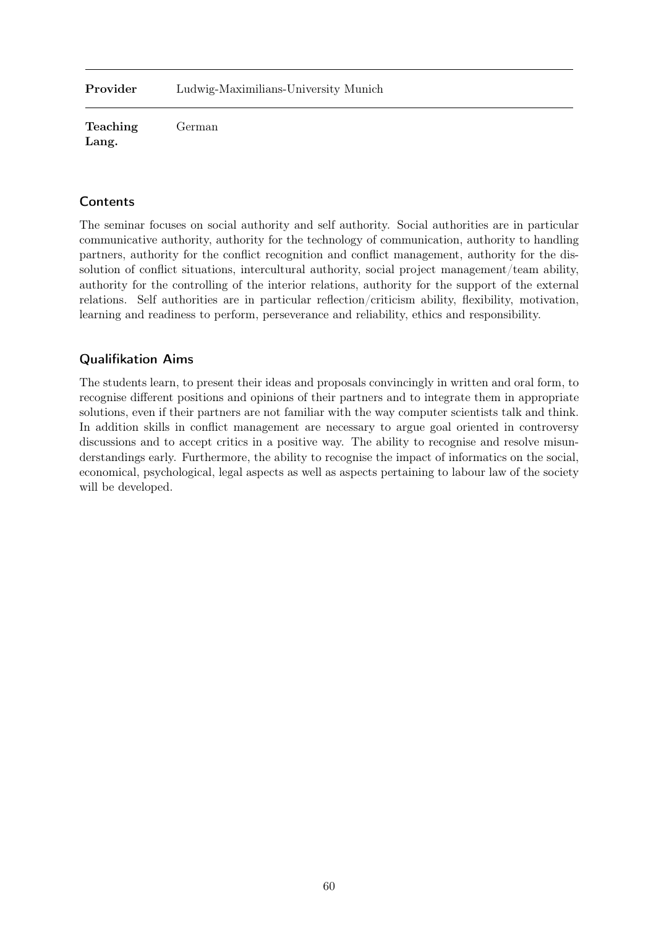Provider Ludwig-Maximilians-University Munich

Teaching Lang. German

### **Contents**

The seminar focuses on social authority and self authority. Social authorities are in particular communicative authority, authority for the technology of communication, authority to handling partners, authority for the conflict recognition and conflict management, authority for the dissolution of conflict situations, intercultural authority, social project management/team ability, authority for the controlling of the interior relations, authority for the support of the external relations. Self authorities are in particular reflection/criticism ability, flexibility, motivation, learning and readiness to perform, perseverance and reliability, ethics and responsibility.

#### Qualifikation Aims

The students learn, to present their ideas and proposals convincingly in written and oral form, to recognise different positions and opinions of their partners and to integrate them in appropriate solutions, even if their partners are not familiar with the way computer scientists talk and think. In addition skills in conflict management are necessary to argue goal oriented in controversy discussions and to accept critics in a positive way. The ability to recognise and resolve misunderstandings early. Furthermore, the ability to recognise the impact of informatics on the social, economical, psychological, legal aspects as well as aspects pertaining to labour law of the society will be developed.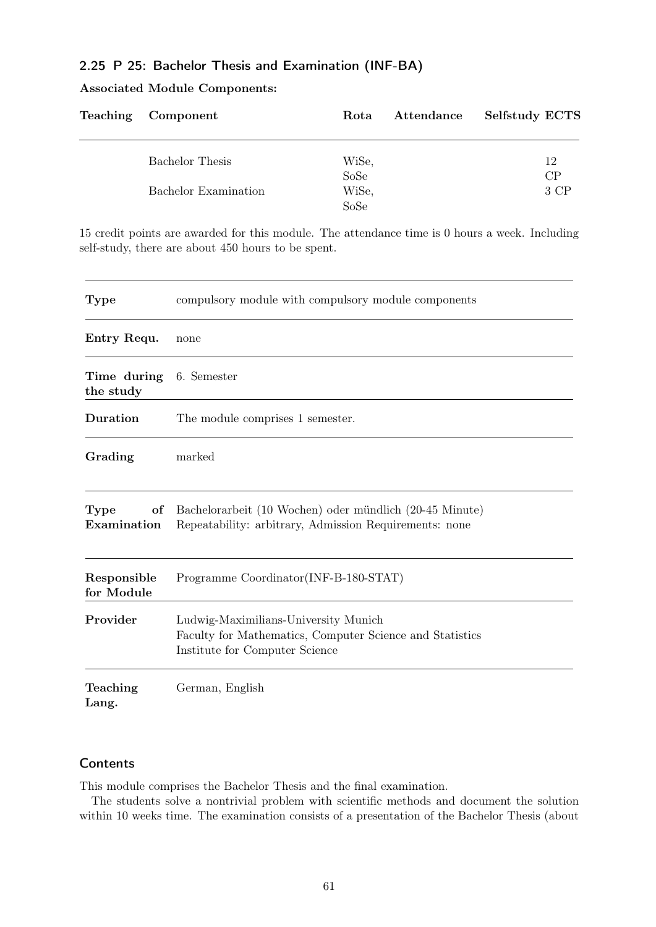### 2.25 P 25: Bachelor Thesis and Examination (INF-BA)

#### Associated Module Components:

| Teaching Component   | Rota  | Attendance | <b>Selfstudy ECTS</b> |
|----------------------|-------|------------|-----------------------|
| Bachelor Thesis      | WiSe, | 12         |                       |
|                      | SoSe  |            | CP                    |
| Bachelor Examination | WiSe, |            | 3 CP                  |
|                      | SoSe  |            |                       |

15 credit points are awarded for this module. The attendance time is 0 hours a week. Including self-study, there are about 450 hours to be spent.

| <b>Type</b>               | compulsory module with compulsory module components                                                                                |
|---------------------------|------------------------------------------------------------------------------------------------------------------------------------|
| Entry Requ.               | none                                                                                                                               |
| Time during<br>the study  | 6. Semester                                                                                                                        |
| Duration                  | The module comprises 1 semester.                                                                                                   |
| Grading                   | marked                                                                                                                             |
| Type<br>of<br>Examination | Bachelorarbeit (10 Wochen) oder mündlich (20-45 Minute)<br>Repeatability: arbitrary, Admission Requirements: none                  |
| Responsible<br>for Module | Programme Coordinator(INF-B-180-STAT)                                                                                              |
| Provider                  | Ludwig-Maximilians-University Munich<br>Faculty for Mathematics, Computer Science and Statistics<br>Institute for Computer Science |
| Teaching<br>Lang.         | German, English                                                                                                                    |

#### **Contents**

This module comprises the Bachelor Thesis and the final examination.

The students solve a nontrivial problem with scientific methods and document the solution within 10 weeks time. The examination consists of a presentation of the Bachelor Thesis (about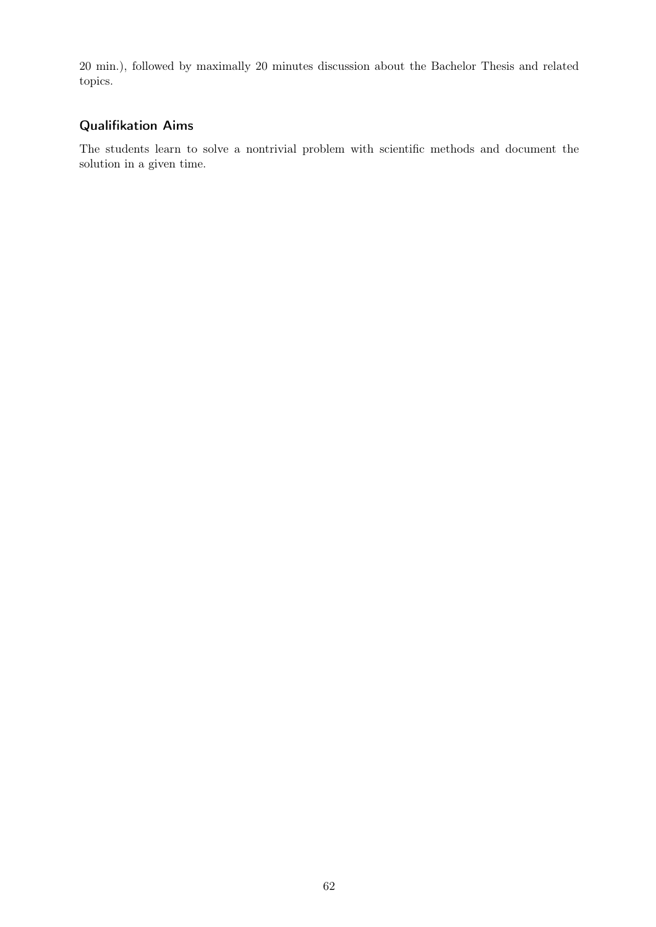20 min.), followed by maximally 20 minutes discussion about the Bachelor Thesis and related topics.

# Qualifikation Aims

The students learn to solve a nontrivial problem with scientific methods and document the solution in a given time.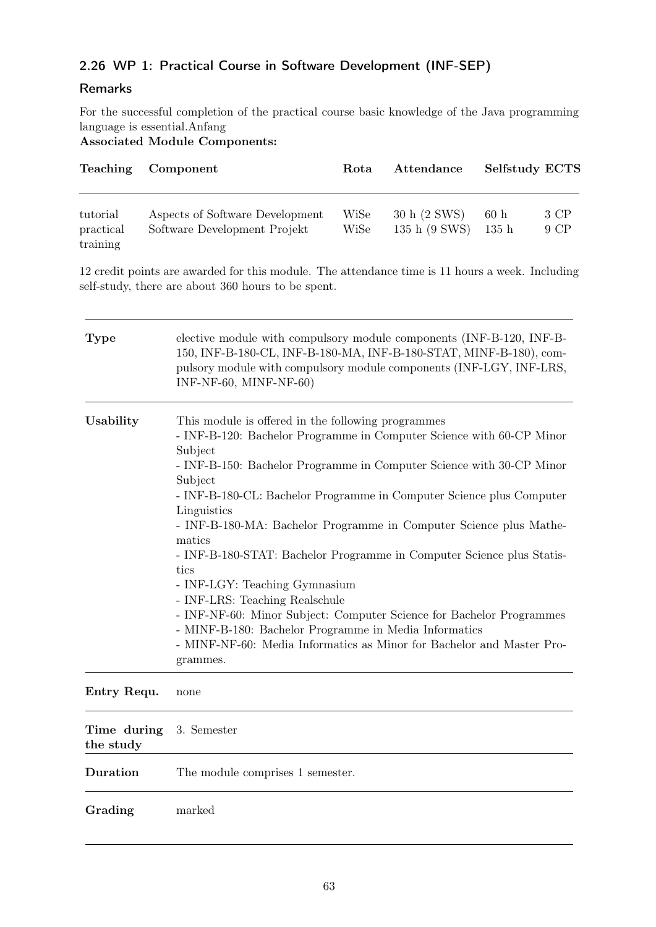# 2.26 WP 1: Practical Course in Software Development (INF-SEP)

### Remarks

For the successful completion of the practical course basic knowledge of the Java programming language is essential.Anfang

Associated Module Components:

| <b>Teaching</b>                   | Component                                                       | Rota         | Attendance                    | Selfstudy ECTS |              |
|-----------------------------------|-----------------------------------------------------------------|--------------|-------------------------------|----------------|--------------|
| tutorial<br>practical<br>training | Aspects of Software Development<br>Software Development Projekt | WiSe<br>WiSe | 30 h (2 SWS)<br>135 h (9 SWS) | 60h<br>135h    | 3 CP<br>9 CP |

12 credit points are awarded for this module. The attendance time is 11 hours a week. Including self-study, there are about 360 hours to be spent.

| <b>Type</b> | elective module with compulsory module components (INF-B-120, INF-B-<br>150, INF-B-180-CL, INF-B-180-MA, INF-B-180-STAT, MINF-B-180), com-<br>pulsory module with compulsory module components (INF-LGY, INF-LRS,<br>INF-NF-60, MINF-NF-60)                                                                                                                                                                                                                                                                                                                                                                                                                                                                                                                               |
|-------------|---------------------------------------------------------------------------------------------------------------------------------------------------------------------------------------------------------------------------------------------------------------------------------------------------------------------------------------------------------------------------------------------------------------------------------------------------------------------------------------------------------------------------------------------------------------------------------------------------------------------------------------------------------------------------------------------------------------------------------------------------------------------------|
| Usability   | This module is offered in the following programmes<br>- INF-B-120: Bachelor Programme in Computer Science with 60-CP Minor<br>Subject<br>- INF-B-150: Bachelor Programme in Computer Science with 30-CP Minor<br>Subject<br>- INF-B-180-CL: Bachelor Programme in Computer Science plus Computer<br>Linguistics<br>- INF-B-180-MA: Bachelor Programme in Computer Science plus Mathe-<br>matics<br>- INF-B-180-STAT: Bachelor Programme in Computer Science plus Statis-<br>tics<br>- INF-LGY: Teaching Gymnasium<br>- INF-LRS: Teaching Realschule<br>- INF-NF-60: Minor Subject: Computer Science for Bachelor Programmes<br>- MINF-B-180: Bachelor Programme in Media Informatics<br>- MINF-NF-60: Media Informatics as Minor for Bachelor and Master Pro-<br>grammes. |

#### Entry Requ. none

| Time during 3. Semester<br>the study |                                  |
|--------------------------------------|----------------------------------|
| Duration                             | The module comprises 1 semester. |
| Grading                              | marked                           |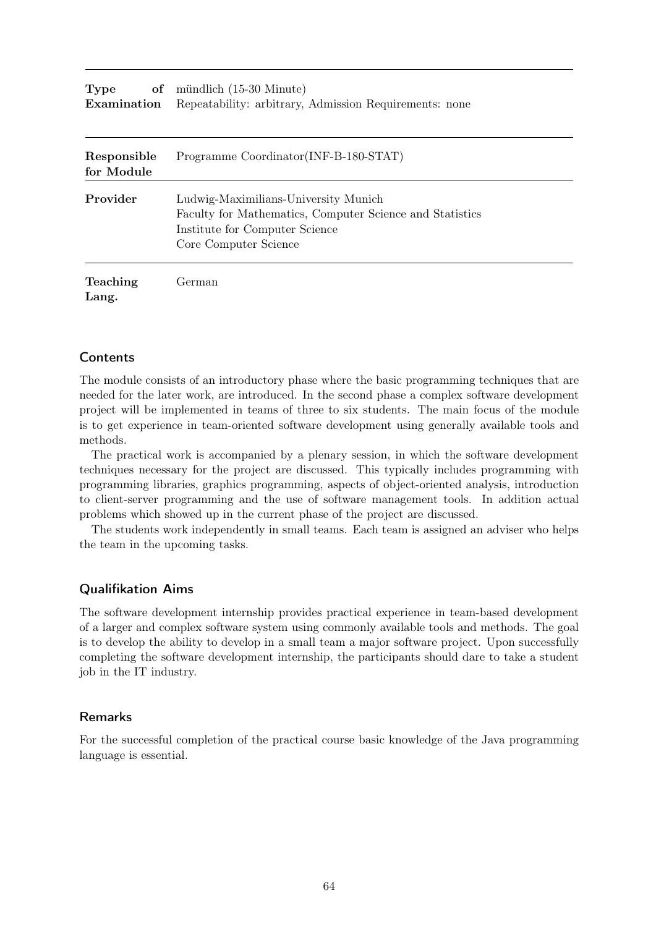| <b>Type</b> | of mündlich (15-30 Minute)                                                |
|-------------|---------------------------------------------------------------------------|
|             | <b>Examination</b> Repeatability: arbitrary, Admission Requirements: none |

| Responsible<br>for Module | Programme Coordinator (INF-B-180-STAT)                                                                                                                      |
|---------------------------|-------------------------------------------------------------------------------------------------------------------------------------------------------------|
| Provider                  | Ludwig-Maximilians-University Munich<br>Faculty for Mathematics, Computer Science and Statistics<br>Institute for Computer Science<br>Core Computer Science |
| <b>Teaching</b><br>Lang.  | German)                                                                                                                                                     |

The module consists of an introductory phase where the basic programming techniques that are needed for the later work, are introduced. In the second phase a complex software development project will be implemented in teams of three to six students. The main focus of the module is to get experience in team-oriented software development using generally available tools and methods.

The practical work is accompanied by a plenary session, in which the software development techniques necessary for the project are discussed. This typically includes programming with programming libraries, graphics programming, aspects of object-oriented analysis, introduction to client-server programming and the use of software management tools. In addition actual problems which showed up in the current phase of the project are discussed.

The students work independently in small teams. Each team is assigned an adviser who helps the team in the upcoming tasks.

#### Qualifikation Aims

The software development internship provides practical experience in team-based development of a larger and complex software system using commonly available tools and methods. The goal is to develop the ability to develop in a small team a major software project. Upon successfully completing the software development internship, the participants should dare to take a student job in the IT industry.

#### Remarks

For the successful completion of the practical course basic knowledge of the Java programming language is essential.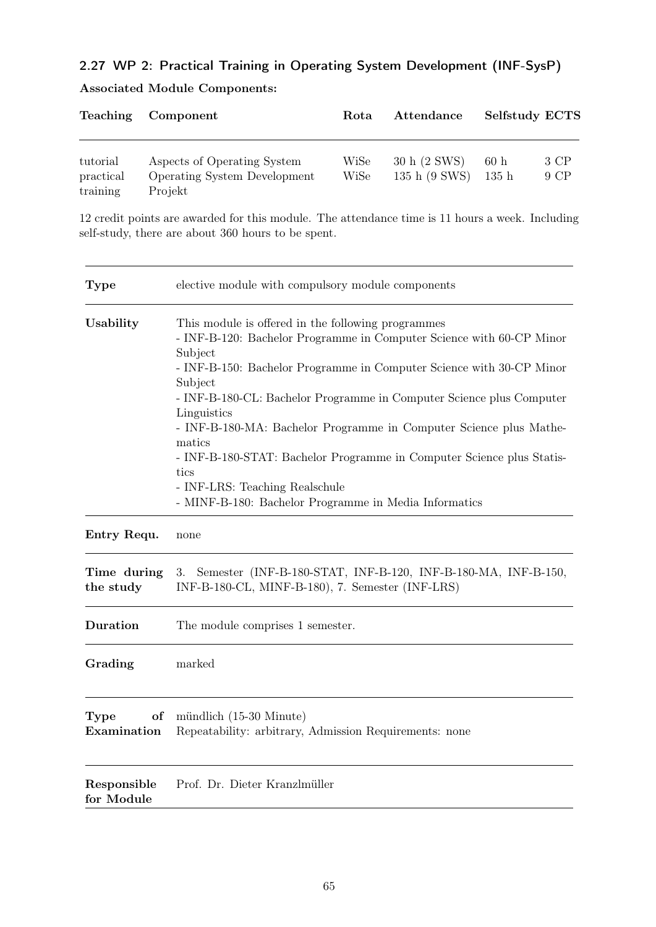# 2.27 WP 2: Practical Training in Operating System Development (INF-SysP)

|  |  | <b>Associated Module Components:</b> |
|--|--|--------------------------------------|
|--|--|--------------------------------------|

| Rota         | Attendance                                                  | <b>Selfstudy ECTS</b> |              |
|--------------|-------------------------------------------------------------|-----------------------|--------------|
| WiSe<br>WiSe | 30 h (2 SWS)<br>135 h (9 SWS)                               | 60h<br>135h           | 3 CP<br>9 CP |
|              | Aspects of Operating System<br>Operating System Development |                       |              |

12 credit points are awarded for this module. The attendance time is 11 hours a week. Including self-study, there are about 360 hours to be spent.

| Type                      | elective module with compulsory module components                                                                                                                                                                                                                                                                                                                                                                                                                                                                                                                           |  |
|---------------------------|-----------------------------------------------------------------------------------------------------------------------------------------------------------------------------------------------------------------------------------------------------------------------------------------------------------------------------------------------------------------------------------------------------------------------------------------------------------------------------------------------------------------------------------------------------------------------------|--|
| Usability                 | This module is offered in the following programmes<br>- INF-B-120: Bachelor Programme in Computer Science with 60-CP Minor<br>Subject<br>- INF-B-150: Bachelor Programme in Computer Science with 30-CP Minor<br>Subject<br>- INF-B-180-CL: Bachelor Programme in Computer Science plus Computer<br>Linguistics<br>- INF-B-180-MA: Bachelor Programme in Computer Science plus Mathe-<br>matics<br>- INF-B-180-STAT: Bachelor Programme in Computer Science plus Statis-<br>tics<br>- INF-LRS: Teaching Realschule<br>- MINF-B-180: Bachelor Programme in Media Informatics |  |
| Entry Requ.               | none                                                                                                                                                                                                                                                                                                                                                                                                                                                                                                                                                                        |  |
| Time during<br>the study  | Semester (INF-B-180-STAT, INF-B-120, INF-B-180-MA, INF-B-150,<br>3.<br>INF-B-180-CL, MINF-B-180), 7. Semester (INF-LRS)                                                                                                                                                                                                                                                                                                                                                                                                                                                     |  |
| Duration                  | The module comprises 1 semester.                                                                                                                                                                                                                                                                                                                                                                                                                                                                                                                                            |  |
| Grading                   | marked                                                                                                                                                                                                                                                                                                                                                                                                                                                                                                                                                                      |  |
| Type<br>of<br>Examination | mündlich (15-30 Minute)<br>Repeatability: arbitrary, Admission Requirements: none                                                                                                                                                                                                                                                                                                                                                                                                                                                                                           |  |
| Responsible<br>for Module | Prof. Dr. Dieter Kranzlmüller                                                                                                                                                                                                                                                                                                                                                                                                                                                                                                                                               |  |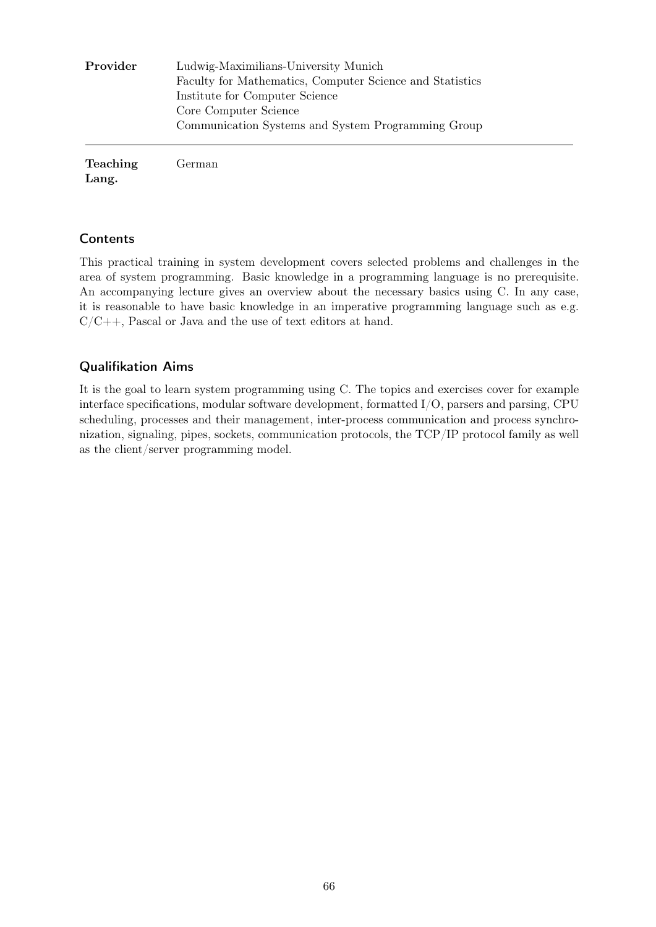| Provider | Ludwig-Maximilians-University Munich                     |
|----------|----------------------------------------------------------|
|          | Faculty for Mathematics, Computer Science and Statistics |
|          | Institute for Computer Science                           |
|          | Core Computer Science                                    |
|          | Communication Systems and System Programming Group       |
|          |                                                          |
|          |                                                          |

Teaching Lang. German

# **Contents**

This practical training in system development covers selected problems and challenges in the area of system programming. Basic knowledge in a programming language is no prerequisite. An accompanying lecture gives an overview about the necessary basics using C. In any case, it is reasonable to have basic knowledge in an imperative programming language such as e.g.  $C/C++$ , Pascal or Java and the use of text editors at hand.

# Qualifikation Aims

It is the goal to learn system programming using C. The topics and exercises cover for example interface specifications, modular software development, formatted I/O, parsers and parsing, CPU scheduling, processes and their management, inter-process communication and process synchronization, signaling, pipes, sockets, communication protocols, the TCP/IP protocol family as well as the client/server programming model.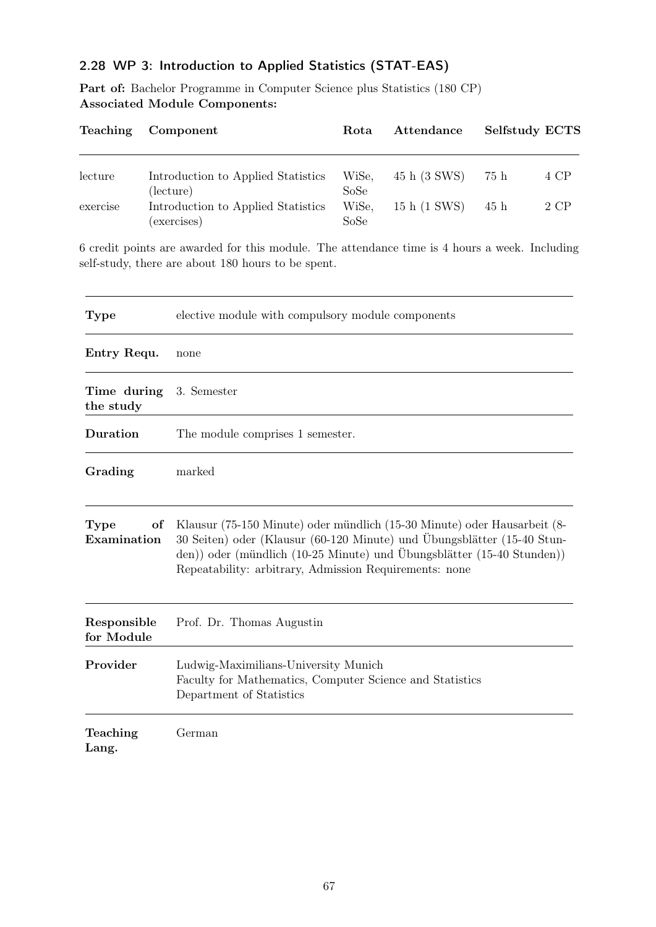# 2.28 WP 3: Introduction to Applied Statistics (STAT-EAS)

Part of: Bachelor Programme in Computer Science plus Statistics (180 CP) Associated Module Components:

| <b>Teaching</b> | Component                                       | Rota          | Attendance   | <b>Selfstudy ECTS</b> |        |
|-----------------|-------------------------------------------------|---------------|--------------|-----------------------|--------|
| lecture         | Introduction to Applied Statistics              | WiSe,         | 45 h (3 SWS) | 75 h                  | 4 CP   |
| exercise        | (lecture)<br>Introduction to Applied Statistics | SoSe<br>WiSe, | 15 h (1 SWS) | 45 h                  | $2$ CP |
|                 | (exercises)                                     | SoSe          |              |                       |        |

6 credit points are awarded for this module. The attendance time is 4 hours a week. Including self-study, there are about 180 hours to be spent.

| <b>Type</b>               | elective module with compulsory module components                                                                                                                                                                                                                                       |
|---------------------------|-----------------------------------------------------------------------------------------------------------------------------------------------------------------------------------------------------------------------------------------------------------------------------------------|
| Entry Requ.               | none                                                                                                                                                                                                                                                                                    |
| Time during<br>the study  | 3. Semester                                                                                                                                                                                                                                                                             |
| Duration                  | The module comprises 1 semester.                                                                                                                                                                                                                                                        |
| Grading                   | marked                                                                                                                                                                                                                                                                                  |
| of<br>Type<br>Examination | Klausur (75-150 Minute) oder mündlich (15-30 Minute) oder Hausarbeit (8-<br>30 Seiten) oder (Klausur (60-120 Minute) und Übungsblätter (15-40 Stun-<br>den)) oder (mündlich (10-25 Minute) und Übungsblätter (15-40 Stunden))<br>Repeatability: arbitrary, Admission Requirements: none |
| Responsible<br>for Module | Prof. Dr. Thomas Augustin                                                                                                                                                                                                                                                               |
| Provider                  | Ludwig-Maximilians-University Munich<br>Faculty for Mathematics, Computer Science and Statistics<br>Department of Statistics                                                                                                                                                            |
| Teaching<br>Lang.         | German                                                                                                                                                                                                                                                                                  |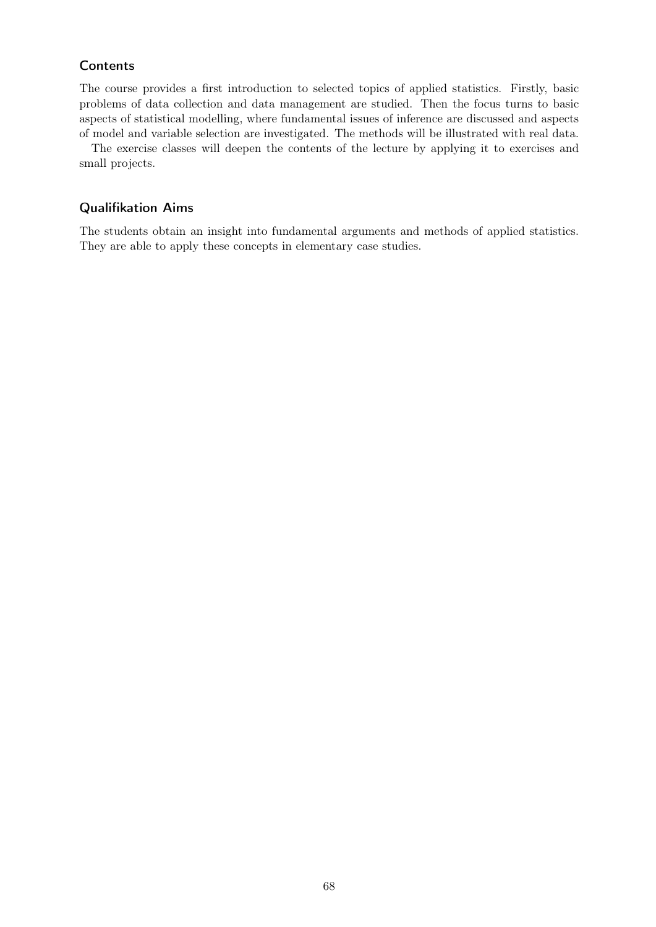The course provides a first introduction to selected topics of applied statistics. Firstly, basic problems of data collection and data management are studied. Then the focus turns to basic aspects of statistical modelling, where fundamental issues of inference are discussed and aspects of model and variable selection are investigated. The methods will be illustrated with real data.

The exercise classes will deepen the contents of the lecture by applying it to exercises and small projects.

#### Qualifikation Aims

The students obtain an insight into fundamental arguments and methods of applied statistics. They are able to apply these concepts in elementary case studies.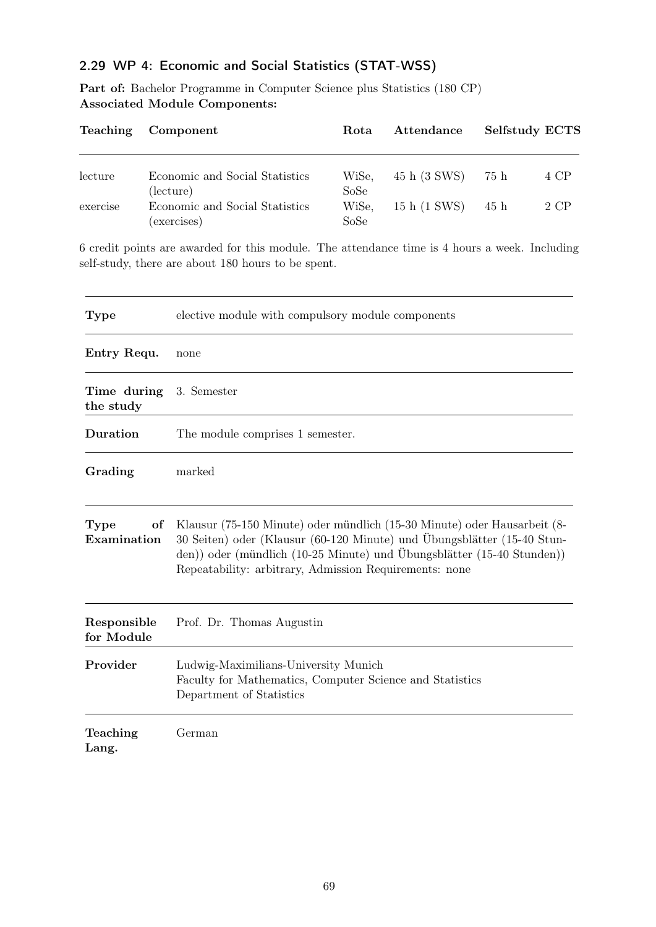### 2.29 WP 4: Economic and Social Statistics (STAT-WSS)

Part of: Bachelor Programme in Computer Science plus Statistics (180 CP) Associated Module Components:

| Component                                   | Rota          | Attendance   | Selfstudy ECTS |      |
|---------------------------------------------|---------------|--------------|----------------|------|
| Economic and Social Statistics              | WiSe,         | 45 h (3 SWS) | -75 h          | 4 CP |
| (lecture)<br>Economic and Social Statistics | SoSe<br>WiSe, | 15 h (1 SWS) | 45 h           | 2 CP |
|                                             | (exercises)   | SoSe         |                |      |

6 credit points are awarded for this module. The attendance time is 4 hours a week. Including self-study, there are about 180 hours to be spent.

| <b>Type</b>               | elective module with compulsory module components                                                                                                                                                                                                                                       |
|---------------------------|-----------------------------------------------------------------------------------------------------------------------------------------------------------------------------------------------------------------------------------------------------------------------------------------|
| Entry Requ.               | none                                                                                                                                                                                                                                                                                    |
| Time during<br>the study  | 3. Semester                                                                                                                                                                                                                                                                             |
| Duration                  | The module comprises 1 semester.                                                                                                                                                                                                                                                        |
| Grading                   | marked                                                                                                                                                                                                                                                                                  |
| of<br>Type<br>Examination | Klausur (75-150 Minute) oder mündlich (15-30 Minute) oder Hausarbeit (8-<br>30 Seiten) oder (Klausur (60-120 Minute) und Übungsblätter (15-40 Stun-<br>den)) oder (mündlich (10-25 Minute) und Übungsblätter (15-40 Stunden))<br>Repeatability: arbitrary, Admission Requirements: none |
| Responsible<br>for Module | Prof. Dr. Thomas Augustin                                                                                                                                                                                                                                                               |
| Provider                  | Ludwig-Maximilians-University Munich<br>Faculty for Mathematics, Computer Science and Statistics<br>Department of Statistics                                                                                                                                                            |
| Teaching<br>Lang.         | German                                                                                                                                                                                                                                                                                  |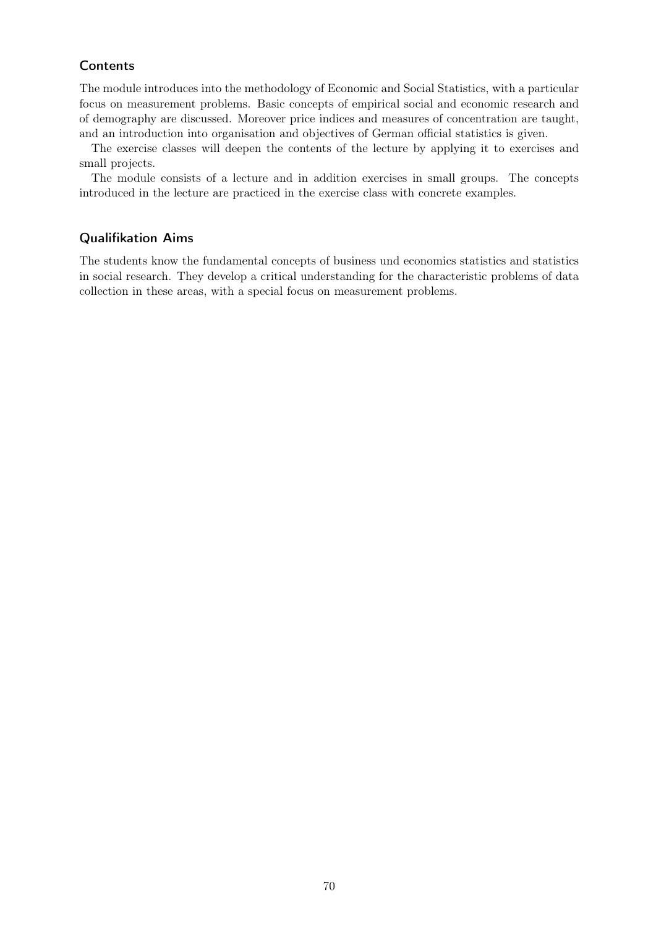The module introduces into the methodology of Economic and Social Statistics, with a particular focus on measurement problems. Basic concepts of empirical social and economic research and of demography are discussed. Moreover price indices and measures of concentration are taught, and an introduction into organisation and objectives of German official statistics is given.

The exercise classes will deepen the contents of the lecture by applying it to exercises and small projects.

The module consists of a lecture and in addition exercises in small groups. The concepts introduced in the lecture are practiced in the exercise class with concrete examples.

#### Qualifikation Aims

The students know the fundamental concepts of business und economics statistics and statistics in social research. They develop a critical understanding for the characteristic problems of data collection in these areas, with a special focus on measurement problems.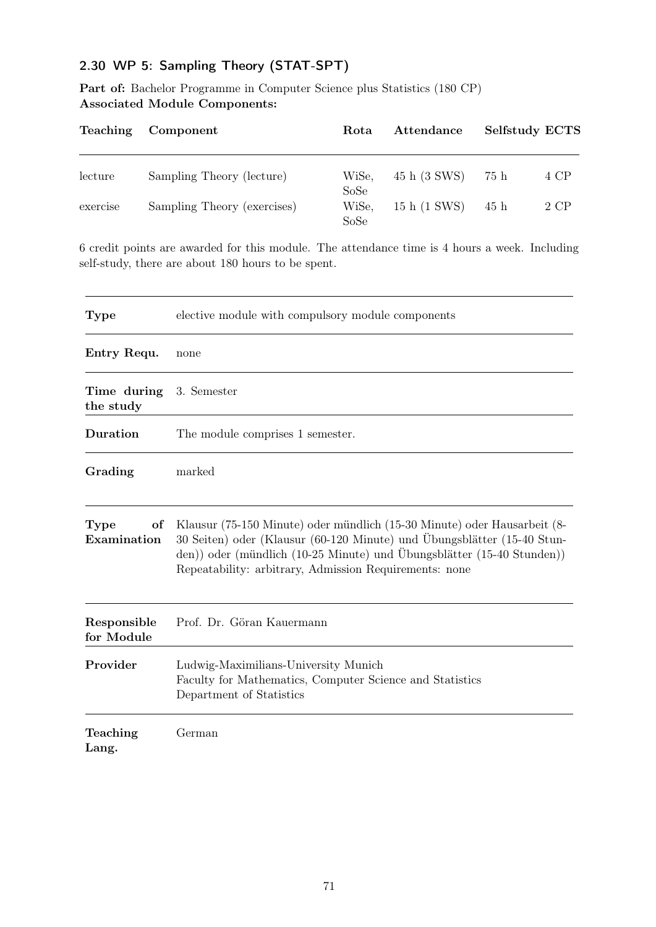# 2.30 WP 5: Sampling Theory (STAT-SPT)

Part of: Bachelor Programme in Computer Science plus Statistics (180 CP) Associated Module Components:

| Teaching | Component                   | Rota                  | Attendance   | Selfstudy ECTS |      |
|----------|-----------------------------|-----------------------|--------------|----------------|------|
| lecture  | Sampling Theory (lecture)   | WiSe,                 | 45 h (3 SWS) | 75 h           | 4 CP |
| exercise | Sampling Theory (exercises) | SoSe<br>WiSe,<br>SoSe | 15 h (1 SWS) | 45 h           | 2 CP |

6 credit points are awarded for this module. The attendance time is 4 hours a week. Including self-study, there are about 180 hours to be spent.

| <b>Type</b>               | elective module with compulsory module components                                                                                                                                                                                                                                       |
|---------------------------|-----------------------------------------------------------------------------------------------------------------------------------------------------------------------------------------------------------------------------------------------------------------------------------------|
| Entry Requ.               | none                                                                                                                                                                                                                                                                                    |
| Time during<br>the study  | 3. Semester                                                                                                                                                                                                                                                                             |
| Duration                  | The module comprises 1 semester.                                                                                                                                                                                                                                                        |
| Grading                   | marked                                                                                                                                                                                                                                                                                  |
| Type<br>of<br>Examination | Klausur (75-150 Minute) oder mündlich (15-30 Minute) oder Hausarbeit (8-<br>30 Seiten) oder (Klausur (60-120 Minute) und Übungsblätter (15-40 Stun-<br>den)) oder (mündlich (10-25 Minute) und Übungsblätter (15-40 Stunden))<br>Repeatability: arbitrary, Admission Requirements: none |
| Responsible<br>for Module | Prof. Dr. Göran Kauermann                                                                                                                                                                                                                                                               |
| Provider                  | Ludwig-Maximilians-University Munich<br>Faculty for Mathematics, Computer Science and Statistics<br>Department of Statistics                                                                                                                                                            |
| Teaching<br>Lang.         | German                                                                                                                                                                                                                                                                                  |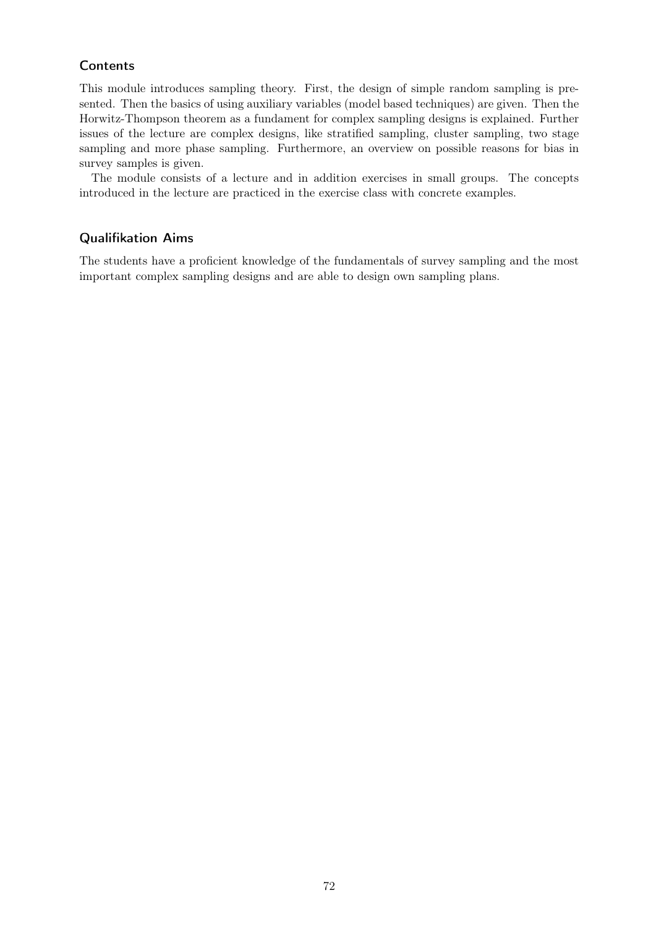This module introduces sampling theory. First, the design of simple random sampling is presented. Then the basics of using auxiliary variables (model based techniques) are given. Then the Horwitz-Thompson theorem as a fundament for complex sampling designs is explained. Further issues of the lecture are complex designs, like stratified sampling, cluster sampling, two stage sampling and more phase sampling. Furthermore, an overview on possible reasons for bias in survey samples is given.

The module consists of a lecture and in addition exercises in small groups. The concepts introduced in the lecture are practiced in the exercise class with concrete examples.

#### Qualifikation Aims

The students have a proficient knowledge of the fundamentals of survey sampling and the most important complex sampling designs and are able to design own sampling plans.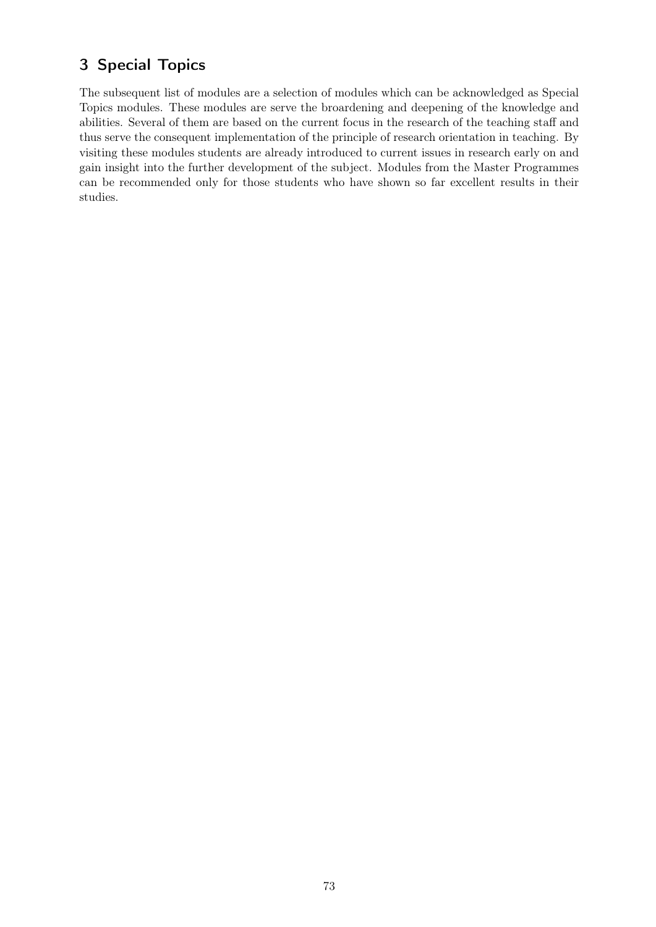# 3 Special Topics

The subsequent list of modules are a selection of modules which can be acknowledged as Special Topics modules. These modules are serve the broardening and deepening of the knowledge and abilities. Several of them are based on the current focus in the research of the teaching staff and thus serve the consequent implementation of the principle of research orientation in teaching. By visiting these modules students are already introduced to current issues in research early on and gain insight into the further development of the subject. Modules from the Master Programmes can be recommended only for those students who have shown so far excellent results in their studies.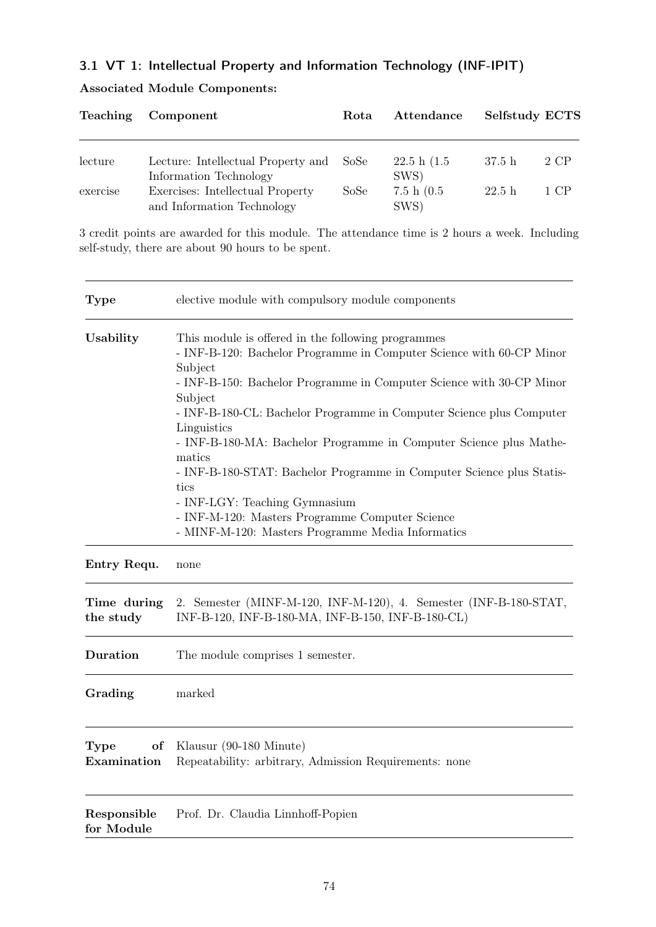# 3.1 VT 1: Intellectual Property and Information Technology (INF-IPIT)

|          | Teaching Component                                             | Rota | Attendance            | Selfstudy ECTS |      |
|----------|----------------------------------------------------------------|------|-----------------------|----------------|------|
| lecture  | Lecture: Intellectual Property and SoSe                        |      | 22.5 h(1.5)           | 37.5 h         | 2 CP |
|          | Information Technology                                         |      | SWS)                  |                |      |
| exercise | Exercises: Intellectual Property<br>and Information Technology | SoSe | 7.5 h $(0.5)$<br>SWS) | 22.5h          | 1 CP |

## Associated Module Components:

3 credit points are awarded for this module. The attendance time is 2 hours a week. Including self-study, there are about 90 hours to be spent.

| <b>Type</b>                      | elective module with compulsory module components                                                                                                                                                                                                                                                                                                                                                                                                                                                                                                                                                                         |  |  |
|----------------------------------|---------------------------------------------------------------------------------------------------------------------------------------------------------------------------------------------------------------------------------------------------------------------------------------------------------------------------------------------------------------------------------------------------------------------------------------------------------------------------------------------------------------------------------------------------------------------------------------------------------------------------|--|--|
| Usability                        | This module is offered in the following programmes<br>- INF-B-120: Bachelor Programme in Computer Science with 60-CP Minor<br>Subject<br>- INF-B-150: Bachelor Programme in Computer Science with 30-CP Minor<br>Subject<br>- INF-B-180-CL: Bachelor Programme in Computer Science plus Computer<br>Linguistics<br>- INF-B-180-MA: Bachelor Programme in Computer Science plus Mathe-<br>matics<br>- INF-B-180-STAT: Bachelor Programme in Computer Science plus Statis-<br>tics<br>- INF-LGY: Teaching Gymnasium<br>- INF-M-120: Masters Programme Computer Science<br>- MINF-M-120: Masters Programme Media Informatics |  |  |
| Entry Requ.                      | none                                                                                                                                                                                                                                                                                                                                                                                                                                                                                                                                                                                                                      |  |  |
| Time during<br>the study         | 2. Semester (MINF-M-120, INF-M-120), 4. Semester (INF-B-180-STAT,<br>INF-B-120, INF-B-180-MA, INF-B-150, INF-B-180-CL)                                                                                                                                                                                                                                                                                                                                                                                                                                                                                                    |  |  |
| Duration                         | The module comprises 1 semester.                                                                                                                                                                                                                                                                                                                                                                                                                                                                                                                                                                                          |  |  |
| Grading                          | marked                                                                                                                                                                                                                                                                                                                                                                                                                                                                                                                                                                                                                    |  |  |
| <b>Type</b><br>of<br>Examination | Klausur (90-180 Minute)<br>Repeatability: arbitrary, Admission Requirements: none                                                                                                                                                                                                                                                                                                                                                                                                                                                                                                                                         |  |  |
| Responsible<br>for Module        | Prof. Dr. Claudia Linnhoff-Popien                                                                                                                                                                                                                                                                                                                                                                                                                                                                                                                                                                                         |  |  |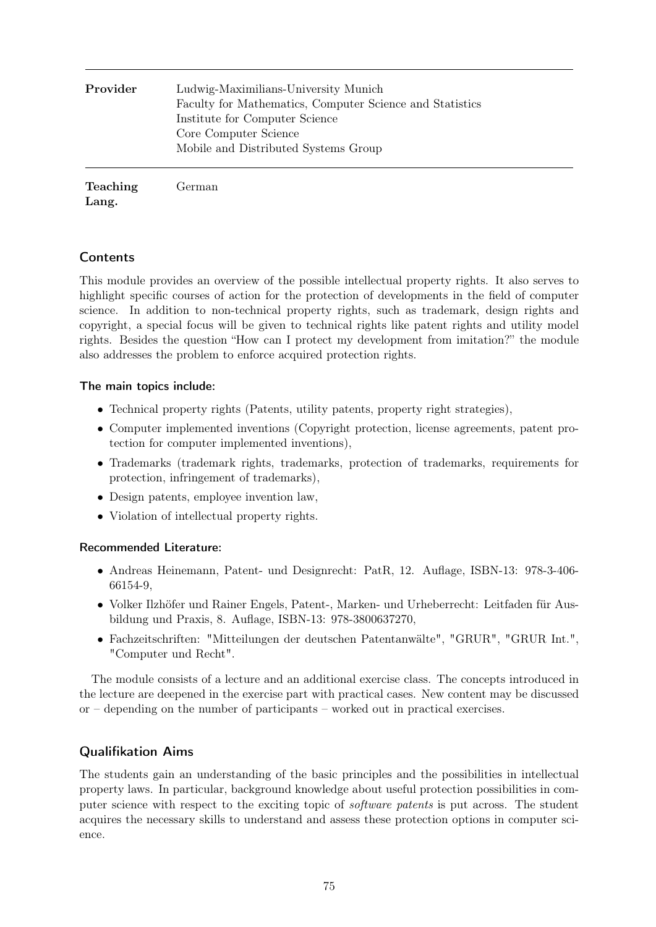| Provider | Ludwig-Maximilians-University Munich<br>Faculty for Mathematics, Computer Science and Statistics<br>Institute for Computer Science<br>Core Computer Science<br>Mobile and Distributed Systems Group |
|----------|-----------------------------------------------------------------------------------------------------------------------------------------------------------------------------------------------------|
| Teaching | German                                                                                                                                                                                              |

Lang.

## **Contents**

This module provides an overview of the possible intellectual property rights. It also serves to highlight specific courses of action for the protection of developments in the field of computer science. In addition to non-technical property rights, such as trademark, design rights and copyright, a special focus will be given to technical rights like patent rights and utility model rights. Besides the question "How can I protect my development from imitation?" the module also addresses the problem to enforce acquired protection rights.

### The main topics include:

- Technical property rights (Patents, utility patents, property right strategies),
- Computer implemented inventions (Copyright protection, license agreements, patent protection for computer implemented inventions),
- Trademarks (trademark rights, trademarks, protection of trademarks, requirements for protection, infringement of trademarks),
- Design patents, employee invention law,
- Violation of intellectual property rights.

### Recommended Literature:

- Andreas Heinemann, Patent- und Designrecht: PatR, 12. Auflage, ISBN-13: 978-3-406- 66154-9,
- Volker Ilzhöfer und Rainer Engels, Patent-, Marken- und Urheberrecht: Leitfaden für Ausbildung und Praxis, 8. Auflage, ISBN-13: 978-3800637270,
- Fachzeitschriften: "Mitteilungen der deutschen Patentanwälte", "GRUR", "GRUR Int.", "Computer und Recht".

The module consists of a lecture and an additional exercise class. The concepts introduced in the lecture are deepened in the exercise part with practical cases. New content may be discussed or – depending on the number of participants – worked out in practical exercises.

### Qualifikation Aims

The students gain an understanding of the basic principles and the possibilities in intellectual property laws. In particular, background knowledge about useful protection possibilities in computer science with respect to the exciting topic of software patents is put across. The student acquires the necessary skills to understand and assess these protection options in computer science.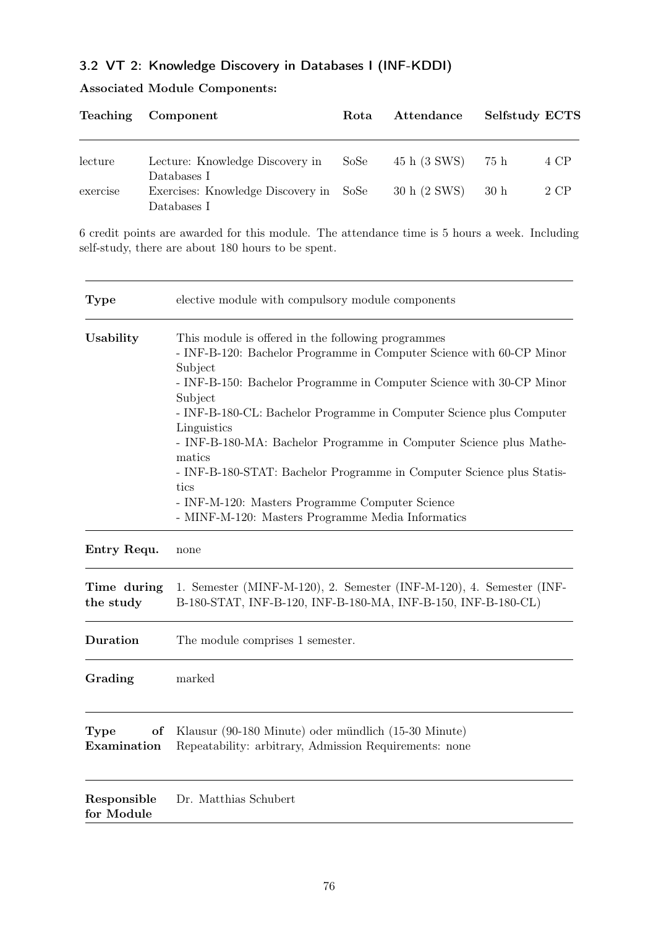# 3.2 VT 2: Knowledge Discovery in Databases I (INF-KDDI)

|  |  | <b>Associated Module Components:</b> |
|--|--|--------------------------------------|
|--|--|--------------------------------------|

|          | Teaching Component                                                   | Rota | Attendance   | Selfstudy ECTS |      |
|----------|----------------------------------------------------------------------|------|--------------|----------------|------|
| lecture  | Lecture: Knowledge Discovery in                                      | SoSe | 45 h (3 SWS) | - 75 h         | 4 CP |
| exercise | Databases I<br>Exercises: Knowledge Discovery in SoSe<br>Databases I |      | 30 h (2 SWS) | 30h            | 2 CP |

6 credit points are awarded for this module. The attendance time is 5 hours a week. Including self-study, there are about 180 hours to be spent.

| <b>Type</b>                      | elective module with compulsory module components                                                                                                                                                                                                                                                                                                                                                                                                                                                                                                                                        |  |  |  |
|----------------------------------|------------------------------------------------------------------------------------------------------------------------------------------------------------------------------------------------------------------------------------------------------------------------------------------------------------------------------------------------------------------------------------------------------------------------------------------------------------------------------------------------------------------------------------------------------------------------------------------|--|--|--|
| Usability                        | This module is offered in the following programmes<br>- INF-B-120: Bachelor Programme in Computer Science with 60-CP Minor<br>Subject<br>- INF-B-150: Bachelor Programme in Computer Science with 30-CP Minor<br>Subject<br>- INF-B-180-CL: Bachelor Programme in Computer Science plus Computer<br>Linguistics<br>- INF-B-180-MA: Bachelor Programme in Computer Science plus Mathe-<br>matics<br>- INF-B-180-STAT: Bachelor Programme in Computer Science plus Statis-<br>tics<br>- INF-M-120: Masters Programme Computer Science<br>- MINF-M-120: Masters Programme Media Informatics |  |  |  |
| Entry Requ.                      | none                                                                                                                                                                                                                                                                                                                                                                                                                                                                                                                                                                                     |  |  |  |
| Time during<br>the study         | 1. Semester (MINF-M-120), 2. Semester (INF-M-120), 4. Semester (INF-<br>B-180-STAT, INF-B-120, INF-B-180-MA, INF-B-150, INF-B-180-CL)                                                                                                                                                                                                                                                                                                                                                                                                                                                    |  |  |  |
| <b>Duration</b>                  | The module comprises 1 semester.                                                                                                                                                                                                                                                                                                                                                                                                                                                                                                                                                         |  |  |  |
| Grading                          | marked                                                                                                                                                                                                                                                                                                                                                                                                                                                                                                                                                                                   |  |  |  |
| <b>Type</b><br>of<br>Examination | Klausur (90-180 Minute) oder mündlich (15-30 Minute)<br>Repeatability: arbitrary, Admission Requirements: none                                                                                                                                                                                                                                                                                                                                                                                                                                                                           |  |  |  |
| Responsible<br>for Module        | Dr. Matthias Schubert                                                                                                                                                                                                                                                                                                                                                                                                                                                                                                                                                                    |  |  |  |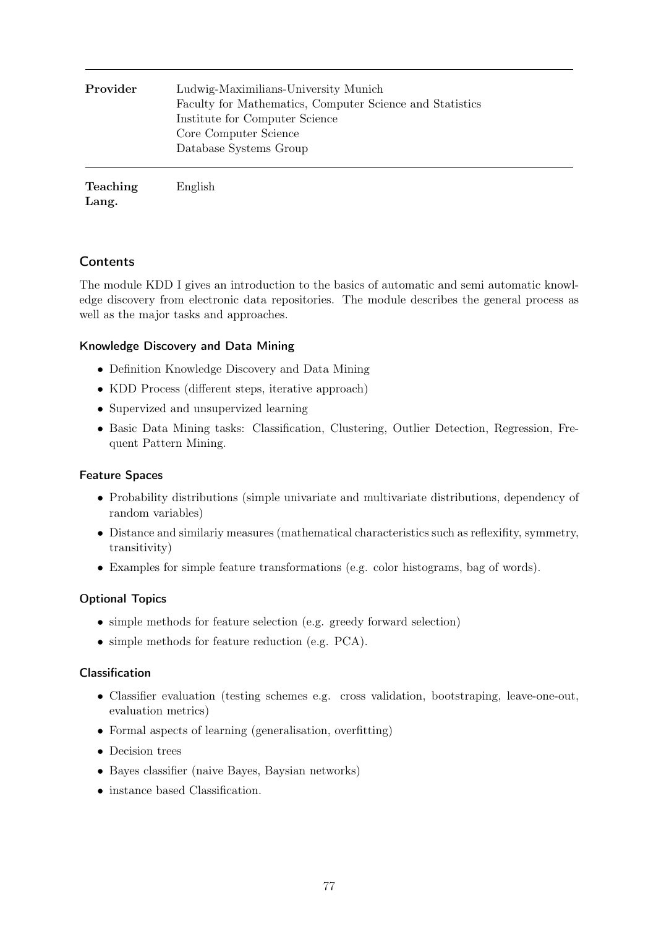| Provider        | Ludwig-Maximilians-University Munich<br>Faculty for Mathematics, Computer Science and Statistics<br>Institute for Computer Science<br>Core Computer Science<br>Database Systems Group |
|-----------------|---------------------------------------------------------------------------------------------------------------------------------------------------------------------------------------|
| <b>Teaching</b> | English                                                                                                                                                                               |

Lang.

### **Contents**

The module KDD I gives an introduction to the basics of automatic and semi automatic knowledge discovery from electronic data repositories. The module describes the general process as well as the major tasks and approaches.

#### Knowledge Discovery and Data Mining

- Definition Knowledge Discovery and Data Mining
- KDD Process (different steps, iterative approach)
- Supervized and unsupervized learning
- Basic Data Mining tasks: Classification, Clustering, Outlier Detection, Regression, Frequent Pattern Mining.

#### Feature Spaces

- Probability distributions (simple univariate and multivariate distributions, dependency of random variables)
- Distance and similariy measures (mathematical characteristics such as reflexifity, symmetry, transitivity)
- Examples for simple feature transformations (e.g. color histograms, bag of words).

#### Optional Topics

- simple methods for feature selection (e.g. greedy forward selection)
- simple methods for feature reduction (e.g. PCA).

#### Classification

- Classifier evaluation (testing schemes e.g. cross validation, bootstraping, leave-one-out, evaluation metrics)
- Formal aspects of learning (generalisation, overfitting)
- Decision trees
- Bayes classifier (naive Bayes, Baysian networks)
- instance based Classification.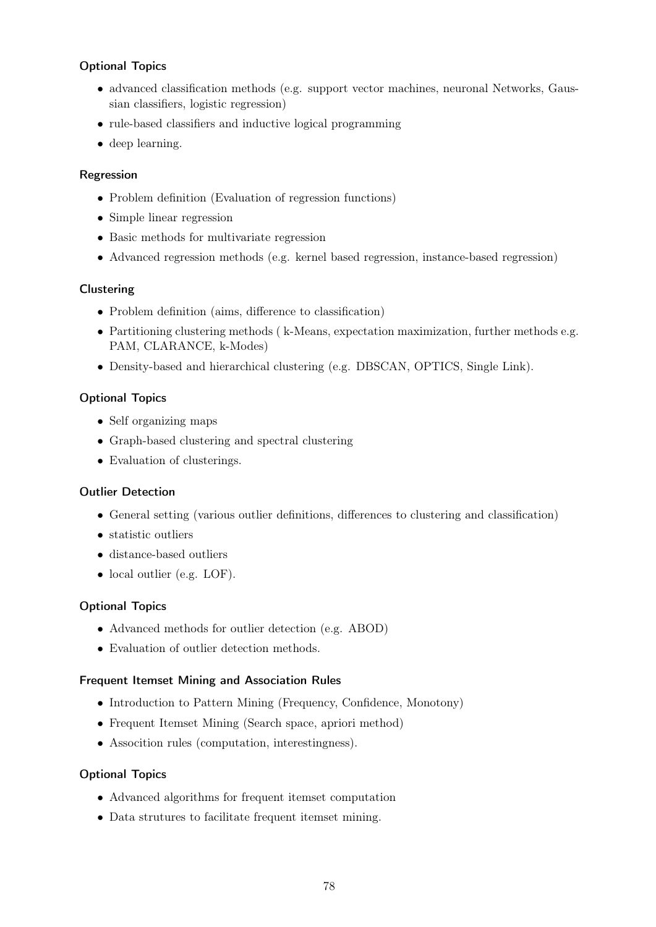### Optional Topics

- advanced classification methods (e.g. support vector machines, neuronal Networks, Gaussian classifiers, logistic regression)
- rule-based classifiers and inductive logical programming
- deep learning.

#### Regression

- Problem definition (Evaluation of regression functions)
- Simple linear regression
- Basic methods for multivariate regression
- Advanced regression methods (e.g. kernel based regression, instance-based regression)

#### **Clustering**

- Problem definition (aims, difference to classification)
- Partitioning clustering methods ( k-Means, expectation maximization, further methods e.g. PAM, CLARANCE, k-Modes)
- Density-based and hierarchical clustering (e.g. DBSCAN, OPTICS, Single Link).

### Optional Topics

- Self organizing maps
- Graph-based clustering and spectral clustering
- Evaluation of clusterings.

#### Outlier Detection

- General setting (various outlier definitions, differences to clustering and classification)
- statistic outliers
- distance-based outliers
- local outlier (e.g. LOF).

#### Optional Topics

- Advanced methods for outlier detection (e.g. ABOD)
- Evaluation of outlier detection methods.

#### Frequent Itemset Mining and Association Rules

- Introduction to Pattern Mining (Frequency, Confidence, Monotony)
- Frequent Itemset Mining (Search space, apriori method)
- Assocition rules (computation, interestingness).

#### Optional Topics

- Advanced algorithms for frequent itemset computation
- Data strutures to facilitate frequent itemset mining.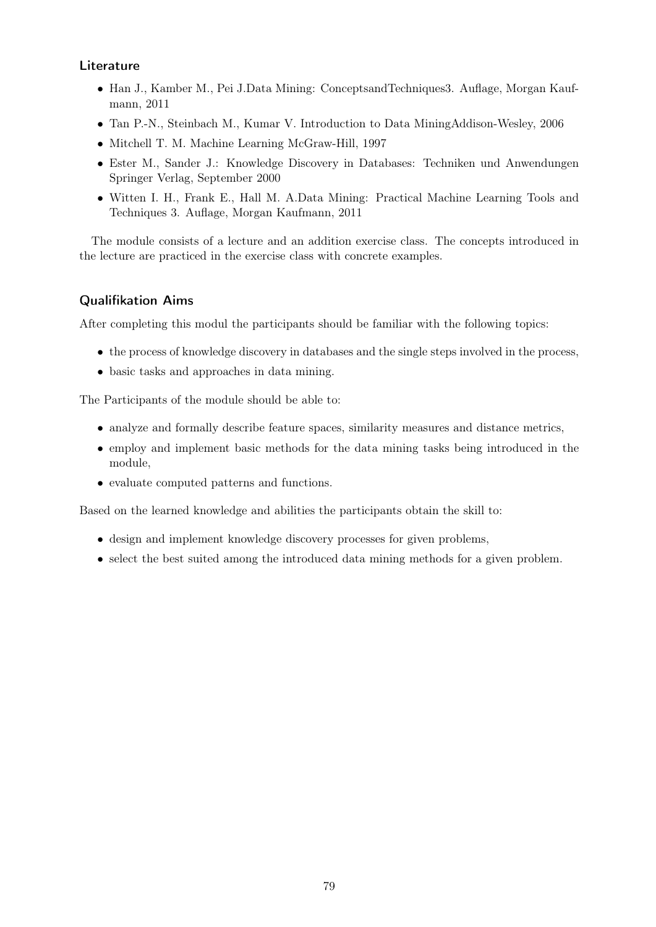### **Literature**

- Han J., Kamber M., Pei J.Data Mining: ConceptsandTechniques3. Auflage, Morgan Kaufmann, 2011
- Tan P.-N., Steinbach M., Kumar V. Introduction to Data MiningAddison-Wesley, 2006
- Mitchell T. M. Machine Learning McGraw-Hill, 1997
- Ester M., Sander J.: Knowledge Discovery in Databases: Techniken und Anwendungen Springer Verlag, September 2000
- Witten I. H., Frank E., Hall M. A.Data Mining: Practical Machine Learning Tools and Techniques 3. Auflage, Morgan Kaufmann, 2011

The module consists of a lecture and an addition exercise class. The concepts introduced in the lecture are practiced in the exercise class with concrete examples.

### Qualifikation Aims

After completing this modul the participants should be familiar with the following topics:

- the process of knowledge discovery in databases and the single steps involved in the process,
- basic tasks and approaches in data mining.

The Participants of the module should be able to:

- analyze and formally describe feature spaces, similarity measures and distance metrics,
- employ and implement basic methods for the data mining tasks being introduced in the module,
- evaluate computed patterns and functions.

Based on the learned knowledge and abilities the participants obtain the skill to:

- design and implement knowledge discovery processes for given problems,
- select the best suited among the introduced data mining methods for a given problem.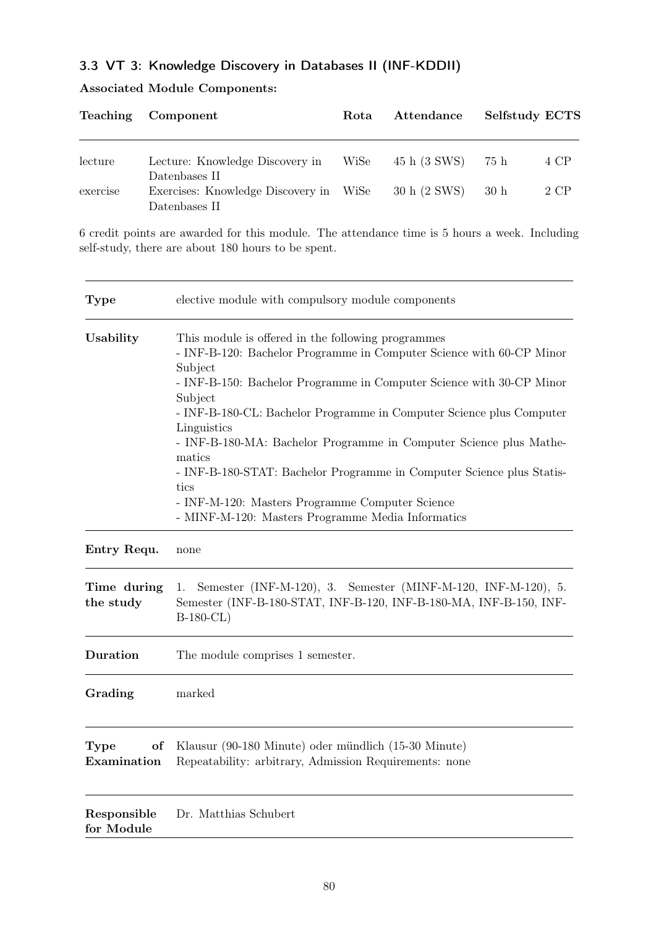## 3.3 VT 3: Knowledge Discovery in Databases II (INF-KDDII)

Associated Module Components:

|          | Teaching Component                                                       | Rota | Attendance   | Selfstudy ECTS |      |
|----------|--------------------------------------------------------------------------|------|--------------|----------------|------|
| lecture  | Lecture: Knowledge Discovery in WiSe                                     |      | 45 h (3 SWS) | - 75 h         | 4 CP |
| exercise | Datenbases II<br>Exercises: Knowledge Discovery in WiSe<br>Datenbases II |      | 30 h (2 SWS) | 30 h           | 2 CP |

6 credit points are awarded for this module. The attendance time is 5 hours a week. Including self-study, there are about 180 hours to be spent.

| <b>Type</b>               | elective module with compulsory module components                                                                                                                                                                                                                                                                                                                                                                                                                                                                                                                                        |  |  |
|---------------------------|------------------------------------------------------------------------------------------------------------------------------------------------------------------------------------------------------------------------------------------------------------------------------------------------------------------------------------------------------------------------------------------------------------------------------------------------------------------------------------------------------------------------------------------------------------------------------------------|--|--|
| Usability                 | This module is offered in the following programmes<br>- INF-B-120: Bachelor Programme in Computer Science with 60-CP Minor<br>Subject<br>- INF-B-150: Bachelor Programme in Computer Science with 30-CP Minor<br>Subject<br>- INF-B-180-CL: Bachelor Programme in Computer Science plus Computer<br>Linguistics<br>- INF-B-180-MA: Bachelor Programme in Computer Science plus Mathe-<br>matics<br>- INF-B-180-STAT: Bachelor Programme in Computer Science plus Statis-<br>tics<br>- INF-M-120: Masters Programme Computer Science<br>- MINF-M-120: Masters Programme Media Informatics |  |  |
| Entry Requ.               | none                                                                                                                                                                                                                                                                                                                                                                                                                                                                                                                                                                                     |  |  |
| Time during<br>the study  | Semester (INF-M-120), 3. Semester (MINF-M-120, INF-M-120), 5.<br>1.<br>Semester (INF-B-180-STAT, INF-B-120, INF-B-180-MA, INF-B-150, INF-<br>$B-180-CL$                                                                                                                                                                                                                                                                                                                                                                                                                                  |  |  |
| Duration                  | The module comprises 1 semester.                                                                                                                                                                                                                                                                                                                                                                                                                                                                                                                                                         |  |  |
| Grading                   | marked                                                                                                                                                                                                                                                                                                                                                                                                                                                                                                                                                                                   |  |  |
| Type<br>оf<br>Examination | Klausur (90-180 Minute) oder mündlich (15-30 Minute)<br>Repeatability: arbitrary, Admission Requirements: none                                                                                                                                                                                                                                                                                                                                                                                                                                                                           |  |  |
| Responsible<br>for Module | Dr. Matthias Schubert                                                                                                                                                                                                                                                                                                                                                                                                                                                                                                                                                                    |  |  |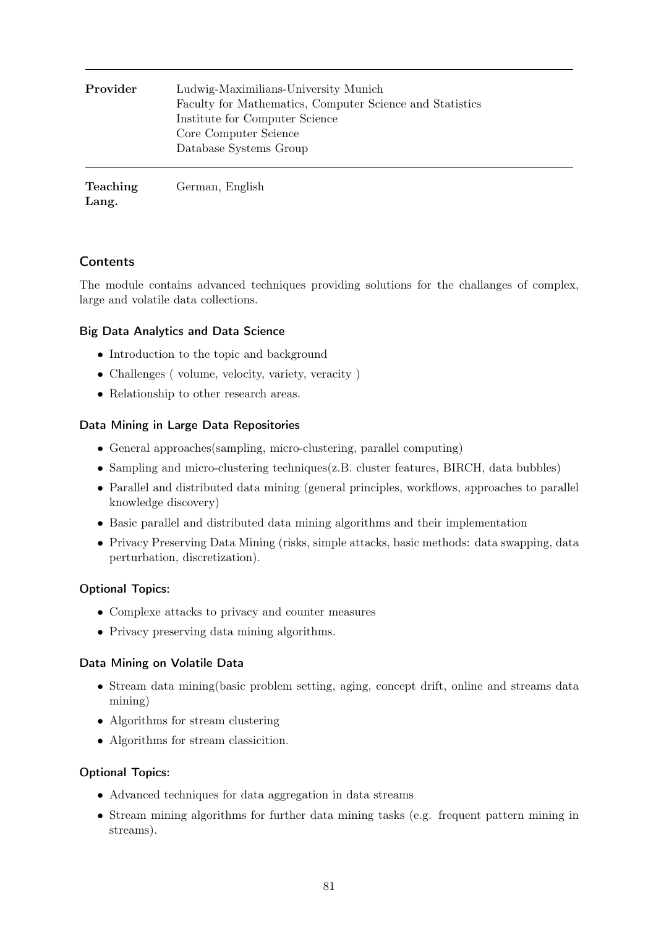| Provider        | Ludwig-Maximilians-University Munich<br>Faculty for Mathematics, Computer Science and Statistics<br>Institute for Computer Science<br>Core Computer Science<br>Database Systems Group |
|-----------------|---------------------------------------------------------------------------------------------------------------------------------------------------------------------------------------|
| <b>Teaching</b> | German, English                                                                                                                                                                       |

Lang.

#### German, English

## **Contents**

The module contains advanced techniques providing solutions for the challanges of complex, large and volatile data collections.

### Big Data Analytics and Data Science

- Introduction to the topic and background
- Challenges ( volume, velocity, variety, veracity )
- Relationship to other research areas.

### Data Mining in Large Data Repositories

- General approaches(sampling, micro-clustering, parallel computing)
- Sampling and micro-clustering techniques(z.B. cluster features, BIRCH, data bubbles)
- Parallel and distributed data mining (general principles, workflows, approaches to parallel knowledge discovery)
- Basic parallel and distributed data mining algorithms and their implementation
- Privacy Preserving Data Mining (risks, simple attacks, basic methods: data swapping, data perturbation, discretization).

### Optional Topics:

- Complexe attacks to privacy and counter measures
- Privacy preserving data mining algorithms.

### Data Mining on Volatile Data

- Stream data mining(basic problem setting, aging, concept drift, online and streams data mining)
- Algorithms for stream clustering
- Algorithms for stream classicition.

### Optional Topics:

- Advanced techniques for data aggregation in data streams
- Stream mining algorithms for further data mining tasks (e.g. frequent pattern mining in streams).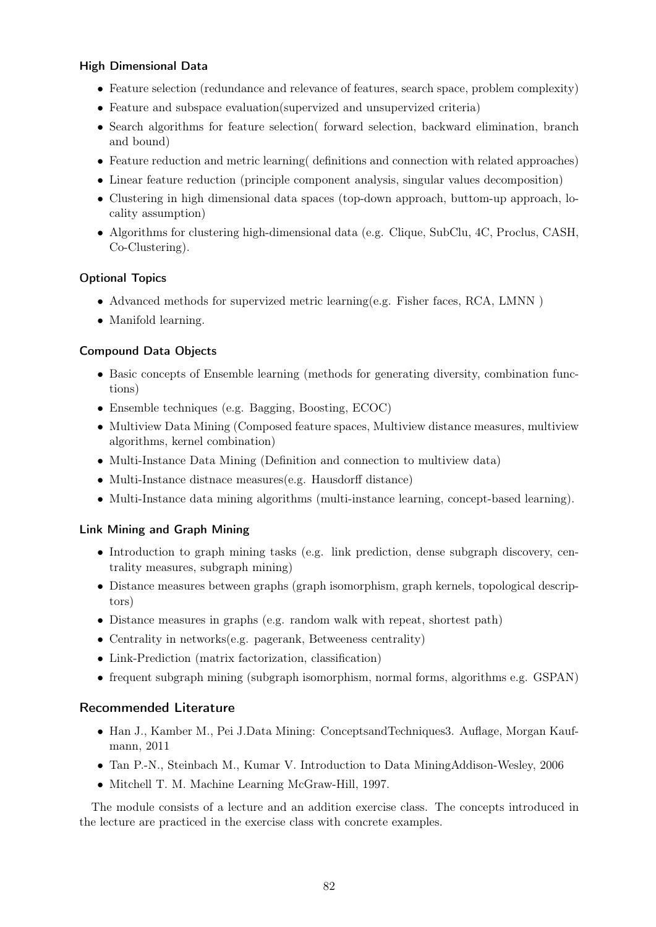#### High Dimensional Data

- Feature selection (redundance and relevance of features, search space, problem complexity)
- Feature and subspace evaluation(supervized and unsupervized criteria)
- Search algorithms for feature selection( forward selection, backward elimination, branch and bound)
- Feature reduction and metric learning definitions and connection with related approaches)
- Linear feature reduction (principle component analysis, singular values decomposition)
- Clustering in high dimensional data spaces (top-down approach, buttom-up approach, locality assumption)
- Algorithms for clustering high-dimensional data (e.g. Clique, SubClu, 4C, Proclus, CASH, Co-Clustering).

#### Optional Topics

- Advanced methods for supervized metric learning(e.g. Fisher faces, RCA, LMNN )
- Manifold learning.

#### Compound Data Objects

- Basic concepts of Ensemble learning (methods for generating diversity, combination functions)
- Ensemble techniques (e.g. Bagging, Boosting, ECOC)
- Multiview Data Mining (Composed feature spaces, Multiview distance measures, multiview algorithms, kernel combination)
- Multi-Instance Data Mining (Definition and connection to multiview data)
- Multi-Instance distnace measures (e.g. Hausdorff distance)
- Multi-Instance data mining algorithms (multi-instance learning, concept-based learning).

### Link Mining and Graph Mining

- Introduction to graph mining tasks (e.g. link prediction, dense subgraph discovery, centrality measures, subgraph mining)
- Distance measures between graphs (graph isomorphism, graph kernels, topological descriptors)
- Distance measures in graphs (e.g. random walk with repeat, shortest path)
- Centrality in networks(e.g. pagerank, Betweeness centrality)
- Link-Prediction (matrix factorization, classification)
- frequent subgraph mining (subgraph isomorphism, normal forms, algorithms e.g. GSPAN)

#### Recommended Literature

- Han J., Kamber M., Pei J.Data Mining: ConceptsandTechniques3. Auflage, Morgan Kaufmann, 2011
- Tan P.-N., Steinbach M., Kumar V. Introduction to Data MiningAddison-Wesley, 2006
- Mitchell T. M. Machine Learning McGraw-Hill, 1997.

The module consists of a lecture and an addition exercise class. The concepts introduced in the lecture are practiced in the exercise class with concrete examples.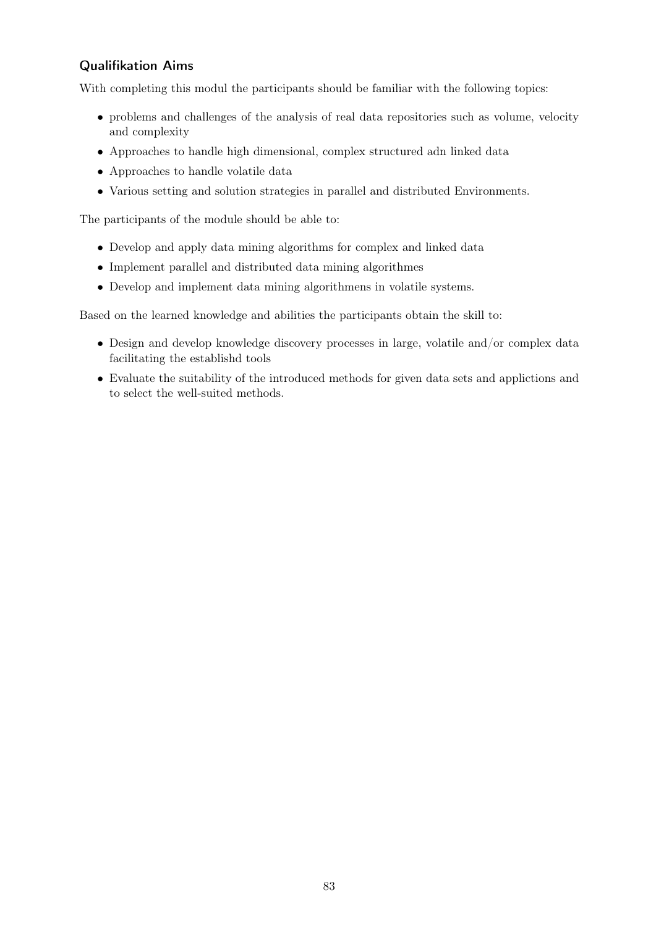## Qualifikation Aims

With completing this modul the participants should be familiar with the following topics:

- problems and challenges of the analysis of real data repositories such as volume, velocity and complexity
- Approaches to handle high dimensional, complex structured adn linked data
- Approaches to handle volatile data
- Various setting and solution strategies in parallel and distributed Environments.

The participants of the module should be able to:

- Develop and apply data mining algorithms for complex and linked data
- Implement parallel and distributed data mining algorithmes
- Develop and implement data mining algorithmens in volatile systems.

Based on the learned knowledge and abilities the participants obtain the skill to:

- Design and develop knowledge discovery processes in large, volatile and/or complex data facilitating the establishd tools
- Evaluate the suitability of the introduced methods for given data sets and applictions and to select the well-suited methods.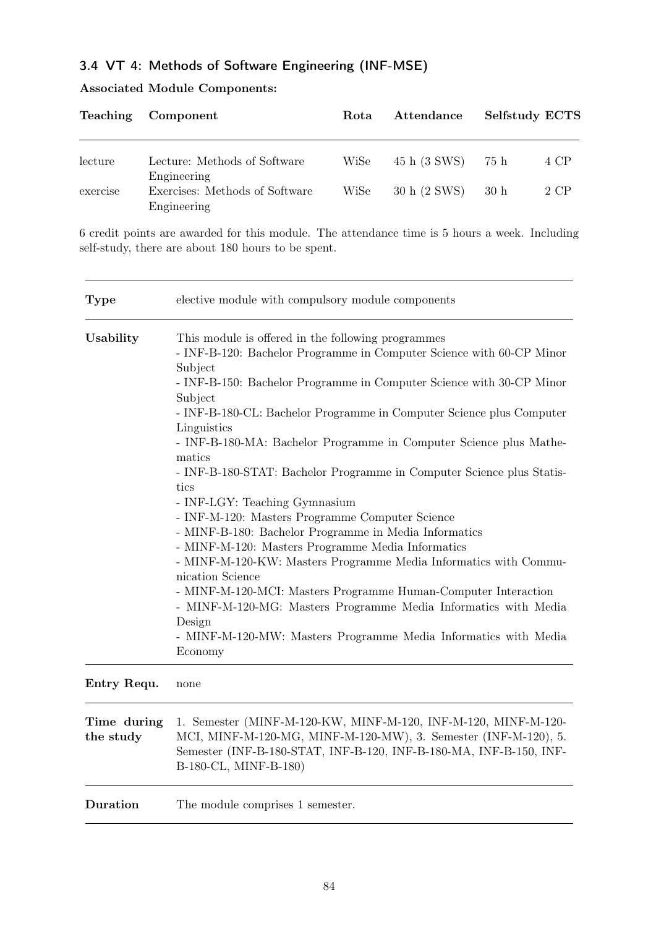# 3.4 VT 4: Methods of Software Engineering (INF-MSE)

|  |  | <b>Associated Module Components:</b> |
|--|--|--------------------------------------|
|--|--|--------------------------------------|

|          | Teaching Component                                           | Rota | Attendance   | Selfstudy ECTS |      |
|----------|--------------------------------------------------------------|------|--------------|----------------|------|
| lecture  | Lecture: Methods of Software                                 | WiSe | 45 h (3 SWS) | 75 h           | 4 CP |
| exercise | Engineering<br>Exercises: Methods of Software<br>Engineering | WiSe | 30 h (2 SWS) | 30h            | 2 CP |

6 credit points are awarded for this module. The attendance time is 5 hours a week. Including self-study, there are about 180 hours to be spent.

| <b>Type</b>              | elective module with compulsory module components                                                                                                                                                                                                                                                                                                                                                                                                                                                                                                                                                                                                                                                                                                                                                                                                                                                                                                                                                       |
|--------------------------|---------------------------------------------------------------------------------------------------------------------------------------------------------------------------------------------------------------------------------------------------------------------------------------------------------------------------------------------------------------------------------------------------------------------------------------------------------------------------------------------------------------------------------------------------------------------------------------------------------------------------------------------------------------------------------------------------------------------------------------------------------------------------------------------------------------------------------------------------------------------------------------------------------------------------------------------------------------------------------------------------------|
| Usability                | This module is offered in the following programmes<br>- INF-B-120: Bachelor Programme in Computer Science with 60-CP Minor<br>Subject<br>- INF-B-150: Bachelor Programme in Computer Science with 30-CP Minor<br>Subject<br>- INF-B-180-CL: Bachelor Programme in Computer Science plus Computer<br>Linguistics<br>- INF-B-180-MA: Bachelor Programme in Computer Science plus Mathe-<br>matics<br>- INF-B-180-STAT: Bachelor Programme in Computer Science plus Statis-<br>tics<br>- INF-LGY: Teaching Gymnasium<br>- INF-M-120: Masters Programme Computer Science<br>- MINF-B-180: Bachelor Programme in Media Informatics<br>- MINF-M-120: Masters Programme Media Informatics<br>- MINF-M-120-KW: Masters Programme Media Informatics with Commu-<br>nication Science<br>- MINF-M-120-MCI: Masters Programme Human-Computer Interaction<br>- MINF-M-120-MG: Masters Programme Media Informatics with Media<br>Design<br>- MINF-M-120-MW: Masters Programme Media Informatics with Media<br>Economy |
| Entry Requ.              | none                                                                                                                                                                                                                                                                                                                                                                                                                                                                                                                                                                                                                                                                                                                                                                                                                                                                                                                                                                                                    |
| Time during<br>the study | 1. Semester (MINF-M-120-KW, MINF-M-120, INF-M-120, MINF-M-120-<br>MCI, MINF-M-120-MG, MINF-M-120-MW), 3. Semester (INF-M-120), 5.<br>Semester (INF-B-180-STAT, INF-B-120, INF-B-180-MA, INF-B-150, INF-<br>B-180-CL, MINF-B-180)                                                                                                                                                                                                                                                                                                                                                                                                                                                                                                                                                                                                                                                                                                                                                                        |
| Duration                 | The module comprises 1 semester.                                                                                                                                                                                                                                                                                                                                                                                                                                                                                                                                                                                                                                                                                                                                                                                                                                                                                                                                                                        |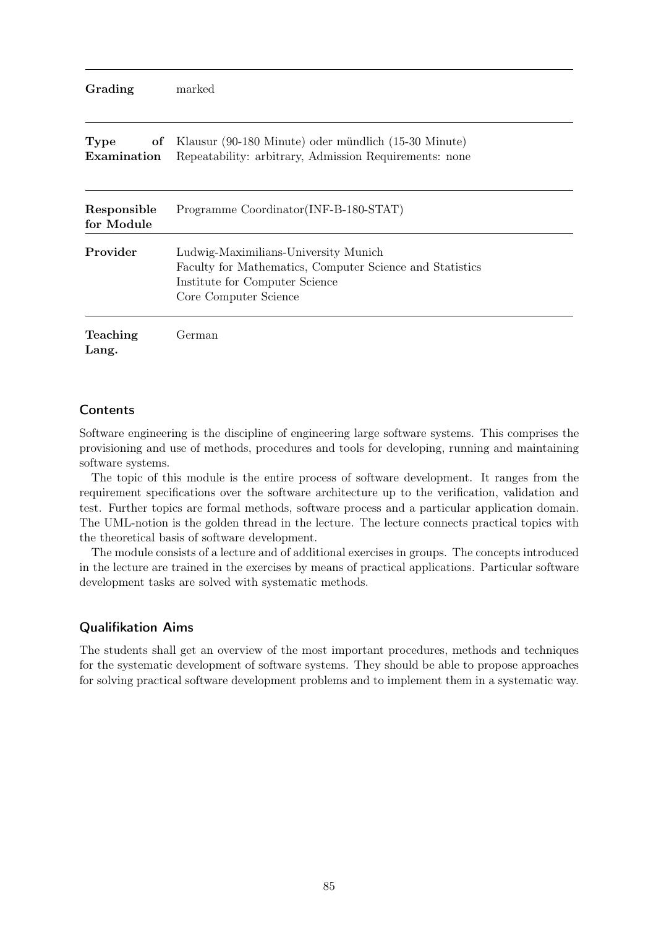| Grading | marked |
|---------|--------|
|---------|--------|

| Type<br>Examination       | of Klausur (90-180 Minute) oder mündlich (15-30 Minute)<br>Repeatability: arbitrary, Admission Requirements: none                                           |
|---------------------------|-------------------------------------------------------------------------------------------------------------------------------------------------------------|
| Responsible<br>for Module | Programme Coordinator (INF-B-180-STAT)                                                                                                                      |
| Provider                  | Ludwig-Maximilians-University Munich<br>Faculty for Mathematics, Computer Science and Statistics<br>Institute for Computer Science<br>Core Computer Science |
| Teaching<br>Lang.         | German                                                                                                                                                      |

#### **Contents**

Software engineering is the discipline of engineering large software systems. This comprises the provisioning and use of methods, procedures and tools for developing, running and maintaining software systems.

The topic of this module is the entire process of software development. It ranges from the requirement specifications over the software architecture up to the verification, validation and test. Further topics are formal methods, software process and a particular application domain. The UML-notion is the golden thread in the lecture. The lecture connects practical topics with the theoretical basis of software development.

The module consists of a lecture and of additional exercises in groups. The concepts introduced in the lecture are trained in the exercises by means of practical applications. Particular software development tasks are solved with systematic methods.

### Qualifikation Aims

The students shall get an overview of the most important procedures, methods and techniques for the systematic development of software systems. They should be able to propose approaches for solving practical software development problems and to implement them in a systematic way.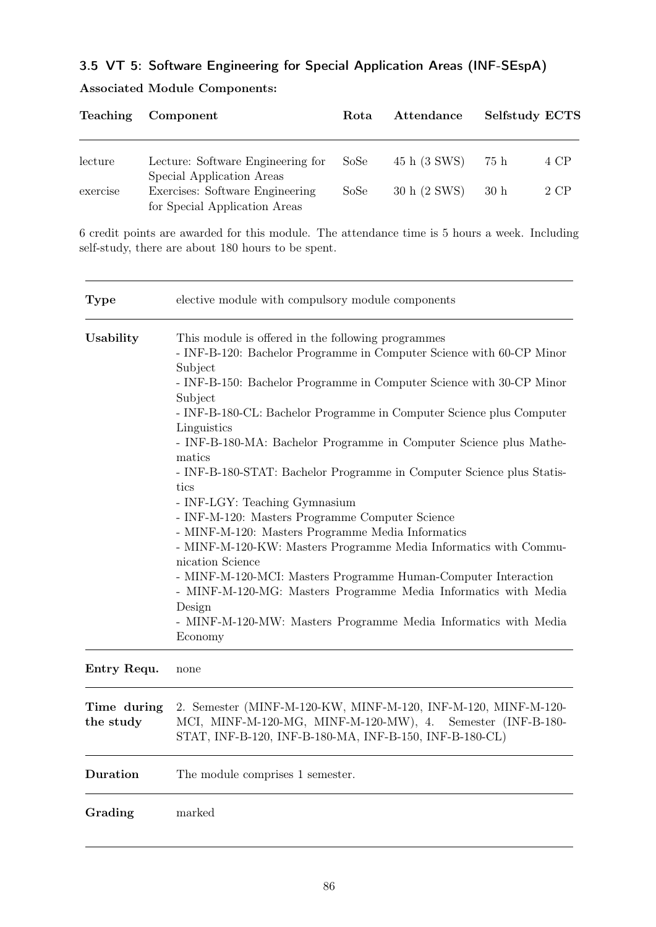# 3.5 VT 5: Software Engineering for Special Application Areas (INF-SEspA)

|          | Teaching Component                                                                            | Rota | Attendance   | Selfstudy ECTS |      |
|----------|-----------------------------------------------------------------------------------------------|------|--------------|----------------|------|
| lecture  | Lecture: Software Engineering for                                                             | SoSe | 45 h (3 SWS) | 75 h           | 4 CP |
| exercise | Special Application Areas<br>Exercises: Software Engineering<br>for Special Application Areas | SoSe | 30 h (2 SWS) | 30h            | 2 CP |

## Associated Module Components:

6 credit points are awarded for this module. The attendance time is 5 hours a week. Including self-study, there are about 180 hours to be spent.

| <b>Type</b>               | elective module with compulsory module components                                                                                                                                                                                                                                                                                                                                                                                                                        |
|---------------------------|--------------------------------------------------------------------------------------------------------------------------------------------------------------------------------------------------------------------------------------------------------------------------------------------------------------------------------------------------------------------------------------------------------------------------------------------------------------------------|
| Usability                 | This module is offered in the following programmes<br>- INF-B-120: Bachelor Programme in Computer Science with 60-CP Minor<br>Subject<br>- INF-B-150: Bachelor Programme in Computer Science with 30-CP Minor<br>Subject<br>- INF-B-180-CL: Bachelor Programme in Computer Science plus Computer<br>Linguistics<br>- INF-B-180-MA: Bachelor Programme in Computer Science plus Mathe-<br>matics<br>- INF-B-180-STAT: Bachelor Programme in Computer Science plus Statis- |
|                           | tics<br>- INF-LGY: Teaching Gymnasium<br>- INF-M-120: Masters Programme Computer Science<br>- MINF-M-120: Masters Programme Media Informatics<br>- MINF-M-120-KW: Masters Programme Media Informatics with Commu-<br>nication Science<br>- MINF-M-120-MCI: Masters Programme Human-Computer Interaction<br>- MINF-M-120-MG: Masters Programme Media Informatics with Media<br>Design<br>- MINF-M-120-MW: Masters Programme Media Informatics with Media<br>Economy       |
| $\mathbf{D}_{\mathbf{z}}$ |                                                                                                                                                                                                                                                                                                                                                                                                                                                                          |

#### Entry Requ. none

| Time during<br>the study | 2. Semester (MINF-M-120-KW, MINF-M-120, INF-M-120, MINF-M-120-<br>MCI, MINF-M-120-MG, MINF-M-120-MW), 4. Semester (INF-B-180-<br>STAT, INF-B-120, INF-B-180-MA, INF-B-150, INF-B-180-CL) |
|--------------------------|------------------------------------------------------------------------------------------------------------------------------------------------------------------------------------------|
| Duration                 | The module comprises 1 semester.                                                                                                                                                         |
| Grading                  | marked                                                                                                                                                                                   |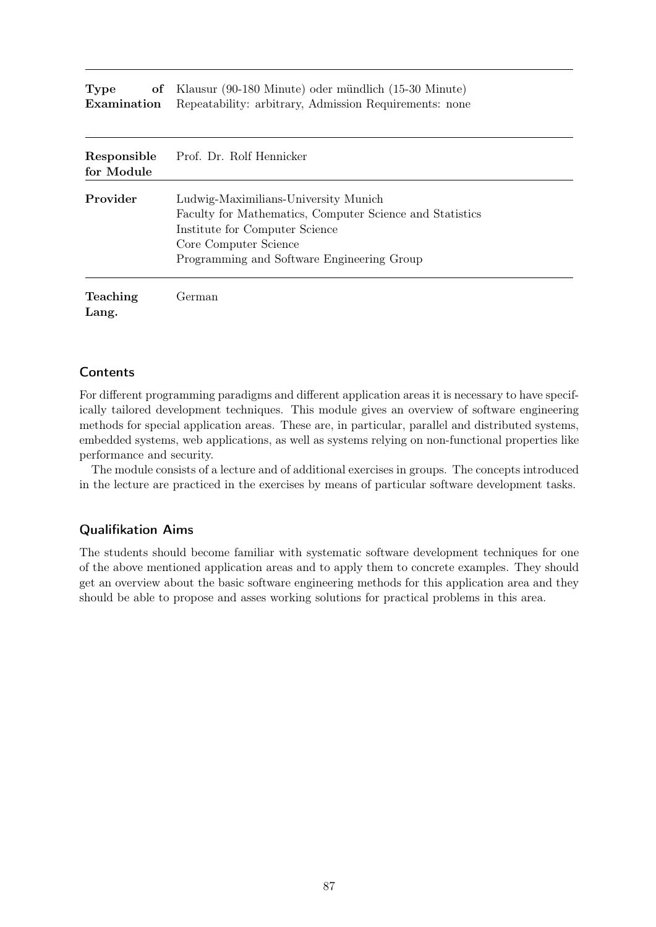| <b>Type</b> | of Klausur (90-180 Minute) oder mündlich (15-30 Minute)                   |
|-------------|---------------------------------------------------------------------------|
|             | <b>Examination</b> Repeatability: arbitrary, Admission Requirements: none |

| Responsible<br>for Module | Prof. Dr. Rolf Hennicker                                                                                                                                                                                  |
|---------------------------|-----------------------------------------------------------------------------------------------------------------------------------------------------------------------------------------------------------|
| Provider                  | Ludwig-Maximilians-University Munich<br>Faculty for Mathematics, Computer Science and Statistics<br>Institute for Computer Science<br>Core Computer Science<br>Programming and Software Engineering Group |
| <b>Teaching</b><br>Lang.  | German)                                                                                                                                                                                                   |

#### **Contents**

For different programming paradigms and different application areas it is necessary to have specifically tailored development techniques. This module gives an overview of software engineering methods for special application areas. These are, in particular, parallel and distributed systems, embedded systems, web applications, as well as systems relying on non-functional properties like performance and security.

The module consists of a lecture and of additional exercises in groups. The concepts introduced in the lecture are practiced in the exercises by means of particular software development tasks.

#### Qualifikation Aims

The students should become familiar with systematic software development techniques for one of the above mentioned application areas and to apply them to concrete examples. They should get an overview about the basic software engineering methods for this application area and they should be able to propose and asses working solutions for practical problems in this area.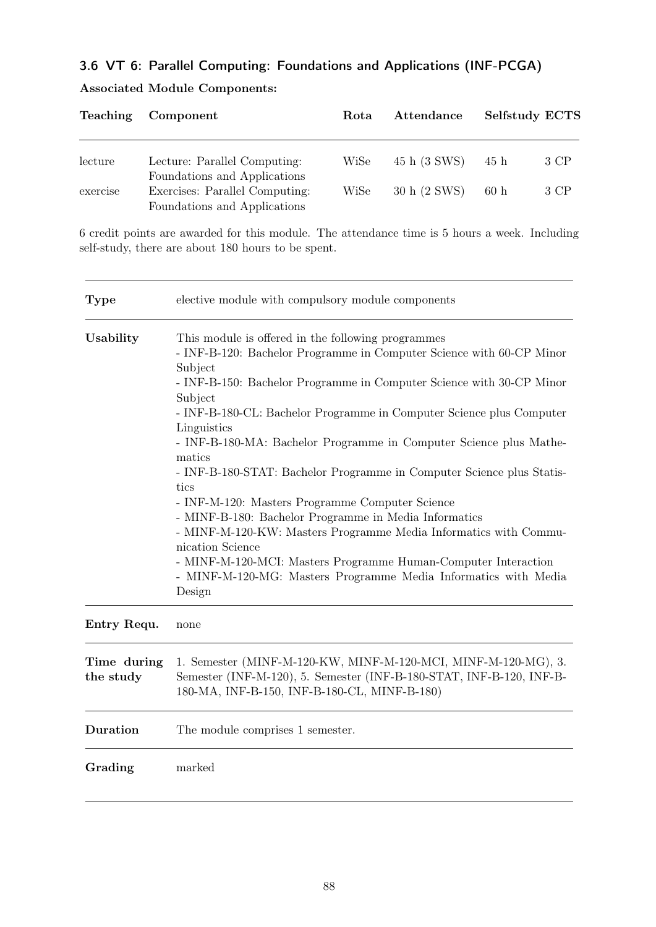# 3.6 VT 6: Parallel Computing: Foundations and Applications (INF-PCGA)

| <b>Teaching</b> | Component                                                      | Rota | Attendance   | Selfstudy ECTS |      |
|-----------------|----------------------------------------------------------------|------|--------------|----------------|------|
|                 |                                                                |      |              |                |      |
| lecture         | Lecture: Parallel Computing:<br>Foundations and Applications   | WiSe | 45 h (3 SWS) | 45 h           | 3 CP |
| exercise        | Exercises: Parallel Computing:<br>Foundations and Applications | WiSe | 30 h (2 SWS) | 60h            | 3 CP |

## Associated Module Components:

6 credit points are awarded for this module. The attendance time is 5 hours a week. Including self-study, there are about 180 hours to be spent.

| <b>Type</b>              | elective module with compulsory module components                                                                                                                                                                                                                                                                                                                                                                                                                                                                                                                                                                                                                                                                                                                                                                                   |
|--------------------------|-------------------------------------------------------------------------------------------------------------------------------------------------------------------------------------------------------------------------------------------------------------------------------------------------------------------------------------------------------------------------------------------------------------------------------------------------------------------------------------------------------------------------------------------------------------------------------------------------------------------------------------------------------------------------------------------------------------------------------------------------------------------------------------------------------------------------------------|
| Usability                | This module is offered in the following programmes<br>- INF-B-120: Bachelor Programme in Computer Science with 60-CP Minor<br>Subject<br>- INF-B-150: Bachelor Programme in Computer Science with 30-CP Minor<br>Subject<br>- INF-B-180-CL: Bachelor Programme in Computer Science plus Computer<br>Linguistics<br>- INF-B-180-MA: Bachelor Programme in Computer Science plus Mathe-<br>matics<br>- INF-B-180-STAT: Bachelor Programme in Computer Science plus Statis-<br>tics<br>- INF-M-120: Masters Programme Computer Science<br>- MINF-B-180: Bachelor Programme in Media Informatics<br>- MINF-M-120-KW: Masters Programme Media Informatics with Commu-<br>nication Science<br>- MINF-M-120-MCI: Masters Programme Human-Computer Interaction<br>- MINF-M-120-MG: Masters Programme Media Informatics with Media<br>Design |
| Entry Requ.              | none                                                                                                                                                                                                                                                                                                                                                                                                                                                                                                                                                                                                                                                                                                                                                                                                                                |
| Time during<br>the study | 1. Semester (MINF-M-120-KW, MINF-M-120-MCI, MINF-M-120-MG), 3.<br>Semester (INF-M-120), 5. Semester (INF-B-180-STAT, INF-B-120, INF-B-<br>180-MA, INF-B-150, INF-B-180-CL, MINF-B-180)                                                                                                                                                                                                                                                                                                                                                                                                                                                                                                                                                                                                                                              |
| Duration                 | The module comprises 1 semester.                                                                                                                                                                                                                                                                                                                                                                                                                                                                                                                                                                                                                                                                                                                                                                                                    |
| Grading                  | marked                                                                                                                                                                                                                                                                                                                                                                                                                                                                                                                                                                                                                                                                                                                                                                                                                              |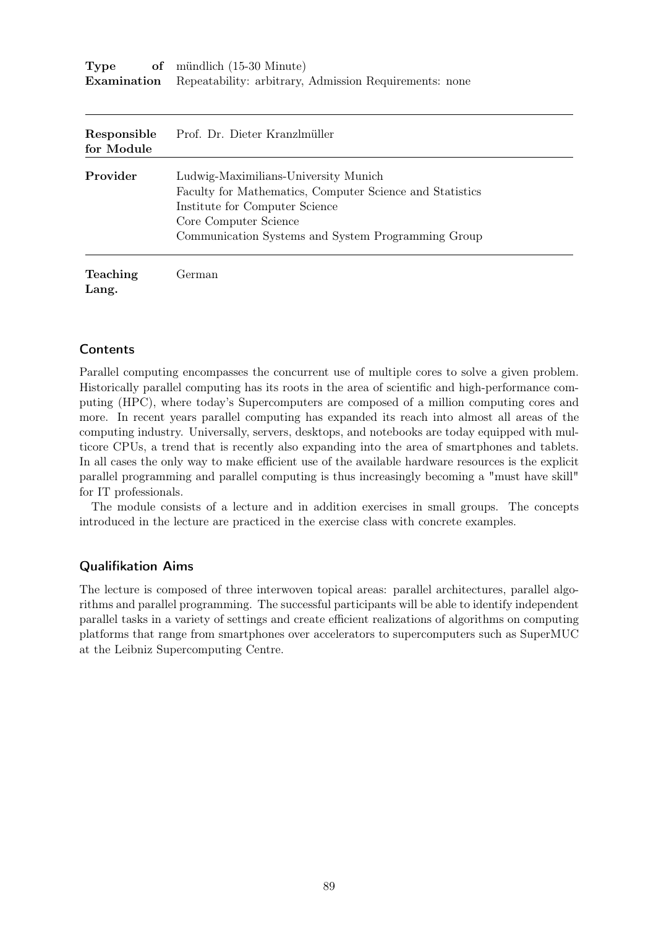| Type | of mündlich (15-30 Minute)                                                |
|------|---------------------------------------------------------------------------|
|      | <b>Examination</b> Repeatability: arbitrary, Admission Requirements: none |

| Responsible<br>for Module | Prof. Dr. Dieter Kranzlmüller                                                                                                                                                                                     |
|---------------------------|-------------------------------------------------------------------------------------------------------------------------------------------------------------------------------------------------------------------|
| Provider                  | Ludwig-Maximilians-University Munich<br>Faculty for Mathematics, Computer Science and Statistics<br>Institute for Computer Science<br>Core Computer Science<br>Communication Systems and System Programming Group |
| <b>Teaching</b>           | . Ferman                                                                                                                                                                                                          |

### **Contents**

Lang.

Parallel computing encompasses the concurrent use of multiple cores to solve a given problem. Historically parallel computing has its roots in the area of scientific and high-performance computing (HPC), where today's Supercomputers are composed of a million computing cores and more. In recent years parallel computing has expanded its reach into almost all areas of the computing industry. Universally, servers, desktops, and notebooks are today equipped with multicore CPUs, a trend that is recently also expanding into the area of smartphones and tablets. In all cases the only way to make efficient use of the available hardware resources is the explicit parallel programming and parallel computing is thus increasingly becoming a "must have skill" for IT professionals.

The module consists of a lecture and in addition exercises in small groups. The concepts introduced in the lecture are practiced in the exercise class with concrete examples.

#### Qualifikation Aims

The lecture is composed of three interwoven topical areas: parallel architectures, parallel algorithms and parallel programming. The successful participants will be able to identify independent parallel tasks in a variety of settings and create efficient realizations of algorithms on computing platforms that range from smartphones over accelerators to supercomputers such as SuperMUC at the Leibniz Supercomputing Centre.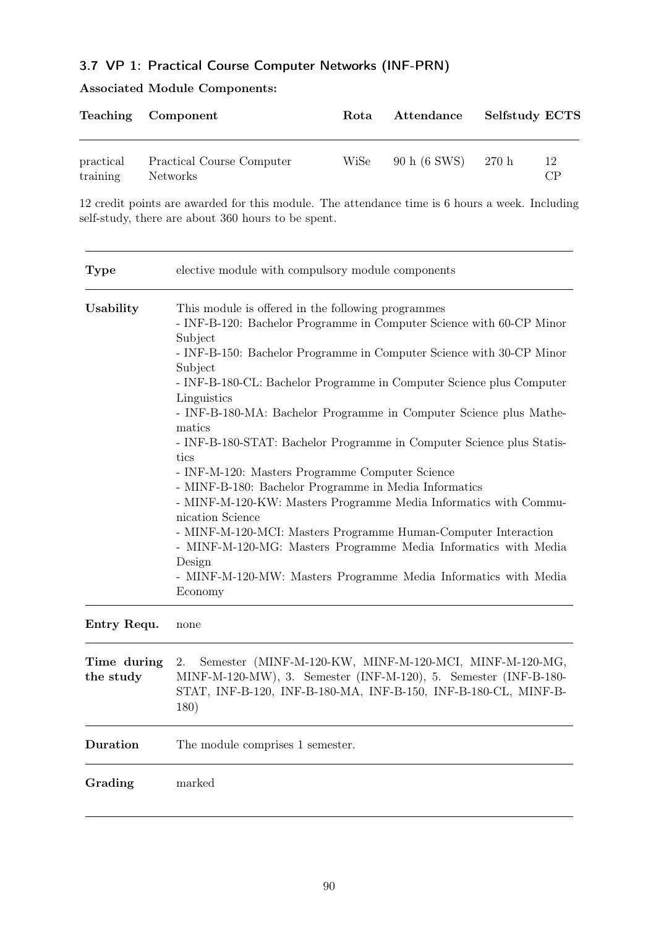# 3.7 VP 1: Practical Course Computer Networks (INF-PRN)

## Associated Module Components:

|                       | Teaching Component                           | Rota | Attendance   | <b>Selfstudy ECTS</b> |          |
|-----------------------|----------------------------------------------|------|--------------|-----------------------|----------|
| practical<br>training | Practical Course Computer<br><b>Networks</b> | WiSe | 90 h (6 SWS) | - 270 h               | 12<br>CР |

12 credit points are awarded for this module. The attendance time is 6 hours a week. Including self-study, there are about 360 hours to be spent.

| <b>Type</b>              | elective module with compulsory module components                                                                                                                                                                                                                                                                                                                                                                                                                                                                                                                                                                                                                                                                                                                                                                                                                                                                 |  |
|--------------------------|-------------------------------------------------------------------------------------------------------------------------------------------------------------------------------------------------------------------------------------------------------------------------------------------------------------------------------------------------------------------------------------------------------------------------------------------------------------------------------------------------------------------------------------------------------------------------------------------------------------------------------------------------------------------------------------------------------------------------------------------------------------------------------------------------------------------------------------------------------------------------------------------------------------------|--|
| Usability                | This module is offered in the following programmes<br>- INF-B-120: Bachelor Programme in Computer Science with 60-CP Minor<br>Subject<br>- INF-B-150: Bachelor Programme in Computer Science with 30-CP Minor<br>Subject<br>- INF-B-180-CL: Bachelor Programme in Computer Science plus Computer<br>Linguistics<br>- INF-B-180-MA: Bachelor Programme in Computer Science plus Mathe-<br>matics<br>- INF-B-180-STAT: Bachelor Programme in Computer Science plus Statis-<br>tics<br>- INF-M-120: Masters Programme Computer Science<br>- MINF-B-180: Bachelor Programme in Media Informatics<br>- MINF-M-120-KW: Masters Programme Media Informatics with Commu-<br>nication Science<br>- MINF-M-120-MCI: Masters Programme Human-Computer Interaction<br>- MINF-M-120-MG: Masters Programme Media Informatics with Media<br>Design<br>- MINF-M-120-MW: Masters Programme Media Informatics with Media<br>Economy |  |
| Entry Requ.              | none                                                                                                                                                                                                                                                                                                                                                                                                                                                                                                                                                                                                                                                                                                                                                                                                                                                                                                              |  |
| Time during<br>the study | Semester (MINF-M-120-KW, MINF-M-120-MCI, MINF-M-120-MG,<br>2.<br>MINF-M-120-MW), 3. Semester (INF-M-120), 5. Semester (INF-B-180-<br>STAT, INF-B-120, INF-B-180-MA, INF-B-150, INF-B-180-CL, MINF-B-<br>180)                                                                                                                                                                                                                                                                                                                                                                                                                                                                                                                                                                                                                                                                                                      |  |
| Duration                 | The module comprises 1 semester.                                                                                                                                                                                                                                                                                                                                                                                                                                                                                                                                                                                                                                                                                                                                                                                                                                                                                  |  |
| Grading                  | marked                                                                                                                                                                                                                                                                                                                                                                                                                                                                                                                                                                                                                                                                                                                                                                                                                                                                                                            |  |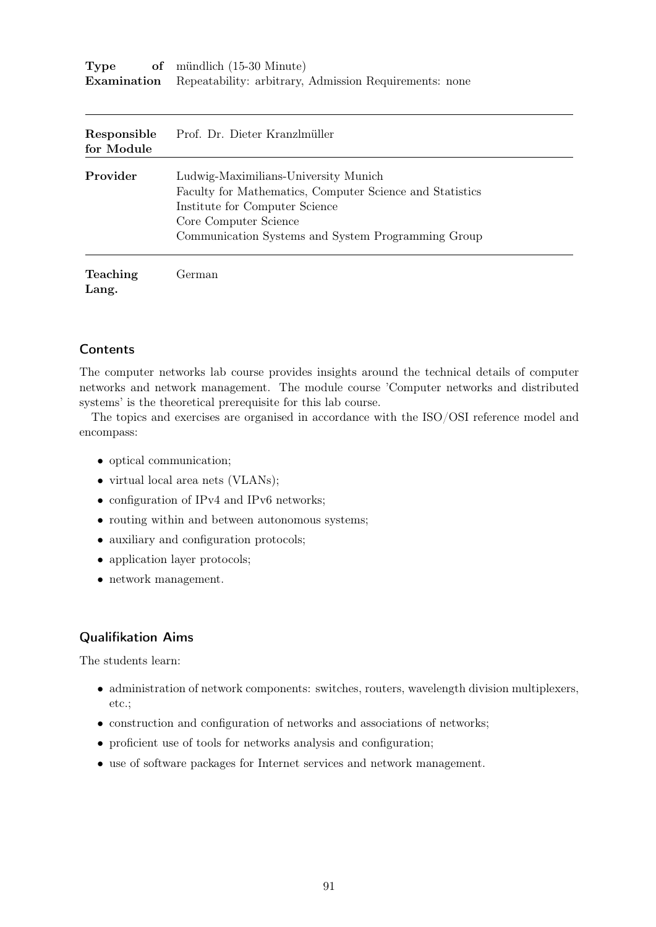| Type | of mündlich $(15-30 \text{ Minute})$                                      |
|------|---------------------------------------------------------------------------|
|      | <b>Examination</b> Repeatability: arbitrary, Admission Requirements: none |

| Responsible<br>for Module | Prof. Dr. Dieter Kranzlmüller                                                                                                                                                                                     |
|---------------------------|-------------------------------------------------------------------------------------------------------------------------------------------------------------------------------------------------------------------|
| Provider                  | Ludwig-Maximilians-University Munich<br>Faculty for Mathematics, Computer Science and Statistics<br>Institute for Computer Science<br>Core Computer Science<br>Communication Systems and System Programming Group |
| <b>Teaching</b>           | Ferman                                                                                                                                                                                                            |

### **Contents**

Lang.

The computer networks lab course provides insights around the technical details of computer networks and network management. The module course 'Computer networks and distributed systems' is the theoretical prerequisite for this lab course.

The topics and exercises are organised in accordance with the ISO/OSI reference model and encompass:

- optical communication;
- virtual local area nets (VLANs);
- configuration of IPv4 and IPv6 networks;
- routing within and between autonomous systems;
- auxiliary and configuration protocols;
- application layer protocols;
- network management.

### Qualifikation Aims

The students learn:

- administration of network components: switches, routers, wavelength division multiplexers, etc.;
- construction and configuration of networks and associations of networks;
- proficient use of tools for networks analysis and configuration;
- use of software packages for Internet services and network management.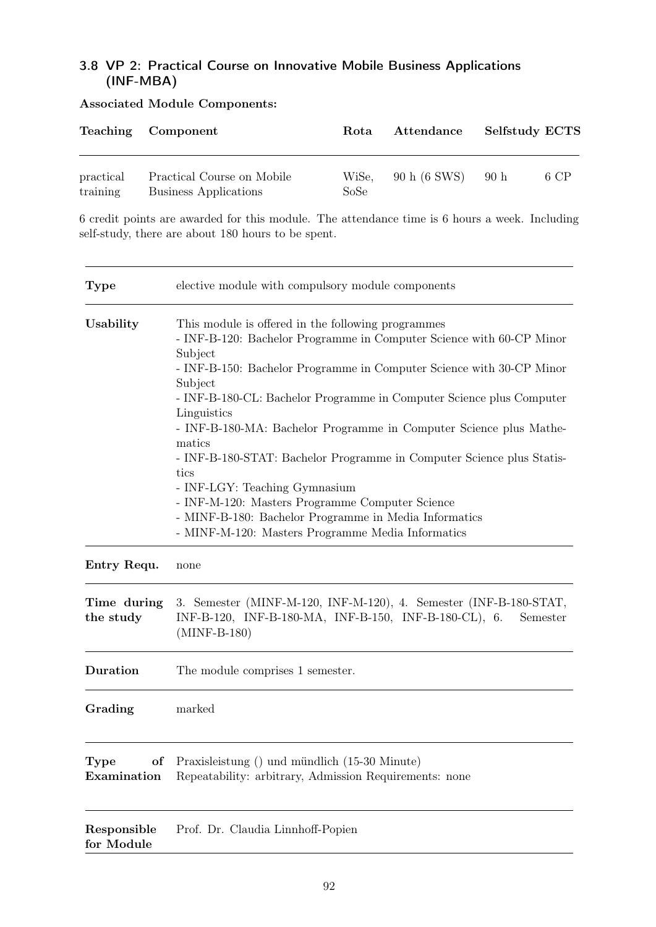## 3.8 VP 2: Practical Course on Innovative Mobile Business Applications (INF-MBA)

|                       | Teaching Component                                         | Rota          | Attendance   | <b>Selfstudy ECTS</b> |      |
|-----------------------|------------------------------------------------------------|---------------|--------------|-----------------------|------|
| practical<br>training | Practical Course on Mobile<br><b>Business Applications</b> | WiSe,<br>SoSe | 90 h (6 SWS) | 90 <sub>h</sub>       | 6 CP |

### Associated Module Components:

6 credit points are awarded for this module. The attendance time is 6 hours a week. Including self-study, there are about 180 hours to be spent.

| <b>Type</b>               | elective module with compulsory module components                                                                                                                                                                                                                                                                                                                                                                                                                                                                                                                                                                                                                                  |  |
|---------------------------|------------------------------------------------------------------------------------------------------------------------------------------------------------------------------------------------------------------------------------------------------------------------------------------------------------------------------------------------------------------------------------------------------------------------------------------------------------------------------------------------------------------------------------------------------------------------------------------------------------------------------------------------------------------------------------|--|
| Usability                 | This module is offered in the following programmes<br>- INF-B-120: Bachelor Programme in Computer Science with 60-CP Minor<br>Subject<br>- INF-B-150: Bachelor Programme in Computer Science with 30-CP Minor<br>Subject<br>- INF-B-180-CL: Bachelor Programme in Computer Science plus Computer<br>Linguistics<br>- INF-B-180-MA: Bachelor Programme in Computer Science plus Mathe-<br>matics<br>- INF-B-180-STAT: Bachelor Programme in Computer Science plus Statis-<br>tics<br>- INF-LGY: Teaching Gymnasium<br>- INF-M-120: Masters Programme Computer Science<br>- MINF-B-180: Bachelor Programme in Media Informatics<br>- MINF-M-120: Masters Programme Media Informatics |  |
| Entry Requ.               | none                                                                                                                                                                                                                                                                                                                                                                                                                                                                                                                                                                                                                                                                               |  |
| Time during<br>the study  | 3. Semester (MINF-M-120, INF-M-120), 4. Semester (INF-B-180-STAT,<br>INF-B-120, INF-B-180-MA, INF-B-150, INF-B-180-CL), 6.<br>Semester<br>$(MINF-B-180)$                                                                                                                                                                                                                                                                                                                                                                                                                                                                                                                           |  |
| Duration                  | The module comprises 1 semester.                                                                                                                                                                                                                                                                                                                                                                                                                                                                                                                                                                                                                                                   |  |
| Grading                   | marked                                                                                                                                                                                                                                                                                                                                                                                                                                                                                                                                                                                                                                                                             |  |
| of<br>Type<br>Examination | Praxisleistung () und mündlich (15-30 Minute)<br>Repeatability: arbitrary, Admission Requirements: none                                                                                                                                                                                                                                                                                                                                                                                                                                                                                                                                                                            |  |
| Responsible<br>for Module | Prof. Dr. Claudia Linnhoff-Popien                                                                                                                                                                                                                                                                                                                                                                                                                                                                                                                                                                                                                                                  |  |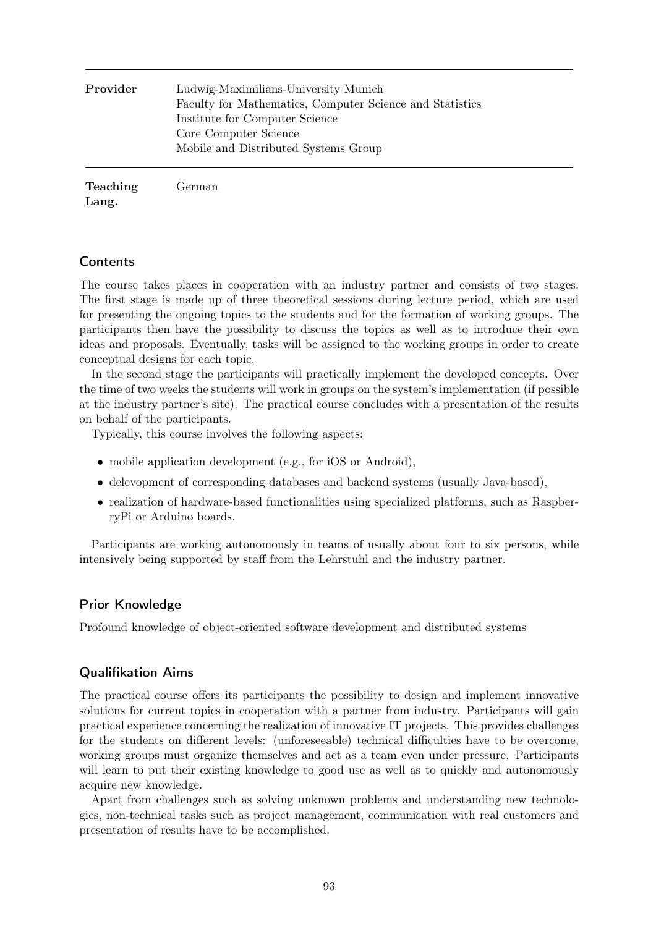| Provider | Ludwig-Maximilians-University Munich<br>Faculty for Mathematics, Computer Science and Statistics<br>Institute for Computer Science<br>Core Computer Science<br>Mobile and Distributed Systems Group |
|----------|-----------------------------------------------------------------------------------------------------------------------------------------------------------------------------------------------------|
| Teaching | German                                                                                                                                                                                              |

Lang.

#### **Contents**

The course takes places in cooperation with an industry partner and consists of two stages. The first stage is made up of three theoretical sessions during lecture period, which are used for presenting the ongoing topics to the students and for the formation of working groups. The participants then have the possibility to discuss the topics as well as to introduce their own ideas and proposals. Eventually, tasks will be assigned to the working groups in order to create conceptual designs for each topic.

In the second stage the participants will practically implement the developed concepts. Over the time of two weeks the students will work in groups on the system's implementation (if possible at the industry partner's site). The practical course concludes with a presentation of the results on behalf of the participants.

Typically, this course involves the following aspects:

- mobile application development (e.g., for iOS or Android),
- delevopment of corresponding databases and backend systems (usually Java-based),
- realization of hardware-based functionalities using specialized platforms, such as RaspberryPi or Arduino boards.

Participants are working autonomously in teams of usually about four to six persons, while intensively being supported by staff from the Lehrstuhl and the industry partner.

#### Prior Knowledge

Profound knowledge of object-oriented software development and distributed systems

#### Qualifikation Aims

The practical course offers its participants the possibility to design and implement innovative solutions for current topics in cooperation with a partner from industry. Participants will gain practical experience concerning the realization of innovative IT projects. This provides challenges for the students on different levels: (unforeseeable) technical difficulties have to be overcome, working groups must organize themselves and act as a team even under pressure. Participants will learn to put their existing knowledge to good use as well as to quickly and autonomously acquire new knowledge.

Apart from challenges such as solving unknown problems and understanding new technologies, non-technical tasks such as project management, communication with real customers and presentation of results have to be accomplished.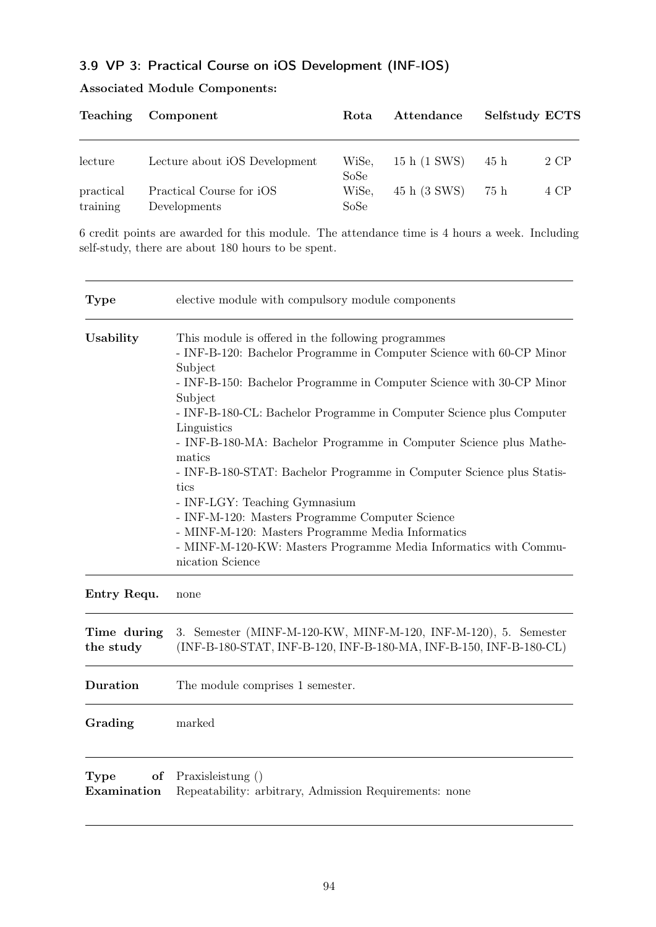# 3.9 VP 3: Practical Course on iOS Development (INF-IOS)

| <b>Teaching</b>       | Component                                | Rota                  | Attendance   | <b>Selfstudy ECTS</b> |      |
|-----------------------|------------------------------------------|-----------------------|--------------|-----------------------|------|
| lecture               | Lecture about iOS Development            | WiSe,                 | 15 h (1 SWS) | 45 h                  | 2 CP |
| practical<br>training | Practical Course for iOS<br>Developments | SoSe<br>WiSe,<br>SoSe | 45 h (3 SWS) | 75 h                  | 4 CP |

## Associated Module Components:

6 credit points are awarded for this module. The attendance time is 4 hours a week. Including self-study, there are about 180 hours to be spent.

| <b>Type</b>                      | elective module with compulsory module components                                                                                                                                                                                                                                                                                                                                                                                                                                                                                                                                                                                                                                                                 |
|----------------------------------|-------------------------------------------------------------------------------------------------------------------------------------------------------------------------------------------------------------------------------------------------------------------------------------------------------------------------------------------------------------------------------------------------------------------------------------------------------------------------------------------------------------------------------------------------------------------------------------------------------------------------------------------------------------------------------------------------------------------|
| Usability                        | This module is offered in the following programmes<br>- INF-B-120: Bachelor Programme in Computer Science with 60-CP Minor<br>Subject<br>- INF-B-150: Bachelor Programme in Computer Science with 30-CP Minor<br>Subject<br>- INF-B-180-CL: Bachelor Programme in Computer Science plus Computer<br>Linguistics<br>- INF-B-180-MA: Bachelor Programme in Computer Science plus Mathe-<br>matics<br>- INF-B-180-STAT: Bachelor Programme in Computer Science plus Statis-<br>tics<br>- INF-LGY: Teaching Gymnasium<br>- INF-M-120: Masters Programme Computer Science<br>- MINF-M-120: Masters Programme Media Informatics<br>- MINF-M-120-KW: Masters Programme Media Informatics with Commu-<br>nication Science |
| Entry Requ.                      | none                                                                                                                                                                                                                                                                                                                                                                                                                                                                                                                                                                                                                                                                                                              |
| Time during<br>the study         | 3. Semester (MINF-M-120-KW, MINF-M-120, INF-M-120), 5. Semester<br>(INF-B-180-STAT, INF-B-120, INF-B-180-MA, INF-B-150, INF-B-180-CL)                                                                                                                                                                                                                                                                                                                                                                                                                                                                                                                                                                             |
| <b>Duration</b>                  | The module comprises 1 semester.                                                                                                                                                                                                                                                                                                                                                                                                                                                                                                                                                                                                                                                                                  |
| Grading                          | marked                                                                                                                                                                                                                                                                                                                                                                                                                                                                                                                                                                                                                                                                                                            |
| <b>Type</b><br>of<br>Examination | Praxisleistung ()<br>Repeatability: arbitrary, Admission Requirements: none                                                                                                                                                                                                                                                                                                                                                                                                                                                                                                                                                                                                                                       |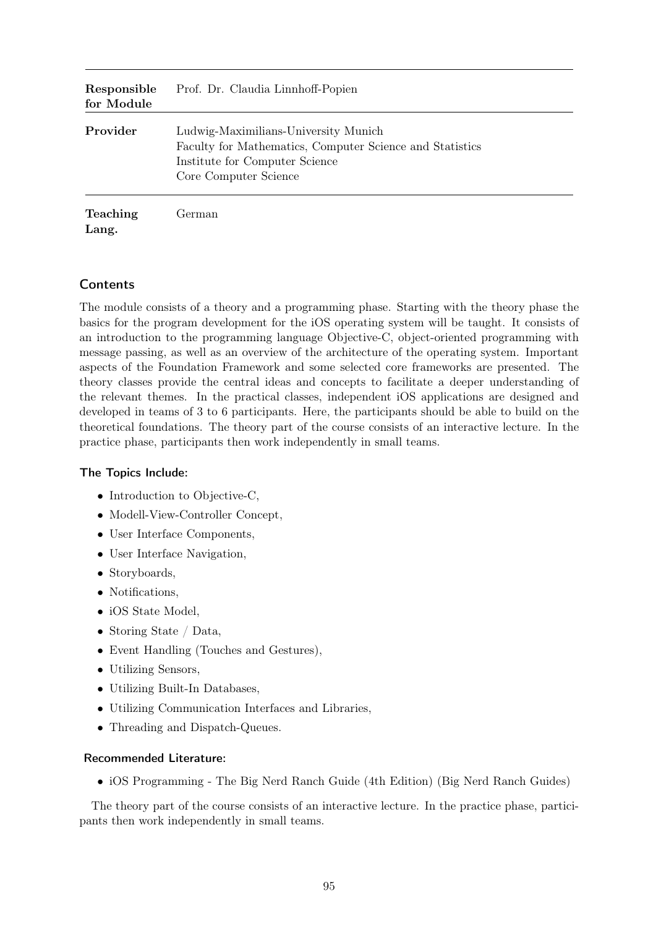| Responsible<br>for Module | Prof. Dr. Claudia Linnhoff-Popien                                                                                                                           |
|---------------------------|-------------------------------------------------------------------------------------------------------------------------------------------------------------|
| Provider                  | Ludwig-Maximilians-University Munich<br>Faculty for Mathematics, Computer Science and Statistics<br>Institute for Computer Science<br>Core Computer Science |
| <b>Teaching</b><br>Lang.  | German                                                                                                                                                      |

### **Contents**

The module consists of a theory and a programming phase. Starting with the theory phase the basics for the program development for the iOS operating system will be taught. It consists of an introduction to the programming language Objective-C, object-oriented programming with message passing, as well as an overview of the architecture of the operating system. Important aspects of the Foundation Framework and some selected core frameworks are presented. The theory classes provide the central ideas and concepts to facilitate a deeper understanding of the relevant themes. In the practical classes, independent iOS applications are designed and developed in teams of 3 to 6 participants. Here, the participants should be able to build on the theoretical foundations. The theory part of the course consists of an interactive lecture. In the practice phase, participants then work independently in small teams.

### The Topics Include:

- Introduction to Objective-C,
- Modell-View-Controller Concept,
- User Interface Components,
- User Interface Navigation,
- Storyboards,
- Notifications,
- iOS State Model,
- Storing State / Data,
- Event Handling (Touches and Gestures),
- Utilizing Sensors,
- Utilizing Built-In Databases,
- Utilizing Communication Interfaces and Libraries,
- Threading and Dispatch-Queues.

#### Recommended Literature:

• iOS Programming - The Big Nerd Ranch Guide (4th Edition) (Big Nerd Ranch Guides)

The theory part of the course consists of an interactive lecture. In the practice phase, participants then work independently in small teams.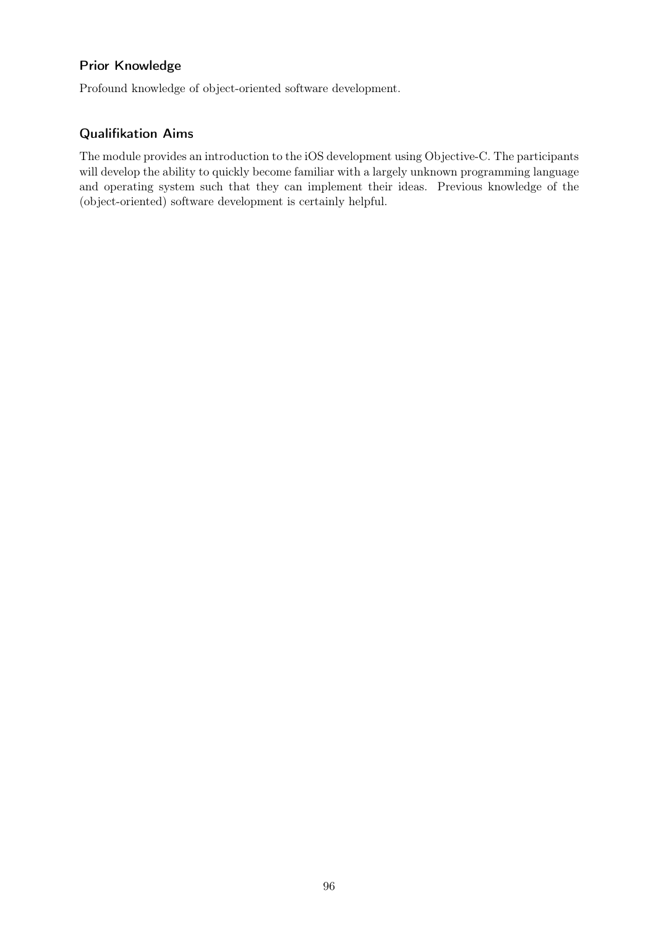### Prior Knowledge

Profound knowledge of object-oriented software development.

## Qualifikation Aims

The module provides an introduction to the iOS development using Objective-C. The participants will develop the ability to quickly become familiar with a largely unknown programming language and operating system such that they can implement their ideas. Previous knowledge of the (object-oriented) software development is certainly helpful.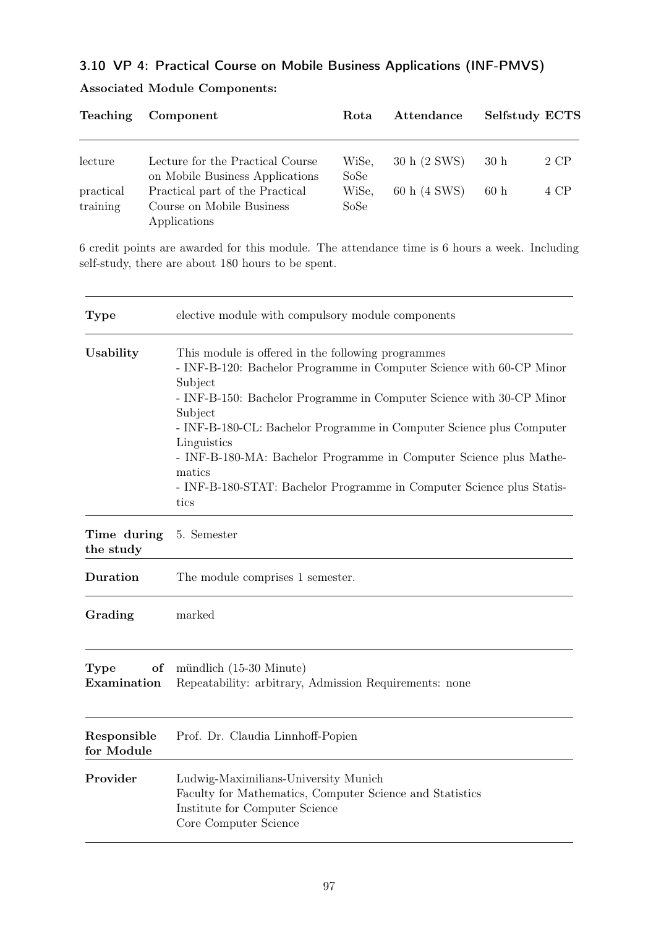# 3.10 VP 4: Practical Course on Mobile Business Applications (INF-PMVS)

| <b>Teaching</b>       | Component                                                                    | Rota          | Attendance   | <b>Selfstudy ECTS</b> |      |
|-----------------------|------------------------------------------------------------------------------|---------------|--------------|-----------------------|------|
| lecture               | Lecture for the Practical Course                                             | WiSe,         | 30 h (2 SWS) | 30h                   | 2 CP |
|                       | on Mobile Business Applications                                              | SoSe          |              |                       |      |
| practical<br>training | Practical part of the Practical<br>Course on Mobile Business<br>Applications | WiSe,<br>SoSe | 60 h (4 SWS) | 60h                   | 4 CP |

## Associated Module Components:

6 credit points are awarded for this module. The attendance time is 6 hours a week. Including self-study, there are about 180 hours to be spent.

| <b>Type</b>                      | elective module with compulsory module components                                                                                                                                                                                                                                                                                                                                                                                                                                |
|----------------------------------|----------------------------------------------------------------------------------------------------------------------------------------------------------------------------------------------------------------------------------------------------------------------------------------------------------------------------------------------------------------------------------------------------------------------------------------------------------------------------------|
| Usability                        | This module is offered in the following programmes<br>- INF-B-120: Bachelor Programme in Computer Science with 60-CP Minor<br>Subject<br>- INF-B-150: Bachelor Programme in Computer Science with 30-CP Minor<br>Subject<br>- INF-B-180-CL: Bachelor Programme in Computer Science plus Computer<br>Linguistics<br>- INF-B-180-MA: Bachelor Programme in Computer Science plus Mathe-<br>matics<br>- INF-B-180-STAT: Bachelor Programme in Computer Science plus Statis-<br>tics |
| Time during<br>the study         | 5. Semester                                                                                                                                                                                                                                                                                                                                                                                                                                                                      |
| Duration                         | The module comprises 1 semester.                                                                                                                                                                                                                                                                                                                                                                                                                                                 |
| Grading                          | marked                                                                                                                                                                                                                                                                                                                                                                                                                                                                           |
| <b>Type</b><br>οf<br>Examination | mündlich (15-30 Minute)<br>Repeatability: arbitrary, Admission Requirements: none                                                                                                                                                                                                                                                                                                                                                                                                |
| Responsible<br>for Module        | Prof. Dr. Claudia Linnhoff-Popien                                                                                                                                                                                                                                                                                                                                                                                                                                                |
| Provider                         | Ludwig-Maximilians-University Munich<br>Faculty for Mathematics, Computer Science and Statistics<br>Institute for Computer Science<br>Core Computer Science                                                                                                                                                                                                                                                                                                                      |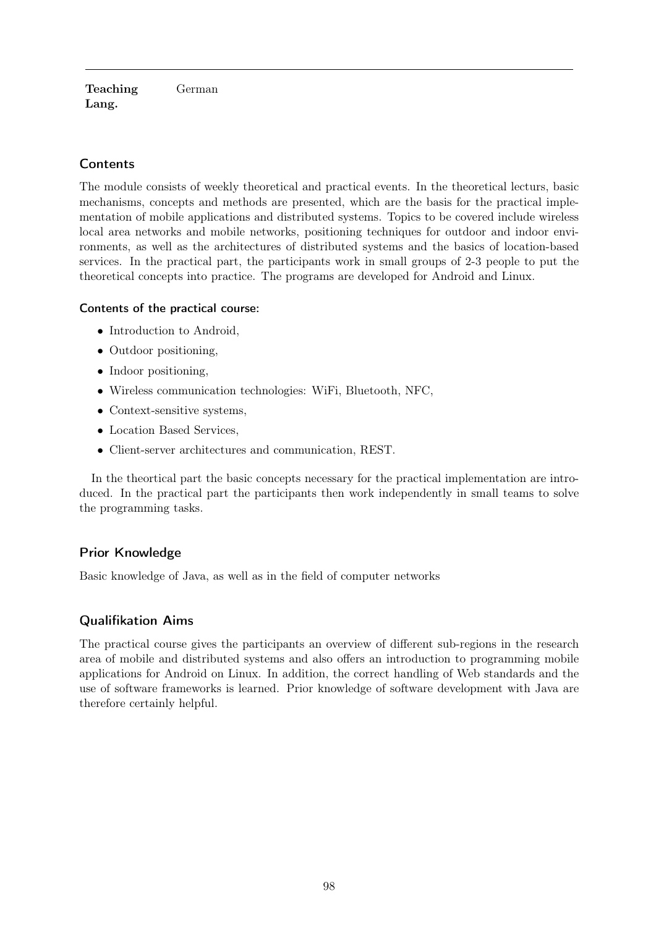Teaching Lang. German

# **Contents**

The module consists of weekly theoretical and practical events. In the theoretical lecturs, basic mechanisms, concepts and methods are presented, which are the basis for the practical implementation of mobile applications and distributed systems. Topics to be covered include wireless local area networks and mobile networks, positioning techniques for outdoor and indoor environments, as well as the architectures of distributed systems and the basics of location-based services. In the practical part, the participants work in small groups of 2-3 people to put the theoretical concepts into practice. The programs are developed for Android and Linux.

### Contents of the practical course:

- Introduction to Android,
- Outdoor positioning,
- Indoor positioning,
- Wireless communication technologies: WiFi, Bluetooth, NFC,
- Context-sensitive systems,
- Location Based Services,
- Client-server architectures and communication, REST.

In the theortical part the basic concepts necessary for the practical implementation are introduced. In the practical part the participants then work independently in small teams to solve the programming tasks.

### Prior Knowledge

Basic knowledge of Java, as well as in the field of computer networks

### Qualifikation Aims

The practical course gives the participants an overview of different sub-regions in the research area of mobile and distributed systems and also offers an introduction to programming mobile applications for Android on Linux. In addition, the correct handling of Web standards and the use of software frameworks is learned. Prior knowledge of software development with Java are therefore certainly helpful.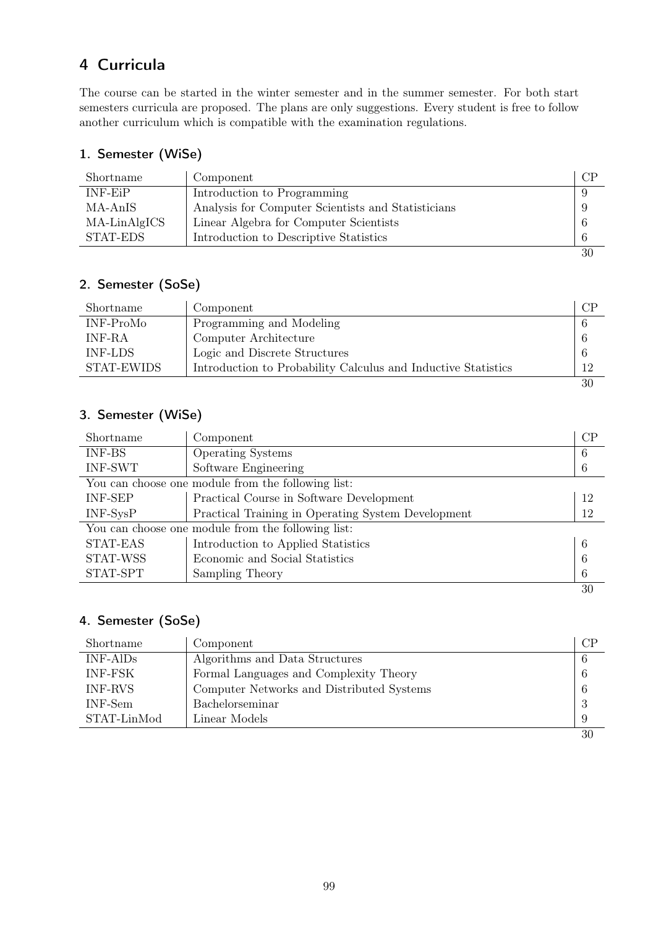# 4 Curricula

The course can be started in the winter semester and in the summer semester. For both start semesters curricula are proposed. The plans are only suggestions. Every student is free to follow another curriculum which is compatible with the examination regulations.

# 1. Semester (WiSe)

| Shortname    | Component                                          | CP |
|--------------|----------------------------------------------------|----|
| $INF-EiP$    | Introduction to Programming                        |    |
| MA-AnIS      | Analysis for Computer Scientists and Statisticians |    |
| MA-LinAlgICS | Linear Algebra for Computer Scientists             | -6 |
| STAT-EDS     | Introduction to Descriptive Statistics             | 6  |
|              |                                                    | 30 |

# 2. Semester (SoSe)

| Shortname      | Component                                                     | CP |
|----------------|---------------------------------------------------------------|----|
| INF-ProMo      | Programming and Modeling                                      |    |
| INF-RA         | Computer Architecture                                         |    |
| <b>INF-LDS</b> | Logic and Discrete Structures                                 |    |
| STAT-EWIDS     | Introduction to Probability Calculus and Inductive Statistics | 12 |
|                |                                                               | 30 |

# 3. Semester (WiSe)

| Shortname                                          | Component                                          | CP  |
|----------------------------------------------------|----------------------------------------------------|-----|
| <b>INF-BS</b>                                      | <b>Operating Systems</b>                           | 6   |
| <b>INF-SWT</b>                                     | Software Engineering                               | 6   |
|                                                    | You can choose one module from the following list: |     |
| <b>INF-SEP</b>                                     | Practical Course in Software Development           | -12 |
| $INF-SysP$                                         | Practical Training in Operating System Development | 12  |
| You can choose one module from the following list: |                                                    |     |
| STAT-EAS                                           | Introduction to Applied Statistics                 | 6   |
| <b>STAT-WSS</b>                                    | Economic and Social Statistics                     | 6   |
| STAT-SPT                                           | Sampling Theory                                    | 6   |
|                                                    |                                                    | 30  |

# 4. Semester (SoSe)

| Shortname      | Component                                 | CP |
|----------------|-------------------------------------------|----|
| $INF-AlDs$     | Algorithms and Data Structures            | -6 |
| <b>INF-FSK</b> | Formal Languages and Complexity Theory    | 6  |
| <b>INF-RVS</b> | Computer Networks and Distributed Systems | 6  |
| INF-Sem        | Bachelorseminar                           | 3  |
| STAT-LinMod    | Linear Models                             |    |
|                |                                           | 30 |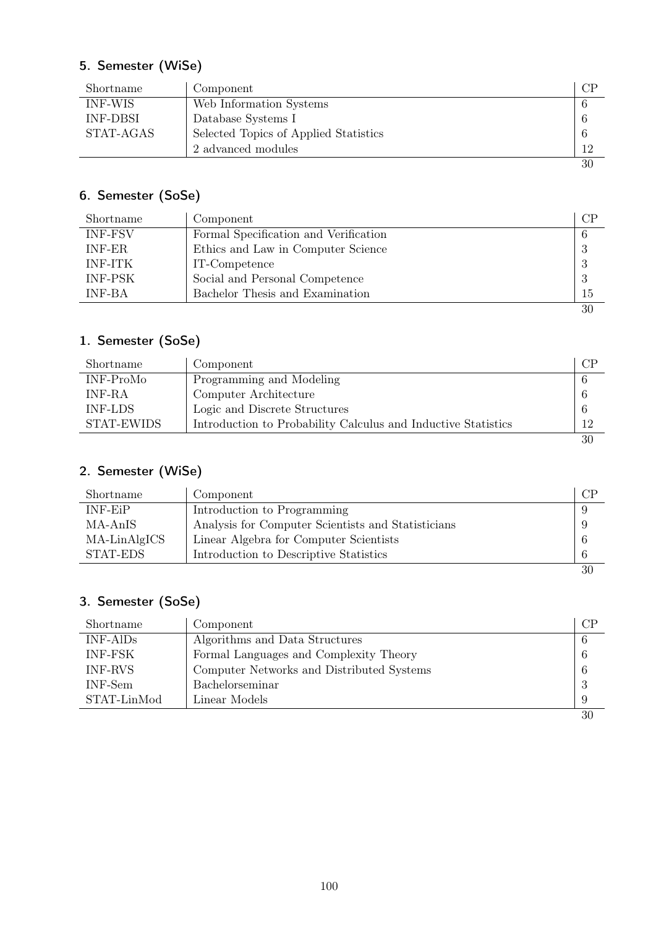# 5. Semester (WiSe)

| Shortname       | Component                             |    |
|-----------------|---------------------------------------|----|
| INF-WIS         | Web Information Systems               |    |
| <b>INF-DBSI</b> | Database Systems I                    |    |
| STAT-AGAS       | Selected Topics of Applied Statistics |    |
|                 | 2 advanced modules                    | 12 |
|                 |                                       | 30 |

# 6. Semester (SoSe)

| Shortname      | Component                             | $\rm CP$ |
|----------------|---------------------------------------|----------|
| <b>INF-FSV</b> | Formal Specification and Verification | 6        |
| <b>INF-ER</b>  | Ethics and Law in Computer Science    | -3       |
| <b>INF-ITK</b> | IT-Competence                         | -3       |
| <b>INF-PSK</b> | Social and Personal Competence        | -3       |
| <b>INF-BA</b>  | Bachelor Thesis and Examination       | 15       |
|                |                                       | 30       |

# 1. Semester (SoSe)

| Shortname      | Component                                                     | CP |
|----------------|---------------------------------------------------------------|----|
| INF-ProMo      | Programming and Modeling                                      |    |
| INF-RA         | Computer Architecture                                         |    |
| <b>INF-LDS</b> | Logic and Discrete Structures                                 |    |
| STAT-EWIDS     | Introduction to Probability Calculus and Inductive Statistics | 12 |
|                |                                                               | 30 |

# 2. Semester (WiSe)

| Shortname    | Component                                          | CP |
|--------------|----------------------------------------------------|----|
| INF-EiP      | Introduction to Programming                        |    |
| MA-AnIS      | Analysis for Computer Scientists and Statisticians | 9  |
| MA-LinAlgICS | Linear Algebra for Computer Scientists             | 6  |
| STAT-EDS     | Introduction to Descriptive Statistics             | 6  |
|              |                                                    | 30 |

# 3. Semester (SoSe)

| Shortname      | Component                                 | СP |
|----------------|-------------------------------------------|----|
| $INF-AlDs$     | Algorithms and Data Structures            | -6 |
| <b>INF-FSK</b> | Formal Languages and Complexity Theory    | 6  |
| INF-RVS        | Computer Networks and Distributed Systems | -6 |
| INF-Sem        | Bachelorseminar                           | -3 |
| STAT-LinMod    | Linear Models                             |    |
|                |                                           | 30 |